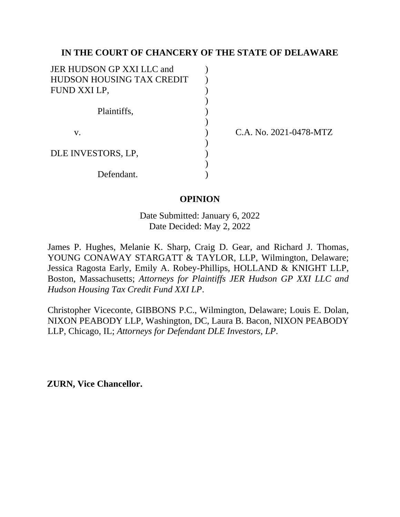## **IN THE COURT OF CHANCERY OF THE STATE OF DELAWARE**

| JER HUDSON GP XXI LLC and |  |
|---------------------------|--|
| HUDSON HOUSING TAX CREDIT |  |
| FUND XXI LP,              |  |
|                           |  |
| Plaintiffs,               |  |
|                           |  |
| ${\bf V}$ .               |  |
|                           |  |
| DLE INVESTORS, LP.        |  |
|                           |  |
| Defendant.                |  |

C.A. No. 2021-0478-MTZ

## **OPINION**

Date Submitted: January 6, 2022 Date Decided: May 2, 2022

James P. Hughes, Melanie K. Sharp, Craig D. Gear, and Richard J. Thomas, YOUNG CONAWAY STARGATT & TAYLOR, LLP, Wilmington, Delaware; Jessica Ragosta Early, Emily A. Robey-Phillips, HOLLAND & KNIGHT LLP, Boston, Massachusetts; *Attorneys for Plaintiffs JER Hudson GP XXI LLC and Hudson Housing Tax Credit Fund XXI LP*.

Christopher Viceconte, GIBBONS P.C., Wilmington, Delaware; Louis E. Dolan, NIXON PEABODY LLP, Washington, DC, Laura B. Bacon, NIXON PEABODY LLP, Chicago, IL; *Attorneys for Defendant DLE Investors, LP*.

**ZURN, Vice Chancellor.**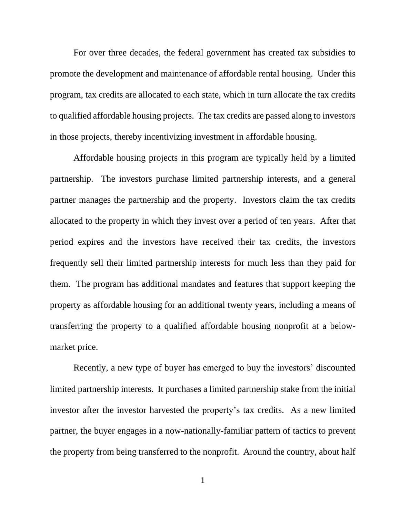For over three decades, the federal government has created tax subsidies to promote the development and maintenance of affordable rental housing. Under this program, tax credits are allocated to each state, which in turn allocate the tax credits to qualified affordable housing projects. The tax credits are passed along to investors in those projects, thereby incentivizing investment in affordable housing.

Affordable housing projects in this program are typically held by a limited partnership. The investors purchase limited partnership interests, and a general partner manages the partnership and the property. Investors claim the tax credits allocated to the property in which they invest over a period of ten years. After that period expires and the investors have received their tax credits, the investors frequently sell their limited partnership interests for much less than they paid for them. The program has additional mandates and features that support keeping the property as affordable housing for an additional twenty years, including a means of transferring the property to a qualified affordable housing nonprofit at a belowmarket price.

Recently, a new type of buyer has emerged to buy the investors' discounted limited partnership interests. It purchases a limited partnership stake from the initial investor after the investor harvested the property's tax credits. As a new limited partner, the buyer engages in a now-nationally-familiar pattern of tactics to prevent the property from being transferred to the nonprofit. Around the country, about half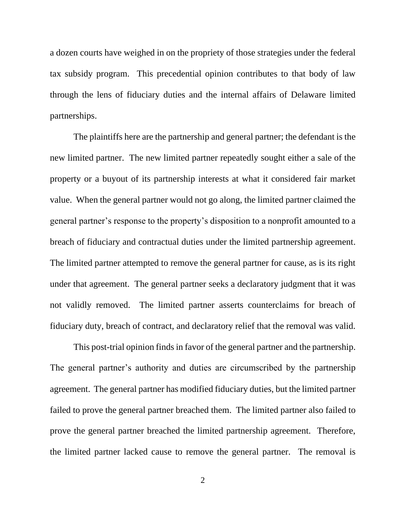a dozen courts have weighed in on the propriety of those strategies under the federal tax subsidy program. This precedential opinion contributes to that body of law through the lens of fiduciary duties and the internal affairs of Delaware limited partnerships.

The plaintiffs here are the partnership and general partner; the defendant is the new limited partner. The new limited partner repeatedly sought either a sale of the property or a buyout of its partnership interests at what it considered fair market value. When the general partner would not go along, the limited partner claimed the general partner's response to the property's disposition to a nonprofit amounted to a breach of fiduciary and contractual duties under the limited partnership agreement. The limited partner attempted to remove the general partner for cause, as is its right under that agreement. The general partner seeks a declaratory judgment that it was not validly removed. The limited partner asserts counterclaims for breach of fiduciary duty, breach of contract, and declaratory relief that the removal was valid.

This post-trial opinion finds in favor of the general partner and the partnership. The general partner's authority and duties are circumscribed by the partnership agreement. The general partner has modified fiduciary duties, but the limited partner failed to prove the general partner breached them. The limited partner also failed to prove the general partner breached the limited partnership agreement. Therefore, the limited partner lacked cause to remove the general partner. The removal is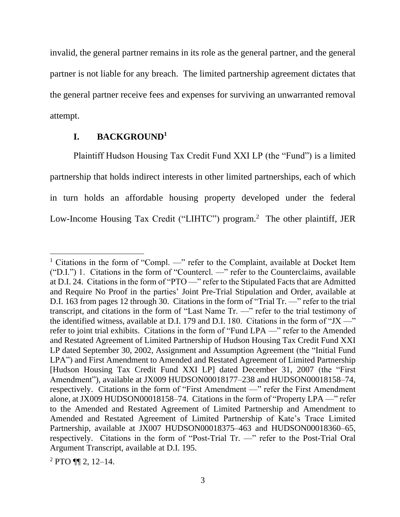invalid, the general partner remains in its role as the general partner, and the general partner is not liable for any breach. The limited partnership agreement dictates that the general partner receive fees and expenses for surviving an unwarranted removal attempt.

#### **I. BACKGROUND<sup>1</sup>**

Plaintiff Hudson Housing Tax Credit Fund XXI LP (the "Fund") is a limited partnership that holds indirect interests in other limited partnerships, each of which in turn holds an affordable housing property developed under the federal Low-Income Housing Tax Credit ("LIHTC") program.<sup>2</sup> The other plaintiff, JER

 $2$  PTO ¶¶ 2, 12–14.

<sup>&</sup>lt;sup>1</sup> Citations in the form of "Compl. —" refer to the Complaint, available at Docket Item ("D.I.") 1. Citations in the form of "Countercl. —" refer to the Counterclaims, available at D.I. 24. Citations in the form of "PTO —" refer to the Stipulated Facts that are Admitted and Require No Proof in the parties' Joint Pre-Trial Stipulation and Order, available at D.I. 163 from pages 12 through 30. Citations in the form of "Trial Tr. —" refer to the trial transcript, and citations in the form of "Last Name Tr. —" refer to the trial testimony of the identified witness, available at D.I. 179 and D.I. 180. Citations in the form of "JX —" refer to joint trial exhibits. Citations in the form of "Fund LPA —" refer to the Amended and Restated Agreement of Limited Partnership of Hudson Housing Tax Credit Fund XXI LP dated September 30, 2002, Assignment and Assumption Agreement (the "Initial Fund LPA") and First Amendment to Amended and Restated Agreement of Limited Partnership [Hudson Housing Tax Credit Fund XXI LP] dated December 31, 2007 (the "First Amendment"), available at JX009 HUDSON00018177–238 and HUDSON00018158–74, respectively. Citations in the form of "First Amendment —" refer the First Amendment alone, at JX009 HUDSON00018158–74. Citations in the form of "Property LPA —" refer to the Amended and Restated Agreement of Limited Partnership and Amendment to Amended and Restated Agreement of Limited Partnership of Kate's Trace Limited Partnership, available at JX007 HUDSON00018375–463 and HUDSON00018360–65, respectively. Citations in the form of "Post-Trial Tr. —" refer to the Post-Trial Oral Argument Transcript, available at D.I. 195.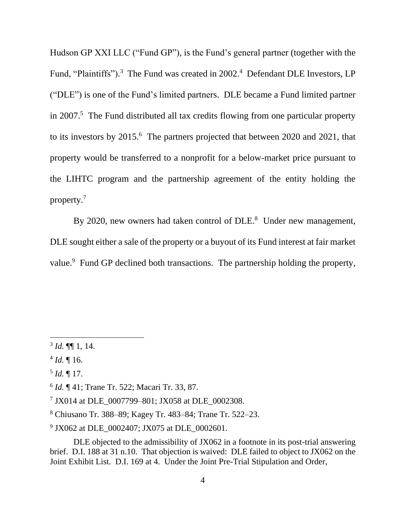Hudson GP XXI LLC ("Fund GP"), is the Fund's general partner (together with the Fund, "Plaintiffs").<sup>3</sup> The Fund was created in 2002.<sup>4</sup> Defendant DLE Investors, LP ("DLE") is one of the Fund's limited partners. DLE became a Fund limited partner in 2007. <sup>5</sup> The Fund distributed all tax credits flowing from one particular property to its investors by 2015.<sup>6</sup> The partners projected that between 2020 and 2021, that property would be transferred to a nonprofit for a below-market price pursuant to the LIHTC program and the partnership agreement of the entity holding the property.<sup>7</sup>

By 2020, new owners had taken control of DLE.<sup>8</sup> Under new management, DLE sought either a sale of the property or a buyout of its Fund interest at fair market value.<sup>9</sup> Fund GP declined both transactions. The partnership holding the property,

 $3$  *Id.*  $\P\P$  1, 14.

 $4$  *Id.*  $\llbracket 16$ .

<sup>5</sup> *Id.* ¶ 17.

<sup>6</sup> *Id.* ¶ 41; Trane Tr. 522; Macari Tr. 33, 87.

<sup>7</sup> JX014 at DLE\_0007799–801; JX058 at DLE\_0002308.

<sup>8</sup> Chiusano Tr. 388–89; Kagey Tr. 483–84; Trane Tr. 522–23.

<sup>9</sup> JX062 at DLE\_0002407; JX075 at DLE\_0002601.

DLE objected to the admissibility of JX062 in a footnote in its post-trial answering brief. D.I. 188 at 31 n.10. That objection is waived: DLE failed to object to JX062 on the Joint Exhibit List. D.I. 169 at 4. Under the Joint Pre-Trial Stipulation and Order,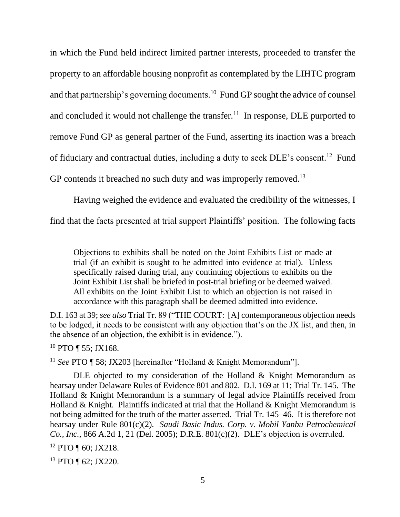in which the Fund held indirect limited partner interests, proceeded to transfer the property to an affordable housing nonprofit as contemplated by the LIHTC program and that partnership's governing documents.<sup>10</sup> Fund GP sought the advice of counsel and concluded it would not challenge the transfer.<sup>11</sup> In response, DLE purported to remove Fund GP as general partner of the Fund, asserting its inaction was a breach of fiduciary and contractual duties, including a duty to seek DLE's consent.<sup>12</sup> Fund GP contends it breached no such duty and was improperly removed.<sup>13</sup>

Having weighed the evidence and evaluated the credibility of the witnesses, I find that the facts presented at trial support Plaintiffs' position. The following facts

 $10$  PTO ¶ 55; JX168.

<sup>11</sup> *See* PTO ¶ 58; JX203 [hereinafter "Holland & Knight Memorandum"].

<sup>13</sup> PTO ¶ 62; JX220.

Objections to exhibits shall be noted on the Joint Exhibits List or made at trial (if an exhibit is sought to be admitted into evidence at trial). Unless specifically raised during trial, any continuing objections to exhibits on the Joint Exhibit List shall be briefed in post-trial briefing or be deemed waived. All exhibits on the Joint Exhibit List to which an objection is not raised in accordance with this paragraph shall be deemed admitted into evidence.

D.I. 163 at 39; *see also* Trial Tr. 89 ("THE COURT: [A] contemporaneous objection needs to be lodged, it needs to be consistent with any objection that's on the JX list, and then, in the absence of an objection, the exhibit is in evidence.").

DLE objected to my consideration of the Holland & Knight Memorandum as hearsay under Delaware Rules of Evidence 801 and 802. D.I. 169 at 11; Trial Tr. 145. The Holland & Knight Memorandum is a summary of legal advice Plaintiffs received from Holland & Knight. Plaintiffs indicated at trial that the Holland & Knight Memorandum is not being admitted for the truth of the matter asserted. Trial Tr. 145–46. It is therefore not hearsay under Rule 801(c)(2). *Saudi Basic Indus. Corp. v. Mobil Yanbu Petrochemical Co., Inc.,* 866 A.2d 1, 21 (Del. 2005); D.R.E. 801(c)(2). DLE's objection is overruled. <sup>12</sup> PTO ¶ 60; JX218.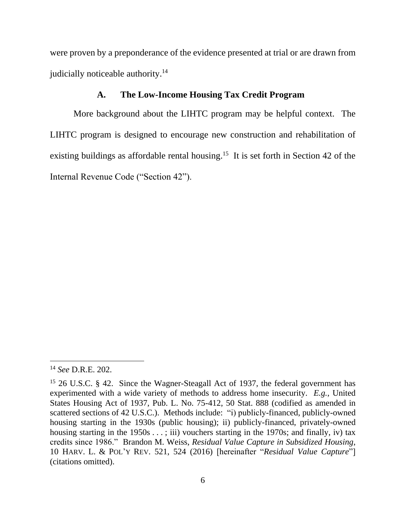were proven by a preponderance of the evidence presented at trial or are drawn from judicially noticeable authority.<sup>14</sup>

### **A. The Low-Income Housing Tax Credit Program**

More background about the LIHTC program may be helpful context. The LIHTC program is designed to encourage new construction and rehabilitation of existing buildings as affordable rental housing.<sup>15</sup> It is set forth in Section 42 of the Internal Revenue Code ("Section 42").

<sup>14</sup> *See* D.R.E. 202.

<sup>&</sup>lt;sup>15</sup> 26 U.S.C. § 42. Since the Wagner-Steagall Act of 1937, the federal government has experimented with a wide variety of methods to address home insecurity. *E.g.*, United States Housing Act of 1937, Pub. L. No. 75-412, 50 Stat. 888 (codified as amended in scattered sections of 42 U.S.C.). Methods include: "i) publicly-financed, publicly-owned housing starting in the 1930s (public housing); ii) publicly-financed, privately-owned housing starting in the 1950s  $\dots$ ; iii) vouchers starting in the 1970s; and finally, iv) tax credits since 1986." Brandon M. Weiss, *Residual Value Capture in Subsidized Housing*, 10 HARV. L. & POL'Y REV. 521, 524 (2016) [hereinafter "*Residual Value Capture*"] (citations omitted).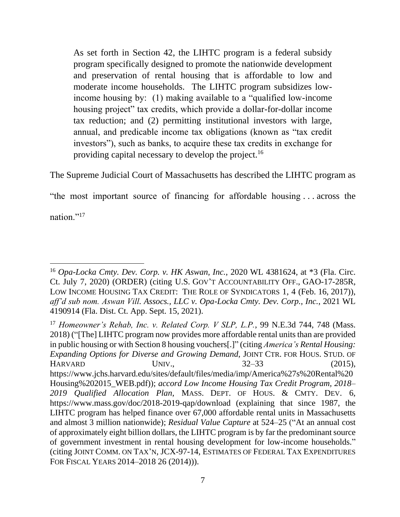As set forth in Section 42, the LIHTC program is a federal subsidy program specifically designed to promote the nationwide development and preservation of rental housing that is affordable to low and moderate income households. The LIHTC program subsidizes lowincome housing by: (1) making available to a "qualified low-income housing project" tax credits, which provide a dollar-for-dollar income tax reduction; and (2) permitting institutional investors with large, annual, and predicable income tax obligations (known as "tax credit investors"), such as banks, to acquire these tax credits in exchange for providing capital necessary to develop the project.<sup>16</sup>

The Supreme Judicial Court of Massachusetts has described the LIHTC program as

"the most important source of financing for affordable housing . . . across the

nation."<sup>17</sup>

<sup>16</sup> *Opa-Locka Cmty. Dev. Corp. v. HK Aswan, Inc.*, 2020 WL 4381624, at \*3 (Fla. Circ. Ct. July 7, 2020) (ORDER) (citing U.S. GOV'T ACCOUNTABILITY OFF., GAO-17-285R, LOW INCOME HOUSING TAX CREDIT: THE ROLE OF SYNDICATORS 1, 4 (Feb. 16, 2017)), *aff'd sub nom. Aswan Vill. Assocs., LLC v. Opa-Locka Cmty. Dev. Corp., Inc.*, 2021 WL 4190914 (Fla. Dist. Ct. App. Sept. 15, 2021).

<sup>17</sup> *Homeowner's Rehab, Inc. v. Related Corp. V SLP, L.P.*, 99 N.E.3d 744, 748 (Mass. 2018) ("The] LIHTC program now provides more affordable rental units than are provided in public housing or with Section 8 housing vouchers[.]" (citing *America's Rental Housing: Expanding Options for Diverse and Growing Demand*, JOINT CTR. FOR HOUS. STUD. OF HARVARD UNIV., 32–33 (2015), https://www.jchs.harvard.edu/sites/default/files/media/imp/America%27s%20Rental%20 Housing%202015\_WEB.pdf)); *accord Low Income Housing Tax Credit Program, 2018– 2019 Qualified Allocation Plan*, MASS. DEPT. OF HOUS. & CMTY. DEV. 6, https://www.mass.gov/doc/2018-2019-qap/download (explaining that since 1987, the LIHTC program has helped finance over 67,000 affordable rental units in Massachusetts and almost 3 million nationwide); *Residual Value Capture* at 524–25 ("At an annual cost of approximately eight billion dollars, the LIHTC program is by far the predominant source of government investment in rental housing development for low-income households." (citing JOINT COMM. ON TAX'N, JCX-97-14, ESTIMATES OF FEDERAL TAX EXPENDITURES FOR FISCAL YEARS 2014*–*2018 26 (2014))).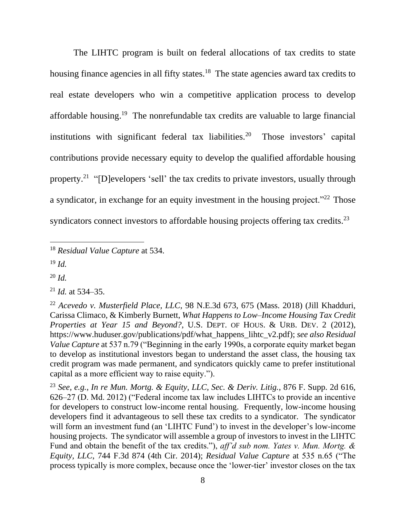The LIHTC program is built on federal allocations of tax credits to state housing finance agencies in all fifty states.<sup>18</sup> The state agencies award tax credits to real estate developers who win a competitive application process to develop affordable housing.<sup>19</sup> The nonrefundable tax credits are valuable to large financial institutions with significant federal tax liabilities.<sup>20</sup> Those investors' capital contributions provide necessary equity to develop the qualified affordable housing property.<sup>21</sup> "[D]evelopers 'sell' the tax credits to private investors, usually through a syndicator, in exchange for an equity investment in the housing project."<sup>22</sup> Those syndicators connect investors to affordable housing projects offering tax credits.<sup>23</sup>

<sup>19</sup> *Id.*

<sup>20</sup> *Id.*

<sup>18</sup> *Residual Value Capture* at 534.

<sup>21</sup> *Id.* at 534–35.

<sup>22</sup> *Acevedo v. Musterfield Place, LLC*, 98 N.E.3d 673, 675 (Mass. 2018) (Jill Khadduri, Carissa Climaco, & Kimberly Burnett, *What Happens to Low–Income Housing Tax Credit Properties at Year 15 and Beyond?*, U.S. DEPT. OF HOUS. & URB. DEV. 2 (2012), https://www.huduser.gov/publications/pdf/what\_happens\_lihtc\_v2.pdf); *see also Residual Value Capture* at 537 n.79 ("Beginning in the early 1990s, a corporate equity market began to develop as institutional investors began to understand the asset class, the housing tax credit program was made permanent, and syndicators quickly came to prefer institutional capital as a more efficient way to raise equity.").

<sup>23</sup> *See, e.g.*, *In re Mun. Mortg. & Equity, LLC, Sec. & Deriv. Litig.*, 876 F. Supp. 2d 616, 626–27 (D. Md. 2012) ("Federal income tax law includes LIHTCs to provide an incentive for developers to construct low-income rental housing. Frequently, low-income housing developers find it advantageous to sell these tax credits to a syndicator. The syndicator will form an investment fund (an 'LIHTC Fund') to invest in the developer's low-income housing projects. The syndicator will assemble a group of investors to invest in the LIHTC Fund and obtain the benefit of the tax credits."), *aff'd sub nom. Yates v. Mun. Mortg. & Equity, LLC*, 744 F.3d 874 (4th Cir. 2014); *Residual Value Capture* at 535 n.65 ("The process typically is more complex, because once the 'lower-tier' investor closes on the tax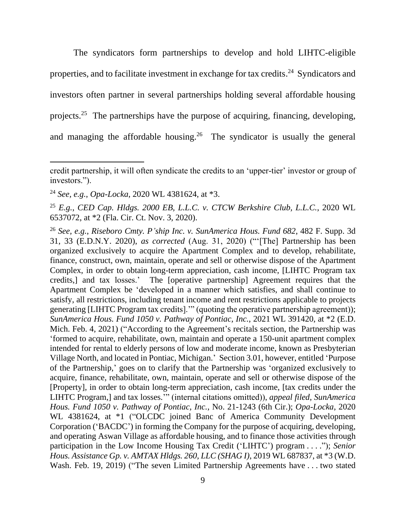The syndicators form partnerships to develop and hold LIHTC-eligible properties, and to facilitate investment in exchange for tax credits.<sup>24</sup> Syndicators and investors often partner in several partnerships holding several affordable housing projects.<sup>25</sup> The partnerships have the purpose of acquiring, financing, developing, and managing the affordable housing. 26 The syndicator is usually the general

credit partnership, it will often syndicate the credits to an 'upper-tier' investor or group of investors.").

<sup>24</sup> *See, e.g.*, *Opa-Locka*, 2020 WL 4381624, at \*3.

<sup>25</sup> *E.g.*, *CED Cap. Hldgs. 2000 EB, L.L.C. v. CTCW Berkshire Club, L.L.C.*, 2020 WL 6537072, at \*2 (Fla. Cir. Ct. Nov. 3, 2020).

<sup>26</sup> *See, e.g.*, *Riseboro Cmty. P'ship Inc. v. SunAmerica Hous. Fund 682*, 482 F. Supp. 3d 31, 33 (E.D.N.Y. 2020), *as corrected* (Aug. 31, 2020) ("'[The] Partnership has been organized exclusively to acquire the Apartment Complex and to develop, rehabilitate, finance, construct, own, maintain, operate and sell or otherwise dispose of the Apartment Complex, in order to obtain long-term appreciation, cash income, [LIHTC Program tax credits,] and tax losses.' The [operative partnership] Agreement requires that the Apartment Complex be 'developed in a manner which satisfies, and shall continue to satisfy, all restrictions, including tenant income and rent restrictions applicable to projects generating [LIHTC Program tax credits].'" (quoting the operative partnership agreement)); *SunAmerica Hous. Fund 1050 v. Pathway of Pontiac, Inc.*, 2021 WL 391420, at \*2 (E.D. Mich. Feb. 4, 2021) ("According to the Agreement's recitals section, the Partnership was 'formed to acquire, rehabilitate, own, maintain and operate a 150-unit apartment complex intended for rental to elderly persons of low and moderate income, known as Presbyterian Village North, and located in Pontiac, Michigan.' Section 3.01, however, entitled 'Purpose of the Partnership,' goes on to clarify that the Partnership was 'organized exclusively to acquire, finance, rehabilitate, own, maintain, operate and sell or otherwise dispose of the [Property], in order to obtain long-term appreciation, cash income, [tax credits under the LIHTC Program,] and tax losses.'" (internal citations omitted)), *appeal filed*, *SunAmerica Hous. Fund 1050 v. Pathway of Pontiac, Inc.*, No. 21-1243 (6th Cir.); *Opa-Locka*, 2020 WL 4381624, at \*1 ("OLCDC joined Banc of America Community Development Corporation ('BACDC') in forming the Company for the purpose of acquiring, developing, and operating Aswan Village as affordable housing, and to finance those activities through participation in the Low Income Housing Tax Credit ('LIHTC') program . . . ."); *Senior Hous. Assistance Gp. v. AMTAX Hldgs. 260, LLC (SHAG I)*, 2019 WL 687837, at \*3 (W.D. Wash. Feb. 19, 2019) ("The seven Limited Partnership Agreements have . . . two stated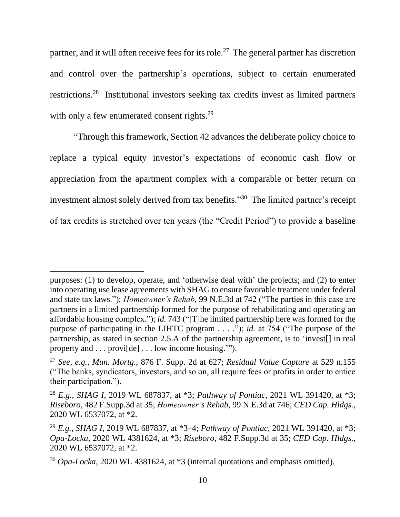partner, and it will often receive fees for its role.<sup>27</sup> The general partner has discretion and control over the partnership's operations, subject to certain enumerated restrictions.<sup>28</sup> Institutional investors seeking tax credits invest as limited partners with only a few enumerated consent rights.<sup>29</sup>

"Through this framework, Section 42 advances the deliberate policy choice to replace a typical equity investor's expectations of economic cash flow or appreciation from the apartment complex with a comparable or better return on investment almost solely derived from tax benefits." 30 The limited partner's receipt of tax credits is stretched over ten years (the "Credit Period") to provide a baseline

purposes: (1) to develop, operate, and 'otherwise deal with' the projects; and (2) to enter into operating use lease agreements with SHAG to ensure favorable treatment under federal and state tax laws."); *Homeowner's Rehab*, 99 N.E.3d at 742 ("The parties in this case are partners in a limited partnership formed for the purpose of rehabilitating and operating an affordable housing complex."); *id.* 743 ("[T]he limited partnership here was formed for the purpose of participating in the LIHTC program . . . ."); *id.* at 754 ("The purpose of the partnership, as stated in section 2.5.A of the partnership agreement, is to 'invest[] in real property and . . . provi[de] . . . low income housing.'").

<sup>27</sup> *See, e.g.*, *Mun. Mortg.*, 876 F. Supp. 2d at 627; *Residual Value Capture* at 529 n.155 ("The banks, syndicators, investors, and so on, all require fees or profits in order to entice their participation.").

<sup>28</sup> *E.g.*, *SHAG I*, 2019 WL 687837, at \*3; *Pathway of Pontiac*, 2021 WL 391420, at \*3; *Riseboro*, 482 F.Supp.3d at 35; *Homeowner's Rehab*, 99 N.E.3d at 746; *CED Cap. Hldgs.*, 2020 WL 6537072, at \*2.

<sup>29</sup> *E.g.*, *SHAG I*, 2019 WL 687837, at \*3–4; *Pathway of Pontiac*, 2021 WL 391420, at \*3; *Opa-Locka*, 2020 WL 4381624, at \*3; *Riseboro*, 482 F.Supp.3d at 35; *CED Cap. Hldgs.*, 2020 WL 6537072, at \*2.

<sup>30</sup> *Opa-Locka*, 2020 WL 4381624, at \*3 (internal quotations and emphasis omitted).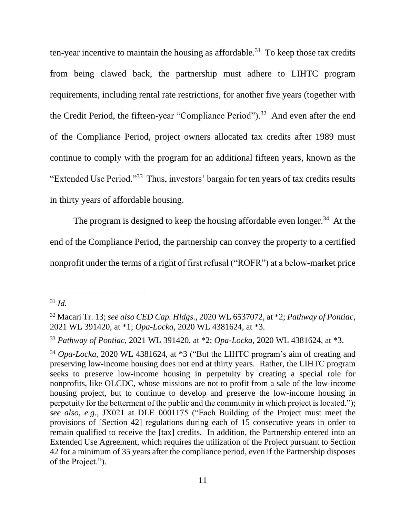ten-year incentive to maintain the housing as affordable.<sup>31</sup> To keep those tax credits from being clawed back, the partnership must adhere to LIHTC program requirements, including rental rate restrictions, for another five years (together with the Credit Period, the fifteen-year "Compliance Period").<sup>32</sup> And even after the end of the Compliance Period, project owners allocated tax credits after 1989 must continue to comply with the program for an additional fifteen years, known as the "Extended Use Period."<sup>33</sup> Thus, investors' bargain for ten years of tax credits results in thirty years of affordable housing.

The program is designed to keep the housing affordable even longer.<sup>34</sup> At the end of the Compliance Period, the partnership can convey the property to a certified nonprofit under the terms of a right of first refusal ("ROFR") at a below-market price

<sup>31</sup> *Id.*

<sup>32</sup> Macari Tr. 13; *see also CED Cap. Hldgs.*, 2020 WL 6537072, at \*2; *Pathway of Pontiac*, 2021 WL 391420, at \*1; *Opa-Locka*, 2020 WL 4381624, at \*3.

<sup>33</sup> *Pathway of Pontiac*, 2021 WL 391420, at \*2; *Opa-Locka*, 2020 WL 4381624, at \*3.

<sup>34</sup> *Opa-Locka*, 2020 WL 4381624, at \*3 ("But the LIHTC program's aim of creating and preserving low-income housing does not end at thirty years. Rather, the LIHTC program seeks to preserve low-income housing in perpetuity by creating a special role for nonprofits, like OLCDC, whose missions are not to profit from a sale of the low-income housing project, but to continue to develop and preserve the low-income housing in perpetuity for the betterment of the public and the community in which project is located."); *see also, e.g.*, JX021 at DLE\_0001175 ("Each Building of the Project must meet the provisions of [Section 42] regulations during each of 15 consecutive years in order to remain qualified to receive the [tax] credits. In addition, the Partnership entered into an Extended Use Agreement, which requires the utilization of the Project pursuant to Section 42 for a minimum of 35 years after the compliance period, even if the Partnership disposes of the Project.").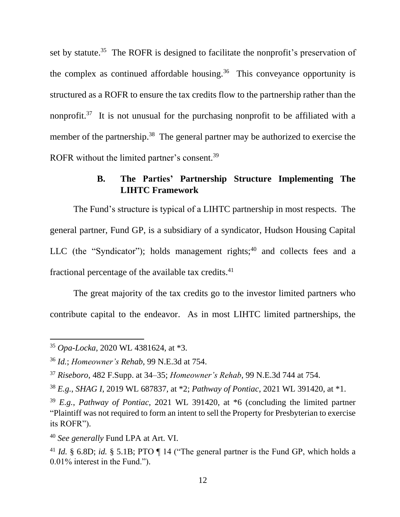set by statute.<sup>35</sup> The ROFR is designed to facilitate the nonprofit's preservation of the complex as continued affordable housing.<sup>36</sup> This conveyance opportunity is structured as a ROFR to ensure the tax credits flow to the partnership rather than the nonprofit.<sup>37</sup> It is not unusual for the purchasing nonprofit to be affiliated with a member of the partnership.<sup>38</sup> The general partner may be authorized to exercise the ROFR without the limited partner's consent.<sup>39</sup>

## **B. The Parties' Partnership Structure Implementing The LIHTC Framework**

The Fund's structure is typical of a LIHTC partnership in most respects. The general partner, Fund GP, is a subsidiary of a syndicator, Hudson Housing Capital LLC (the "Syndicator"); holds management rights; $40$  and collects fees and a fractional percentage of the available tax credits.<sup>41</sup>

The great majority of the tax credits go to the investor limited partners who contribute capital to the endeavor. As in most LIHTC limited partnerships, the

<sup>35</sup> *Opa-Locka*, 2020 WL 4381624, at \*3.

<sup>36</sup> *Id.*; *Homeowner's Rehab*, 99 N.E.3d at 754.

<sup>37</sup> *Riseboro*, 482 F.Supp. at 34–35; *Homeowner's Rehab*, 99 N.E.3d 744 at 754.

<sup>38</sup> *E.g.*, *SHAG I*, 2019 WL 687837, at \*2; *Pathway of Pontiac*, 2021 WL 391420, at \*1.

<sup>39</sup> *E.g.*, *Pathway of Pontiac*, 2021 WL 391420, at \*6 (concluding the limited partner "Plaintiff was not required to form an intent to sell the Property for Presbyterian to exercise its ROFR").

<sup>40</sup> *See generally* Fund LPA at Art. VI.

<sup>41</sup> *Id.* § 6.8D; *id.* § 5.1B; PTO ¶ 14 ("The general partner is the Fund GP, which holds a 0.01% interest in the Fund.").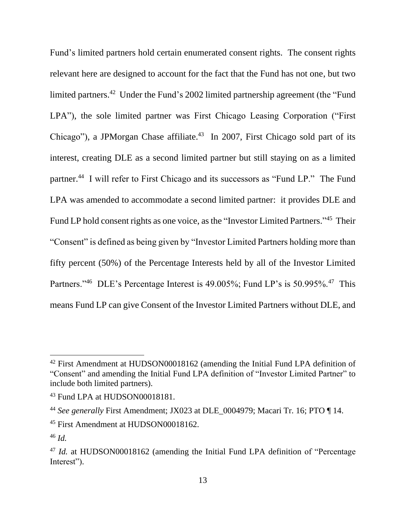Fund's limited partners hold certain enumerated consent rights. The consent rights relevant here are designed to account for the fact that the Fund has not one, but two limited partners.<sup>42</sup> Under the Fund's 2002 limited partnership agreement (the "Fund" LPA"), the sole limited partner was First Chicago Leasing Corporation ("First Chicago"), a JPMorgan Chase affiliate.<sup>43</sup> In 2007, First Chicago sold part of its interest, creating DLE as a second limited partner but still staying on as a limited partner.<sup>44</sup> I will refer to First Chicago and its successors as "Fund LP." The Fund LPA was amended to accommodate a second limited partner: it provides DLE and Fund LP hold consent rights as one voice, as the "Investor Limited Partners."<sup>45</sup> Their "Consent" is defined as being given by "Investor Limited Partners holding more than fifty percent (50%) of the Percentage Interests held by all of the Investor Limited Partners."<sup>46</sup> DLE's Percentage Interest is 49.005%; Fund LP's is 50.995%.<sup>47</sup> This means Fund LP can give Consent of the Investor Limited Partners without DLE, and

<sup>42</sup> First Amendment at HUDSON00018162 (amending the Initial Fund LPA definition of "Consent" and amending the Initial Fund LPA definition of "Investor Limited Partner" to include both limited partners).

<sup>&</sup>lt;sup>43</sup> Fund LPA at HUDSON00018181.

<sup>44</sup> *See generally* First Amendment; JX023 at DLE\_0004979; Macari Tr. 16; PTO ¶ 14.

<sup>45</sup> First Amendment at HUDSON00018162.

<sup>46</sup> *Id.*

<sup>47</sup> *Id.* at HUDSON00018162 (amending the Initial Fund LPA definition of "Percentage Interest").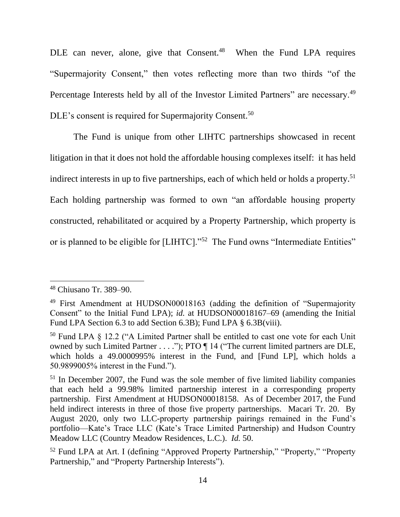DLE can never, alone, give that Consent.<sup>48</sup> When the Fund LPA requires "Supermajority Consent," then votes reflecting more than two thirds "of the Percentage Interests held by all of the Investor Limited Partners" are necessary.<sup>49</sup> DLE's consent is required for Supermajority Consent.<sup>50</sup>

The Fund is unique from other LIHTC partnerships showcased in recent litigation in that it does not hold the affordable housing complexes itself: it has held indirect interests in up to five partnerships, each of which held or holds a property.<sup>51</sup> Each holding partnership was formed to own "an affordable housing property constructed, rehabilitated or acquired by a Property Partnership, which property is or is planned to be eligible for [LIHTC]."<sup>52</sup> The Fund owns "Intermediate Entities"

<sup>48</sup> Chiusano Tr. 389–90.

<sup>49</sup> First Amendment at HUDSON00018163 (adding the definition of "Supermajority Consent" to the Initial Fund LPA); *id.* at HUDSON00018167–69 (amending the Initial Fund LPA Section 6.3 to add Section 6.3B); Fund LPA § 6.3B(viii).

<sup>50</sup> Fund LPA § 12.2 ("A Limited Partner shall be entitled to cast one vote for each Unit owned by such Limited Partner . . . ."); PTO  $\P$  14 ("The current limited partners are DLE, which holds a 49.0000995% interest in the Fund, and [Fund LP], which holds a 50.9899005% interest in the Fund.").

<sup>&</sup>lt;sup>51</sup> In December 2007, the Fund was the sole member of five limited liability companies that each held a 99.98% limited partnership interest in a corresponding property partnership. First Amendment at HUDSON00018158. As of December 2017, the Fund held indirect interests in three of those five property partnerships. Macari Tr. 20. By August 2020, only two LLC-property partnership pairings remained in the Fund's portfolio—Kate's Trace LLC (Kate's Trace Limited Partnership) and Hudson Country Meadow LLC (Country Meadow Residences, L.C.). *Id.* 50.

<sup>52</sup> Fund LPA at Art. I (defining "Approved Property Partnership," "Property," "Property Partnership," and "Property Partnership Interests").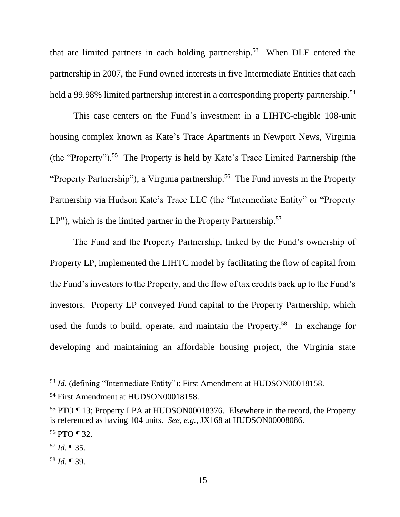that are limited partners in each holding partnership.<sup>53</sup> When DLE entered the partnership in 2007, the Fund owned interests in five Intermediate Entities that each held a 99.98% limited partnership interest in a corresponding property partnership.<sup>54</sup>

This case centers on the Fund's investment in a LIHTC-eligible 108-unit housing complex known as Kate's Trace Apartments in Newport News, Virginia (the "Property").<sup>55</sup> The Property is held by Kate's Trace Limited Partnership (the "Property Partnership"), a Virginia partnership.<sup>56</sup> The Fund invests in the Property Partnership via Hudson Kate's Trace LLC (the "Intermediate Entity" or "Property LP"), which is the limited partner in the Property Partnership.<sup>57</sup>

The Fund and the Property Partnership, linked by the Fund's ownership of Property LP, implemented the LIHTC model by facilitating the flow of capital from the Fund's investors to the Property, and the flow of tax credits back up to the Fund's investors. Property LP conveyed Fund capital to the Property Partnership, which used the funds to build, operate, and maintain the Property. <sup>58</sup> In exchange for developing and maintaining an affordable housing project, the Virginia state

<sup>&</sup>lt;sup>53</sup> *Id.* (defining "Intermediate Entity"); First Amendment at HUDSON00018158.

<sup>54</sup> First Amendment at HUDSON00018158.

<sup>55</sup> PTO ¶ 13; Property LPA at HUDSON00018376. Elsewhere in the record, the Property is referenced as having 104 units. *See, e.g.*, JX168 at HUDSON00008086.

<sup>56</sup> PTO ¶ 32.

<sup>57</sup> *Id.* ¶ 35.

<sup>58</sup> *Id.* ¶ 39.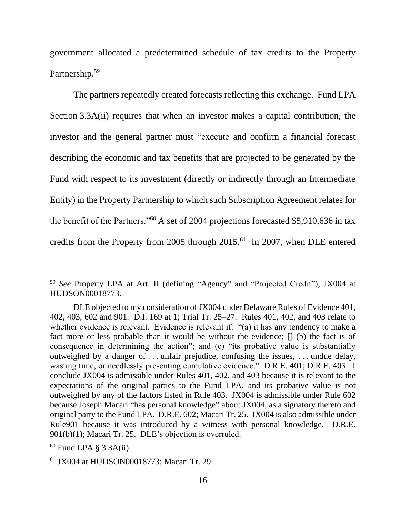government allocated a predetermined schedule of tax credits to the Property Partnership.<sup>59</sup>

The partners repeatedly created forecasts reflecting this exchange. Fund LPA Section 3.3A(ii) requires that when an investor makes a capital contribution, the investor and the general partner must "execute and confirm a financial forecast describing the economic and tax benefits that are projected to be generated by the Fund with respect to its investment (directly or indirectly through an Intermediate Entity) in the Property Partnership to which such Subscription Agreement relates for the benefit of the Partners."<sup>60</sup> A set of 2004 projections forecasted \$5,910,636 in tax credits from the Property from 2005 through 2015.<sup>61</sup> In 2007, when DLE entered

<sup>59</sup> *See* Property LPA at Art. II (defining "Agency" and "Projected Credit"); JX004 at HUDSON00018773.

DLE objected to my consideration of JX004 under Delaware Rules of Evidence 401, 402, 403, 602 and 901. D.I. 169 at 1; Trial Tr. 25–27. Rules 401, 402, and 403 relate to whether evidence is relevant. Evidence is relevant if: "(a) it has any tendency to make a fact more or less probable than it would be without the evidence; [] (b) the fact is of consequence in determining the action"; and (c) "its probative value is substantially outweighed by a danger of . . . unfair prejudice, confusing the issues, . . . undue delay, wasting time, or needlessly presenting cumulative evidence." D.R.E. 401; D.R.E. 403. I conclude JX004 is admissible under Rules 401, 402, and 403 because it is relevant to the expectations of the original parties to the Fund LPA, and its probative value is not outweighed by any of the factors listed in Rule 403. JX004 is admissible under Rule 602 because Joseph Macari "has personal knowledge" about JX004, as a signatory thereto and original party to the Fund LPA. D.R.E. 602; Macari Tr. 25. JX004 is also admissible under Rule901 because it was introduced by a witness with personal knowledge. D.R.E. 901(b)(1); Macari Tr. 25. DLE's objection is overruled.

 $60$  Fund LPA § 3.3A(ii).

<sup>61</sup> JX004 at HUDSON00018773; Macari Tr. 29.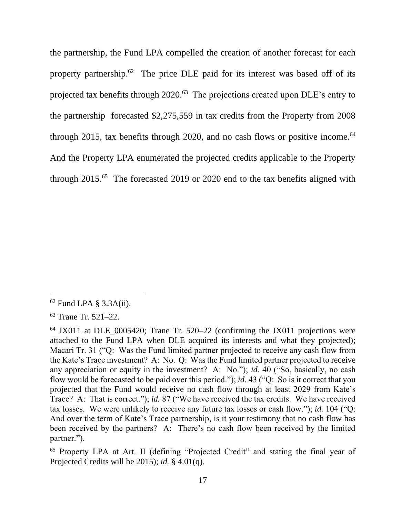the partnership, the Fund LPA compelled the creation of another forecast for each property partnership.<sup>62</sup> The price DLE paid for its interest was based off of its projected tax benefits through 2020.<sup>63</sup> The projections created upon DLE's entry to the partnership forecasted \$2,275,559 in tax credits from the Property from 2008 through 2015, tax benefits through 2020, and no cash flows or positive income.<sup>64</sup> And the Property LPA enumerated the projected credits applicable to the Property through  $2015<sup>65</sup>$  The forecasted 2019 or 2020 end to the tax benefits aligned with

 $62$  Fund LPA § 3.3A(ii).

<sup>63</sup> Trane Tr. 521–22.

 $64$  JX011 at DLE 0005420; Trane Tr. 520–22 (confirming the JX011 projections were attached to the Fund LPA when DLE acquired its interests and what they projected); Macari Tr. 31 ("Q: Was the Fund limited partner projected to receive any cash flow from the Kate's Trace investment? A: No. Q: Was the Fund limited partner projected to receive any appreciation or equity in the investment? A: No."); *id.* 40 ("So, basically, no cash flow would be forecasted to be paid over this period."); *id.* 43 ("Q: So is it correct that you projected that the Fund would receive no cash flow through at least 2029 from Kate's Trace? A: That is correct."); *id.* 87 ("We have received the tax credits. We have received tax losses. We were unlikely to receive any future tax losses or cash flow."); *id.* 104 ("Q: And over the term of Kate's Trace partnership, is it your testimony that no cash flow has been received by the partners? A: There's no cash flow been received by the limited partner.").

<sup>65</sup> Property LPA at Art. II (defining "Projected Credit" and stating the final year of Projected Credits will be 2015); *id.* § 4.01(q).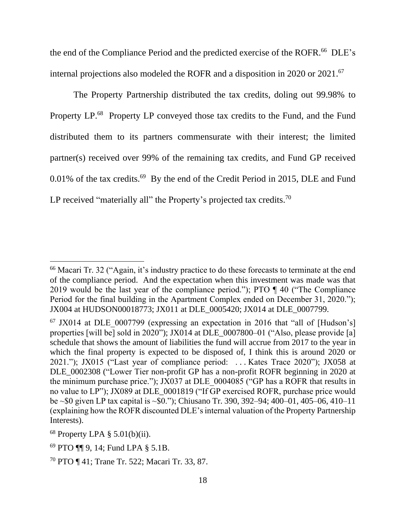the end of the Compliance Period and the predicted exercise of the ROFR.<sup>66</sup> DLE's internal projections also modeled the ROFR and a disposition in 2020 or 2021.<sup>67</sup>

The Property Partnership distributed the tax credits, doling out 99.98% to Property LP.<sup>68</sup> Property LP conveyed those tax credits to the Fund, and the Fund distributed them to its partners commensurate with their interest; the limited partner(s) received over 99% of the remaining tax credits, and Fund GP received  $0.01\%$  of the tax credits.<sup>69</sup> By the end of the Credit Period in 2015, DLE and Fund LP received "materially all" the Property's projected tax credits.<sup>70</sup>

<sup>66</sup> Macari Tr. 32 ("Again, it's industry practice to do these forecasts to terminate at the end of the compliance period. And the expectation when this investment was made was that 2019 would be the last year of the compliance period."); PTO ¶ 40 ("The Compliance Period for the final building in the Apartment Complex ended on December 31, 2020."); JX004 at HUDSON00018773; JX011 at DLE\_0005420; JX014 at DLE\_0007799.

 $67$  JX014 at DLE 0007799 (expressing an expectation in 2016 that "all of [Hudson's] properties [will be] sold in 2020"); JX014 at DLE\_0007800-01 ("Also, please provide [a] schedule that shows the amount of liabilities the fund will accrue from 2017 to the year in which the final property is expected to be disposed of, I think this is around 2020 or 2021."); JX015 ("Last year of compliance period: . . . Kates Trace 2020"); JX058 at DLE\_0002308 ("Lower Tier non-profit GP has a non-profit ROFR beginning in 2020 at the minimum purchase price."); JX037 at DLE 0004085 ("GP has a ROFR that results in no value to LP"); JX089 at DLE\_0001819 ("If GP exercised ROFR, purchase price would be ~\$0 given LP tax capital is ~\$0."); Chiusano Tr. 390, 392–94; 400–01, 405–06, 410–11 (explaining how the ROFR discounted DLE's internal valuation of the Property Partnership Interests).

 $68$  Property LPA § 5.01(b)(ii).

<sup>69</sup> PTO ¶¶ 9, 14; Fund LPA § 5.1B.

<sup>70</sup> PTO ¶ 41; Trane Tr. 522; Macari Tr. 33, 87.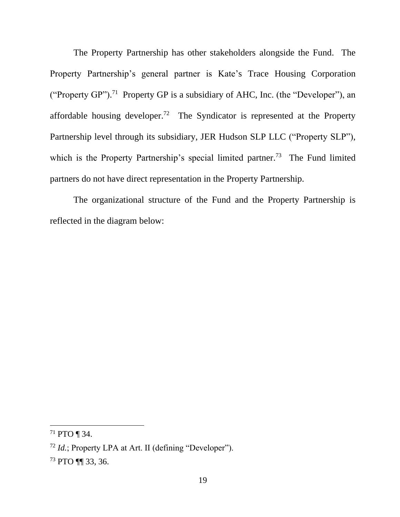The Property Partnership has other stakeholders alongside the Fund. The Property Partnership's general partner is Kate's Trace Housing Corporation ("Property GP").<sup>71</sup> Property GP is a subsidiary of AHC, Inc. (the "Developer"), an affordable housing developer.<sup>72</sup> The Syndicator is represented at the Property Partnership level through its subsidiary, JER Hudson SLP LLC ("Property SLP"), which is the Property Partnership's special limited partner.<sup>73</sup> The Fund limited partners do not have direct representation in the Property Partnership.

The organizational structure of the Fund and the Property Partnership is reflected in the diagram below:

<sup>71</sup> PTO ¶ 34.

<sup>72</sup> *Id.*; Property LPA at Art. II (defining "Developer").

<sup>73</sup> PTO ¶¶ 33, 36.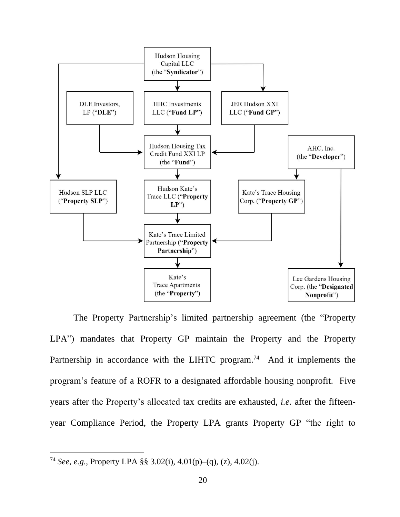

The Property Partnership's limited partnership agreement (the "Property LPA") mandates that Property GP maintain the Property and the Property Partnership in accordance with the LIHTC program.<sup>74</sup> And it implements the program's feature of a ROFR to a designated affordable housing nonprofit. Five years after the Property's allocated tax credits are exhausted, *i.e.* after the fifteenyear Compliance Period, the Property LPA grants Property GP "the right to

<sup>74</sup> *See, e.g.*, Property LPA §§ 3.02(i), 4.01(p)–(q), (z), 4.02(j).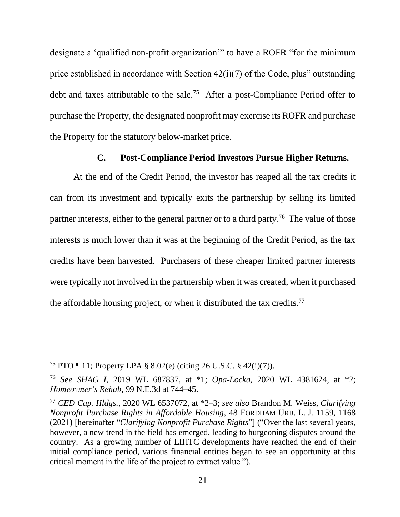designate a 'qualified non-profit organization'" to have a ROFR "for the minimum price established in accordance with Section 42(i)(7) of the Code, plus" outstanding debt and taxes attributable to the sale. <sup>75</sup> After a post-Compliance Period offer to purchase the Property, the designated nonprofit may exercise its ROFR and purchase the Property for the statutory below-market price.

### **C. Post-Compliance Period Investors Pursue Higher Returns.**

At the end of the Credit Period, the investor has reaped all the tax credits it can from its investment and typically exits the partnership by selling its limited partner interests, either to the general partner or to a third party.<sup>76</sup> The value of those interests is much lower than it was at the beginning of the Credit Period, as the tax credits have been harvested. Purchasers of these cheaper limited partner interests were typically not involved in the partnership when it was created, when it purchased the affordable housing project, or when it distributed the tax credits.<sup>77</sup>

<sup>75</sup> PTO ¶ 11; Property LPA § 8.02(e) (citing 26 U.S.C. § 42(i)(7)).

<sup>76</sup> *See SHAG I*, 2019 WL 687837, at \*1; *Opa-Locka*, 2020 WL 4381624, at \*2; *Homeowner's Rehab*, 99 N.E.3d at 744–45.

<sup>77</sup> *CED Cap. Hldgs.*, 2020 WL 6537072, at \*2–3; *see also* Brandon M. Weiss, *Clarifying Nonprofit Purchase Rights in Affordable Housing*, 48 FORDHAM URB. L. J. 1159, 1168 (2021) [hereinafter "*Clarifying Nonprofit Purchase Rights*"] ("Over the last several years, however, a new trend in the field has emerged, leading to burgeoning disputes around the country. As a growing number of LIHTC developments have reached the end of their initial compliance period, various financial entities began to see an opportunity at this critical moment in the life of the project to extract value.").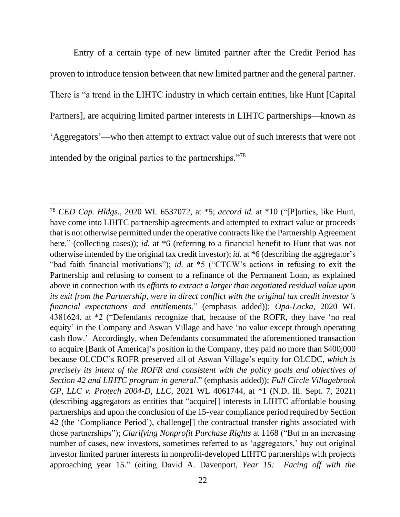Entry of a certain type of new limited partner after the Credit Period has proven to introduce tension between that new limited partner and the general partner. There is "a trend in the LIHTC industry in which certain entities, like Hunt [Capital Partners], are acquiring limited partner interests in LIHTC partnerships—known as 'Aggregators'—who then attempt to extract value out of such interests that were not intended by the original parties to the partnerships."<sup>78</sup>

<sup>78</sup> *CED Cap. Hldgs.*, 2020 WL 6537072, at \*5; *accord id.* at \*10 ("[P]arties, like Hunt, have come into LIHTC partnership agreements and attempted to extract value or proceeds that is not otherwise permitted under the operative contracts like the Partnership Agreement here." (collecting cases)); *id.* at \*6 (referring to a financial benefit to Hunt that was not otherwise intended by the original tax credit investor); *id.* at \*6 (describing the aggregator's "bad faith financial motivations"); *id.* at \*5 ("CTCW's actions in refusing to exit the Partnership and refusing to consent to a refinance of the Permanent Loan, as explained above in connection with its *efforts to extract a larger than negotiated residual value upon its exit from the Partnership, were in direct conflict with the original tax credit investor's financial expectations and entitlements*." (emphasis added)); *Opa-Locka*, 2020 WL 4381624, at \*2 ("Defendants recognize that, because of the ROFR, they have 'no real equity' in the Company and Aswan Village and have 'no value except through operating cash flow.' Accordingly, when Defendants consummated the aforementioned transaction to acquire [Bank of America]'s position in the Company, they paid no more than \$400,000 because OLCDC's ROFR preserved all of Aswan Village's equity for OLCDC, *which is precisely its intent of the ROFR and consistent with the policy goals and objectives of Section 42 and LIHTC program in general*." (emphasis added)); *Full Circle Villagebrook GP, LLC v. Protech 2004-D, LLC*, 2021 WL 4061744, at \*1 (N.D. Ill. Sept. 7, 2021) (describing aggregators as entities that "acquire[] interests in LIHTC affordable housing partnerships and upon the conclusion of the 15-year compliance period required by Section 42 (the 'Compliance Period'), challenge[] the contractual transfer rights associated with those partnerships"); *Clarifying Nonprofit Purchase Rights* at 1168 ("But in an increasing number of cases, new investors, sometimes referred to as 'aggregators,' buy out original investor limited partner interests in nonprofit-developed LIHTC partnerships with projects approaching year 15." (citing David A. Davenport, *Year 15: Facing off with the*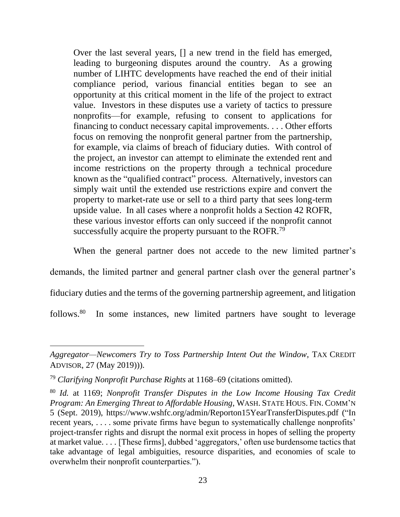Over the last several years, [] a new trend in the field has emerged, leading to burgeoning disputes around the country. As a growing number of LIHTC developments have reached the end of their initial compliance period, various financial entities began to see an opportunity at this critical moment in the life of the project to extract value. Investors in these disputes use a variety of tactics to pressure nonprofits—for example, refusing to consent to applications for financing to conduct necessary capital improvements. . . . Other efforts focus on removing the nonprofit general partner from the partnership, for example, via claims of breach of fiduciary duties. With control of the project, an investor can attempt to eliminate the extended rent and income restrictions on the property through a technical procedure known as the "qualified contract" process. Alternatively, investors can simply wait until the extended use restrictions expire and convert the property to market-rate use or sell to a third party that sees long-term upside value. In all cases where a nonprofit holds a Section 42 ROFR, these various investor efforts can only succeed if the nonprofit cannot successfully acquire the property pursuant to the ROFR.<sup>79</sup>

When the general partner does not accede to the new limited partner's demands, the limited partner and general partner clash over the general partner's fiduciary duties and the terms of the governing partnership agreement, and litigation  $follows<sup>80</sup>$ In some instances, new limited partners have sought to leverage

*Aggregator—Newcomers Try to Toss Partnership Intent Out the Window*, TAX CREDIT ADVISOR, 27 (May 2019))).

<sup>79</sup> *Clarifying Nonprofit Purchase Rights* at 1168–69 (citations omitted).

<sup>80</sup> *Id.* at 1169; *Nonprofit Transfer Disputes in the Low Income Housing Tax Credit Program: An Emerging Threat to Affordable Housing*, WASH. STATE HOUS. FIN. COMM'N 5 (Sept. 2019), https://www.wshfc.org/admin/Reporton15YearTransferDisputes.pdf ("In recent years, ... some private firms have begun to systematically challenge nonprofits' project-transfer rights and disrupt the normal exit process in hopes of selling the property at market value. . . . [These firms], dubbed 'aggregators,' often use burdensome tactics that take advantage of legal ambiguities, resource disparities, and economies of scale to overwhelm their nonprofit counterparties.").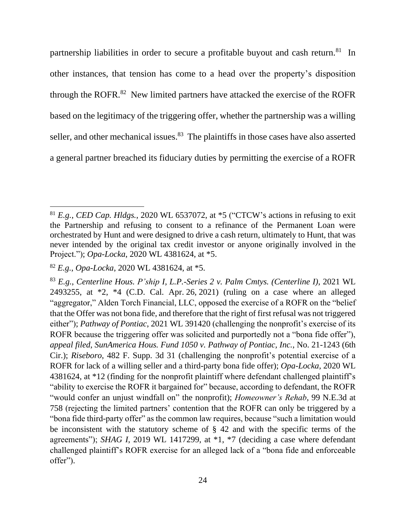partnership liabilities in order to secure a profitable buyout and cash return.<sup>81</sup> In other instances, that tension has come to a head over the property's disposition through the ROFR. $82$  New limited partners have attacked the exercise of the ROFR based on the legitimacy of the triggering offer, whether the partnership was a willing seller, and other mechanical issues.<sup>83</sup> The plaintiffs in those cases have also asserted a general partner breached its fiduciary duties by permitting the exercise of a ROFR

<sup>81</sup> *E.g.*, *CED Cap. Hldgs.*, 2020 WL 6537072, at \*5 ("CTCW's actions in refusing to exit the Partnership and refusing to consent to a refinance of the Permanent Loan were orchestrated by Hunt and were designed to drive a cash return, ultimately to Hunt, that was never intended by the original tax credit investor or anyone originally involved in the Project."); *Opa-Locka*, 2020 WL 4381624, at \*5.

<sup>82</sup> *E.g.*, *Opa-Locka*, 2020 WL 4381624, at \*5.

<sup>83</sup> *E.g.*, *Centerline Hous. P'ship I, L.P.-Series 2 v. Palm Cmtys. (Centerline I)*, 2021 WL 2493255, at \*2, \*4 (C.D. Cal. Apr. 26, 2021) (ruling on a case where an alleged "aggregator," Alden Torch Financial, LLC, opposed the exercise of a ROFR on the "belief that the Offer was not bona fide, and therefore that the right of first refusal was not triggered either"); *Pathway of Pontiac*, 2021 WL 391420 (challenging the nonprofit's exercise of its ROFR because the triggering offer was solicited and purportedly not a "bona fide offer"), *appeal filed*, *SunAmerica Hous. Fund 1050 v. Pathway of Pontiac, Inc.*, No. 21-1243 (6th Cir.); *Riseboro*, 482 F. Supp. 3d 31 (challenging the nonprofit's potential exercise of a ROFR for lack of a willing seller and a third-party bona fide offer); *Opa-Locka*, 2020 WL 4381624, at \*12 (finding for the nonprofit plaintiff where defendant challenged plaintiff's "ability to exercise the ROFR it bargained for" because, according to defendant, the ROFR "would confer an unjust windfall on" the nonprofit); *Homeowner's Rehab*, 99 N.E.3d at 758 (rejecting the limited partners' contention that the ROFR can only be triggered by a "bona fide third-party offer" as the common law requires, because "such a limitation would be inconsistent with the statutory scheme of § 42 and with the specific terms of the agreements"); *SHAG I*, 2019 WL 1417299, at \*1, \*7 (deciding a case where defendant challenged plaintiff's ROFR exercise for an alleged lack of a "bona fide and enforceable offer").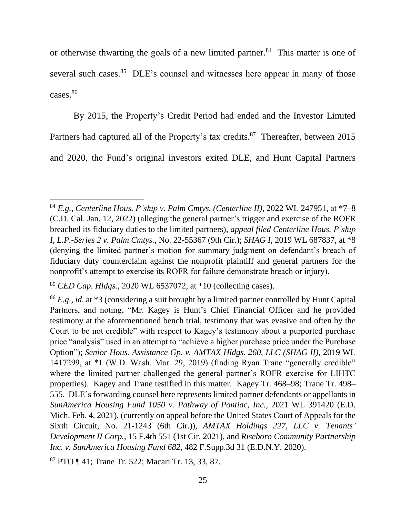or otherwise thwarting the goals of a new limited partner.<sup>84</sup> This matter is one of several such cases.<sup>85</sup> DLE's counsel and witnesses here appear in many of those cases.<sup>86</sup>

By 2015, the Property's Credit Period had ended and the Investor Limited Partners had captured all of the Property's tax credits.<sup>87</sup> Thereafter, between 2015 and 2020, the Fund's original investors exited DLE, and Hunt Capital Partners

<sup>84</sup> *E.g.*, *Centerline Hous. P'ship v. Palm Cmtys. (Centerline II)*, 2022 WL 247951, at \*7–8 (C.D. Cal. Jan. 12, 2022) (alleging the general partner's trigger and exercise of the ROFR breached its fiduciary duties to the limited partners), *appeal filed Centerline Hous. P'ship I, L.P.-Series 2 v. Palm Cmtys.*, No. 22-55367 (9th Cir.); *SHAG I*, 2019 WL 687837, at \*8 (denying the limited partner's motion for summary judgment on defendant's breach of fiduciary duty counterclaim against the nonprofit plaintiff and general partners for the nonprofit's attempt to exercise its ROFR for failure demonstrate breach or injury).

<sup>85</sup> *CED Cap. Hldgs.*, 2020 WL 6537072, at \*10 (collecting cases).

<sup>86</sup> *E.g.*, *id.* at \*3 (considering a suit brought by a limited partner controlled by Hunt Capital Partners, and noting, "Mr. Kagey is Hunt's Chief Financial Officer and he provided testimony at the aforementioned bench trial, testimony that was evasive and often by the Court to be not credible" with respect to Kagey's testimony about a purported purchase price "analysis" used in an attempt to "achieve a higher purchase price under the Purchase Option"); *Senior Hous. Assistance Gp. v. AMTAX Hldgs. 260, LLC (SHAG II)*, 2019 WL 1417299, at \*1 (W.D. Wash. Mar. 29, 2019) (finding Ryan Trane "generally credible" where the limited partner challenged the general partner's ROFR exercise for LIHTC properties). Kagey and Trane testified in this matter. Kagey Tr. 468–98; Trane Tr. 498– 555. DLE's forwarding counsel here represents limited partner defendants or appellants in *SunAmerica Housing Fund 1050 v. Pathway of Pontiac, Inc.*, 2021 WL 391420 (E.D. Mich. Feb. 4, 2021), (currently on appeal before the United States Court of Appeals for the Sixth Circuit, No. 21-1243 (6th Cir.)), *AMTAX Holdings 227, LLC v. Tenants' Development II Corp.*, 15 F.4th 551 (1st Cir. 2021), and *Riseboro Community Partnership Inc. v. SunAmerica Housing Fund 682*, 482 F.Supp.3d 31 (E.D.N.Y. 2020).

<sup>87</sup> PTO ¶ 41; Trane Tr. 522; Macari Tr. 13, 33, 87.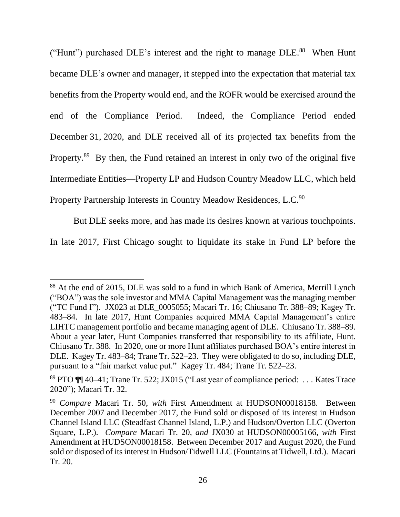("Hunt") purchased DLE's interest and the right to manage DLE.<sup>88</sup> When Hunt became DLE's owner and manager, it stepped into the expectation that material tax benefits from the Property would end, and the ROFR would be exercised around the end of the Compliance Period. Indeed, the Compliance Period ended December 31, 2020, and DLE received all of its projected tax benefits from the Property.<sup>89</sup> By then, the Fund retained an interest in only two of the original five Intermediate Entities—Property LP and Hudson Country Meadow LLC, which held Property Partnership Interests in Country Meadow Residences, L.C.<sup>90</sup>

But DLE seeks more, and has made its desires known at various touchpoints.

In late 2017, First Chicago sought to liquidate its stake in Fund LP before the

<sup>88</sup> At the end of 2015, DLE was sold to a fund in which Bank of America, Merrill Lynch ("BOA") was the sole investor and MMA Capital Management was the managing member ("TC Fund I"). JX023 at DLE\_0005055; Macari Tr. 16; Chiusano Tr. 388–89; Kagey Tr. 483–84. In late 2017, Hunt Companies acquired MMA Capital Management's entire LIHTC management portfolio and became managing agent of DLE. Chiusano Tr. 388–89. About a year later, Hunt Companies transferred that responsibility to its affiliate, Hunt. Chiusano Tr. 388. In 2020, one or more Hunt affiliates purchased BOA's entire interest in DLE. Kagey Tr. 483–84; Trane Tr. 522–23. They were obligated to do so, including DLE, pursuant to a "fair market value put." Kagey Tr. 484; Trane Tr. 522–23.

<sup>89</sup> PTO ¶¶ 40–41; Trane Tr. 522; JX015 ("Last year of compliance period: . . . Kates Trace 2020"); Macari Tr. 32.

<sup>90</sup> *Compare* Macari Tr. 50, *with* First Amendment at HUDSON00018158. Between December 2007 and December 2017, the Fund sold or disposed of its interest in Hudson Channel Island LLC (Steadfast Channel Island, L.P.) and Hudson/Overton LLC (Overton Square, L.P.). *Compare* Macari Tr. 20, *and* JX030 at HUDSON00005166, *with* First Amendment at HUDSON00018158. Between December 2017 and August 2020, the Fund sold or disposed of its interest in Hudson/Tidwell LLC (Fountains at Tidwell, Ltd.). Macari Tr. 20.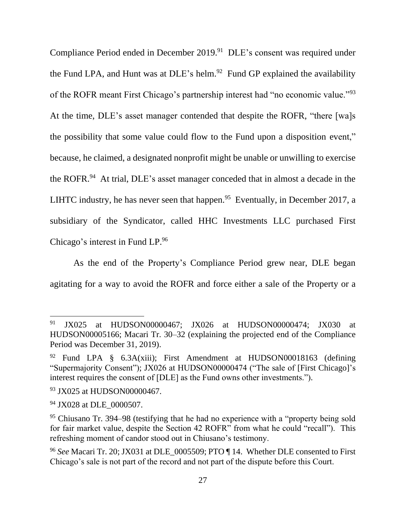Compliance Period ended in December 2019. 91 DLE's consent was required under the Fund LPA, and Hunt was at  $DLE$ 's helm.<sup>92</sup> Fund GP explained the availability of the ROFR meant First Chicago's partnership interest had "no economic value."<sup>93</sup> At the time, DLE's asset manager contended that despite the ROFR, "there [wa]s the possibility that some value could flow to the Fund upon a disposition event," because, he claimed, a designated nonprofit might be unable or unwilling to exercise the ROFR.<sup>94</sup> At trial, DLE's asset manager conceded that in almost a decade in the LIHTC industry, he has never seen that happen.<sup>95</sup> Eventually, in December 2017, a subsidiary of the Syndicator, called HHC Investments LLC purchased First Chicago's interest in Fund LP.<sup>96</sup>

As the end of the Property's Compliance Period grew near, DLE began agitating for a way to avoid the ROFR and force either a sale of the Property or a

<sup>91</sup> JX025 at HUDSON00000467; JX026 at HUDSON00000474; JX030 at HUDSON00005166; Macari Tr. 30–32 (explaining the projected end of the Compliance Period was December 31, 2019).

<sup>92</sup> Fund LPA § 6.3A(xiii); First Amendment at HUDSON00018163 (defining "Supermajority Consent"); JX026 at HUDSON00000474 ("The sale of [First Chicago]'s interest requires the consent of [DLE] as the Fund owns other investments.").

<sup>93</sup> JX025 at HUDSON00000467.

<sup>&</sup>lt;sup>94</sup> JX028 at DLE\_0000507.

<sup>95</sup> Chiusano Tr. 394–98 (testifying that he had no experience with a "property being sold for fair market value, despite the Section 42 ROFR" from what he could "recall"). This refreshing moment of candor stood out in Chiusano's testimony.

<sup>96</sup> *See* Macari Tr. 20; JX031 at DLE\_0005509; PTO ¶ 14. Whether DLE consented to First Chicago's sale is not part of the record and not part of the dispute before this Court.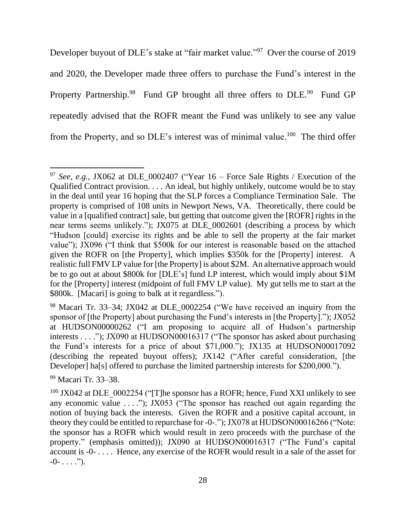Developer buyout of DLE's stake at "fair market value."<sup>97</sup> Over the course of 2019 and 2020, the Developer made three offers to purchase the Fund's interest in the Property Partnership.<sup>98</sup> Fund GP brought all three offers to DLE.<sup>99</sup> Fund GP repeatedly advised that the ROFR meant the Fund was unlikely to see any value from the Property, and so DLE's interest was of minimal value.<sup>100</sup> The third offer

<sup>99</sup> Macari Tr. 33–38.

<sup>&</sup>lt;sup>97</sup> *See, e.g.*, JX062 at DLE 0002407 ("Year  $16$  – Force Sale Rights / Execution of the Qualified Contract provision. . . . An ideal, but highly unlikely, outcome would be to stay in the deal until year 16 hoping that the SLP forces a Compliance Termination Sale. The property is comprised of 108 units in Newport News, VA. Theoretically, there could be value in a [qualified contract] sale, but getting that outcome given the [ROFR] rights in the near terms seems unlikely."); JX075 at DLE\_0002601 (describing a process by which "Hudson [could] exercise its rights and be able to sell the property at the fair market value"); JX096 ("I think that \$500k for our interest is reasonable based on the attached given the ROFR on [the Property], which implies \$350k for the [Property] interest. A realistic full FMV LP value for [the Property] is about \$2M. An alternative approach would be to go out at about \$800k for [DLE's] fund LP interest, which would imply about \$1M for the [Property] interest (midpoint of full FMV LP value). My gut tells me to start at the \$800k. [Macari] is going to balk at it regardless.").

<sup>98</sup> Macari Tr. 33–34; JX042 at DLE\_0002254 ("We have received an inquiry from the sponsor of [the Property] about purchasing the Fund's interests in [the Property]."); JX052 at HUDSON00000262 ("I am proposing to acquire all of Hudson's partnership interests . . . ."); JX090 at HUDSON00016317 ("The sponsor has asked about purchasing the Fund's interests for a price of about \$71,000."); JX135 at HUDSON00017092 (describing the repeated buyout offers); JX142 ("After careful consideration, [the Developer] ha[s] offered to purchase the limited partnership interests for \$200,000.").

 $100$  JX042 at DLE 0002254 ("[T]he sponsor has a ROFR; hence, Fund XXI unlikely to see any economic value . . . ."); JX053 ("The sponsor has reached out again regarding the notion of buying back the interests. Given the ROFR and a positive capital account, in theory they could be entitled to repurchase for -0-."); JX078 at HUDSON00016266 ("Note: the sponsor has a ROFR which would result in zero proceeds with the purchase of the property." (emphasis omitted)); JX090 at HUDSON00016317 ("The Fund's capital account is -0- . . . . Hence, any exercise of the ROFR would result in a sale of the asset for -0- . . . .").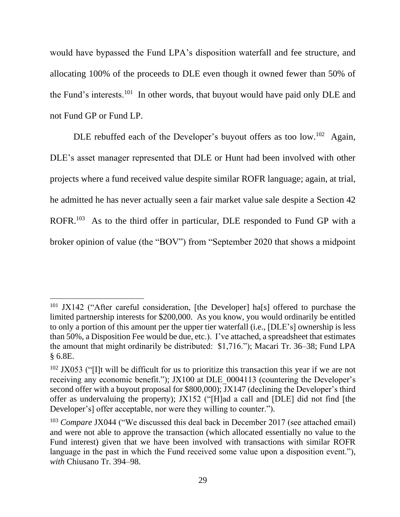would have bypassed the Fund LPA's disposition waterfall and fee structure, and allocating 100% of the proceeds to DLE even though it owned fewer than 50% of the Fund's interests.<sup>101</sup> In other words, that buyout would have paid only DLE and not Fund GP or Fund LP.

DLE rebuffed each of the Developer's buyout offers as too low.<sup>102</sup> Again, DLE's asset manager represented that DLE or Hunt had been involved with other projects where a fund received value despite similar ROFR language; again, at trial, he admitted he has never actually seen a fair market value sale despite a Section 42 ROFR.<sup>103</sup> As to the third offer in particular, DLE responded to Fund GP with a broker opinion of value (the "BOV") from "September 2020 that shows a midpoint

<sup>&</sup>lt;sup>101</sup> JX142 ("After careful consideration, [the Developer] ha[s] offered to purchase the limited partnership interests for \$200,000. As you know, you would ordinarily be entitled to only a portion of this amount per the upper tier waterfall (i.e., [DLE's] ownership is less than 50%, a Disposition Fee would be due, etc.). I've attached, a spreadsheet that estimates the amount that might ordinarily be distributed: \$1,716."); Macari Tr. 36–38; Fund LPA § 6.8E.

 $102$  JX053 ("I]t will be difficult for us to prioritize this transaction this year if we are not receiving any economic benefit."); JX100 at DLE\_0004113 (countering the Developer's second offer with a buyout proposal for \$800,000); JX147 (declining the Developer's third offer as undervaluing the property); JX152 ("[H]ad a call and [DLE] did not find [the Developer's] offer acceptable, nor were they willing to counter.").

<sup>&</sup>lt;sup>103</sup> *Compare JX044* ("We discussed this deal back in December 2017 (see attached email) and were not able to approve the transaction (which allocated essentially no value to the Fund interest) given that we have been involved with transactions with similar ROFR language in the past in which the Fund received some value upon a disposition event."), *with* Chiusano Tr. 394–98.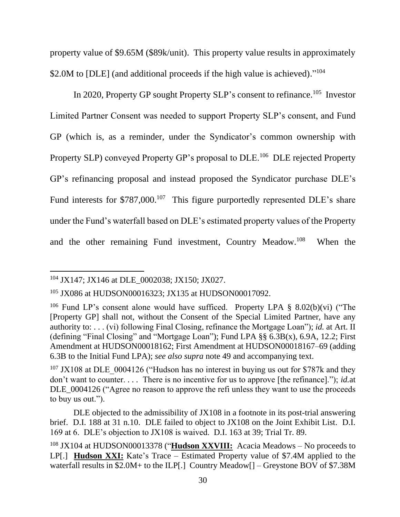property value of \$9.65M (\$89k/unit). This property value results in approximately \$2.0M to [DLE] (and additional proceeds if the high value is achieved)."<sup>104</sup>

In 2020, Property GP sought Property SLP's consent to refinance.<sup>105</sup> Investor Limited Partner Consent was needed to support Property SLP's consent, and Fund GP (which is, as a reminder, under the Syndicator's common ownership with Property SLP) conveyed Property GP's proposal to DLE.<sup>106</sup> DLE rejected Property GP's refinancing proposal and instead proposed the Syndicator purchase DLE's Fund interests for \$787,000.<sup>107</sup> This figure purportedly represented DLE's share under the Fund's waterfall based on DLE's estimated property values of the Property and the other remaining Fund investment, Country Meadow.<sup>108</sup> When the

<sup>&</sup>lt;sup>104</sup> JX147; JX146 at DLE 0002038; JX150; JX027.

<sup>105</sup> JX086 at HUDSON00016323; JX135 at HUDSON00017092.

<sup>&</sup>lt;sup>106</sup> Fund LP's consent alone would have sufficed. Property LPA  $\S$  8.02(b)(vi) ("The [Property GP] shall not, without the Consent of the Special Limited Partner, have any authority to: . . . (vi) following Final Closing, refinance the Mortgage Loan"); *id.* at Art. II (defining "Final Closing" and "Mortgage Loan"); Fund LPA §§ 6.3B(x), 6.9A, 12.2; First Amendment at HUDSON00018162; First Amendment at HUDSON00018167–69 (adding 6.3B to the Initial Fund LPA); *see also supra* note 49 and accompanying text.

 $107$  JX108 at DLE 0004126 ("Hudson has no interest in buying us out for \$787k and they don't want to counter. . . . There is no incentive for us to approve [the refinance]."); *id.*at DLE 0004126 ("Agree no reason to approve the refi unless they want to use the proceeds to buy us out.").

DLE objected to the admissibility of JX108 in a footnote in its post-trial answering brief. D.I. 188 at 31 n.10. DLE failed to object to JX108 on the Joint Exhibit List. D.I. 169 at 6. DLE's objection to JX108 is waived. D.I. 163 at 39; Trial Tr. 89.

<sup>108</sup> JX104 at HUDSON00013378 ("**Hudson XXVIII:** Acacia Meadows – No proceeds to LP[.] **Hudson XXI:** Kate's Trace – Estimated Property value of \$7.4M applied to the waterfall results in \$2.0M+ to the ILP[.] Country Meadow[] – Greystone BOV of \$7.38M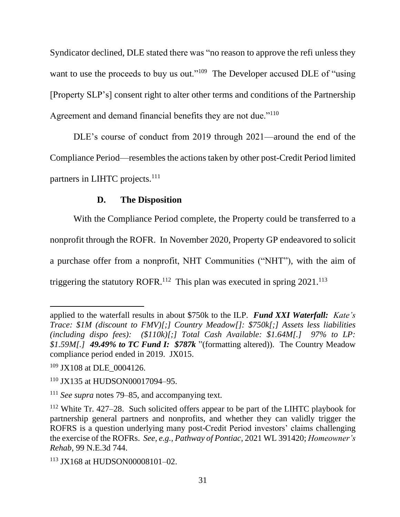Syndicator declined, DLE stated there was "no reason to approve the refi unless they want to use the proceeds to buy us out."<sup>109</sup> The Developer accused DLE of "using [Property SLP's] consent right to alter other terms and conditions of the Partnership Agreement and demand financial benefits they are not due."<sup>110</sup>

DLE's course of conduct from 2019 through 2021—around the end of the Compliance Period—resembles the actions taken by other post-Credit Period limited partners in LIHTC projects.<sup>111</sup>

## **D. The Disposition**

With the Compliance Period complete, the Property could be transferred to a nonprofit through the ROFR. In November 2020, Property GP endeavored to solicit a purchase offer from a nonprofit, NHT Communities ("NHT"), with the aim of triggering the statutory ROFR.<sup>112</sup> This plan was executed in spring  $2021$ .<sup>113</sup>

applied to the waterfall results in about \$750k to the ILP. *Fund XXI Waterfall: Kate's Trace: \$1M (discount to FMV)[;] Country Meadow[]: \$750k[;] Assets less liabilities (including dispo fees): (\$110k)[;] Total Cash Available: \$1.64M[.] 97% to LP: \$1.59M[.] 49.49% to TC Fund I: \$787k* "(formatting altered)). The Country Meadow compliance period ended in 2019. JX015.

<sup>&</sup>lt;sup>109</sup> JX108 at DLE 0004126.

<sup>110</sup> JX135 at HUDSON00017094–95.

<sup>111</sup> *See supra* notes 79–85, and accompanying text.

<sup>112</sup> White Tr. 427–28. Such solicited offers appear to be part of the LIHTC playbook for partnership general partners and nonprofits, and whether they can validly trigger the ROFRS is a question underlying many post-Credit Period investors' claims challenging the exercise of the ROFRs. *See, e.g.*, *Pathway of Pontiac*, 2021 WL 391420; *Homeowner's Rehab*, 99 N.E.3d 744.

<sup>113</sup> JX168 at HUDSON00008101–02.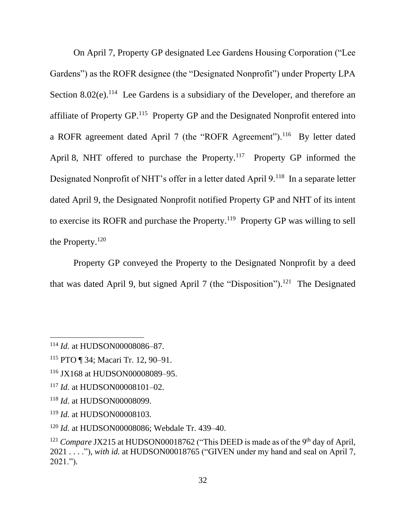On April 7, Property GP designated Lee Gardens Housing Corporation ("Lee Gardens") as the ROFR designee (the "Designated Nonprofit") under Property LPA Section  $8.02(e)$ .<sup>114</sup> Lee Gardens is a subsidiary of the Developer, and therefore an affiliate of Property GP.<sup>115</sup> Property GP and the Designated Nonprofit entered into a ROFR agreement dated April 7 (the "ROFR Agreement").<sup>116</sup> By letter dated April 8, NHT offered to purchase the Property.<sup>117</sup> Property GP informed the Designated Nonprofit of NHT's offer in a letter dated April 9.<sup>118</sup> In a separate letter dated April 9, the Designated Nonprofit notified Property GP and NHT of its intent to exercise its ROFR and purchase the Property.<sup>119</sup> Property GP was willing to sell the Property.<sup>120</sup>

Property GP conveyed the Property to the Designated Nonprofit by a deed that was dated April 9, but signed April 7 (the "Disposition").<sup>121</sup> The Designated

<sup>114</sup> *Id.* at HUDSON00008086–87.

<sup>115</sup> PTO ¶ 34; Macari Tr. 12, 90–91.

<sup>116</sup> JX168 at HUDSON00008089–95.

<sup>117</sup> *Id.* at HUDSON00008101–02.

<sup>118</sup> *Id.* at HUDSON00008099.

<sup>119</sup> *Id.* at HUDSON00008103.

<sup>120</sup> *Id.* at HUDSON00008086; Webdale Tr. 439–40.

<sup>&</sup>lt;sup>121</sup> *Compare JX215* at HUDSON00018762 ("This DEED is made as of the 9<sup>th</sup> day of April, 2021 . . . ."), *with id.* at HUDSON00018765 ("GIVEN under my hand and seal on April 7, 2021.").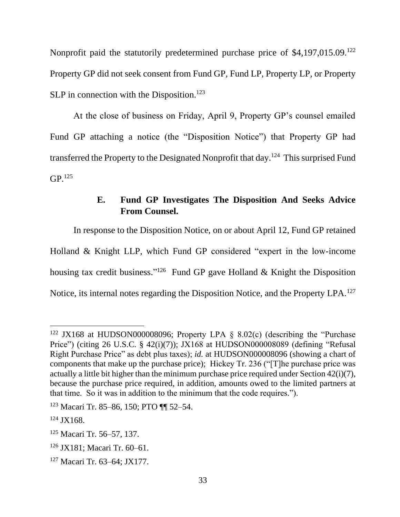Nonprofit paid the statutorily predetermined purchase price of \$4,197,015.09.<sup>122</sup> Property GP did not seek consent from Fund GP, Fund LP, Property LP, or Property  $SLP$  in connection with the Disposition.<sup>123</sup>

At the close of business on Friday, April 9, Property GP's counsel emailed Fund GP attaching a notice (the "Disposition Notice") that Property GP had transferred the Property to the Designated Nonprofit that day.<sup>124</sup> This surprised Fund  $GP<sup>.125</sup>$ 

# **E. Fund GP Investigates The Disposition And Seeks Advice From Counsel.**

In response to the Disposition Notice, on or about April 12, Fund GP retained Holland & Knight LLP, which Fund GP considered "expert in the low-income housing tax credit business."<sup>126</sup> Fund GP gave Holland & Knight the Disposition Notice, its internal notes regarding the Disposition Notice, and the Property LPA.<sup>127</sup>

<sup>&</sup>lt;sup>122</sup> JX168 at HUDSON000008096; Property LPA  $\&$  8.02(c) (describing the "Purchase Price") (citing 26 U.S.C. § 42(i)(7)); JX168 at HUDSON000008089 (defining "Refusal Right Purchase Price" as debt plus taxes); *id.* at HUDSON000008096 (showing a chart of components that make up the purchase price); Hickey Tr. 236 ("[T]he purchase price was actually a little bit higher than the minimum purchase price required under Section 42(i)(7), because the purchase price required, in addition, amounts owed to the limited partners at that time. So it was in addition to the minimum that the code requires.").

<sup>123</sup> Macari Tr. 85–86, 150; PTO ¶¶ 52–54.

<sup>124</sup> JX168.

<sup>125</sup> Macari Tr. 56–57, 137.

<sup>126</sup> JX181; Macari Tr. 60–61.

<sup>127</sup> Macari Tr. 63–64; JX177.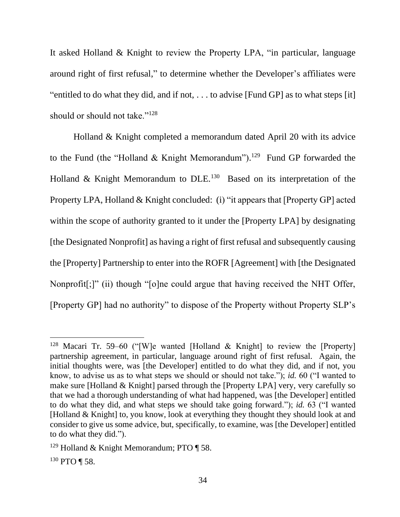It asked Holland & Knight to review the Property LPA, "in particular, language around right of first refusal," to determine whether the Developer's affiliates were "entitled to do what they did, and if not, . . . to advise [Fund GP] as to what steps [it] should or should not take."<sup>128</sup>

Holland & Knight completed a memorandum dated April 20 with its advice to the Fund (the "Holland & Knight Memorandum").<sup>129</sup> Fund GP forwarded the Holland & Knight Memorandum to DLE.<sup>130</sup> Based on its interpretation of the Property LPA, Holland & Knight concluded: (i) "it appears that [Property GP] acted within the scope of authority granted to it under the [Property LPA] by designating [the Designated Nonprofit] as having a right of first refusal and subsequently causing the [Property] Partnership to enter into the ROFR [Agreement] with [the Designated Nonprofit[;]" (ii) though "[o]ne could argue that having received the NHT Offer, [Property GP] had no authority" to dispose of the Property without Property SLP's

<sup>128</sup> Macari Tr. 59–60 ("[W]e wanted [Holland & Knight] to review the [Property] partnership agreement, in particular, language around right of first refusal. Again, the initial thoughts were, was [the Developer] entitled to do what they did, and if not, you know, to advise us as to what steps we should or should not take."); *id.* 60 ("I wanted to make sure [Holland & Knight] parsed through the [Property LPA] very, very carefully so that we had a thorough understanding of what had happened, was [the Developer] entitled to do what they did, and what steps we should take going forward."); *id.* 63 ("I wanted [Holland & Knight] to, you know, look at everything they thought they should look at and consider to give us some advice, but, specifically, to examine, was [the Developer] entitled to do what they did.").

<sup>&</sup>lt;sup>129</sup> Holland & Knight Memorandum; PTO  $\P$  58.

<sup>130</sup> PTO ¶ 58.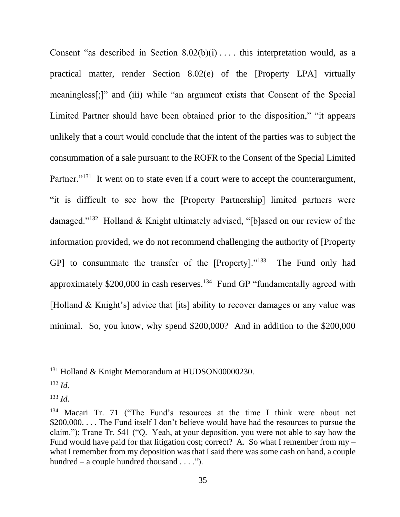Consent "as described in Section  $8.02(b)(i)$ .... this interpretation would, as a practical matter, render Section 8.02(e) of the [Property LPA] virtually meaningless[;]" and (iii) while "an argument exists that Consent of the Special Limited Partner should have been obtained prior to the disposition," "it appears unlikely that a court would conclude that the intent of the parties was to subject the consummation of a sale pursuant to the ROFR to the Consent of the Special Limited Partner."<sup>131</sup> It went on to state even if a court were to accept the counterargument, "it is difficult to see how the [Property Partnership] limited partners were damaged."<sup>132</sup> Holland & Knight ultimately advised, "[b]ased on our review of the information provided, we do not recommend challenging the authority of [Property GP] to consummate the transfer of the [Property]."<sup>133</sup> The Fund only had approximately \$200,000 in cash reserves.<sup>134</sup> Fund GP "fundamentally agreed with [Holland & Knight's] advice that [its] ability to recover damages or any value was minimal. So, you know, why spend \$200,000? And in addition to the \$200,000

<sup>&</sup>lt;sup>131</sup> Holland & Knight Memorandum at HUDSON00000230.

<sup>132</sup> *Id.*

<sup>133</sup> *Id.*

<sup>&</sup>lt;sup>134</sup> Macari Tr. 71 ("The Fund's resources at the time I think were about net \$200,000. . . . The Fund itself I don't believe would have had the resources to pursue the claim."); Trane Tr. 541 ("Q. Yeah, at your deposition, you were not able to say how the Fund would have paid for that litigation cost; correct? A. So what I remember from my – what I remember from my deposition was that I said there was some cash on hand, a couple hundred – a couple hundred thousand  $\dots$ .").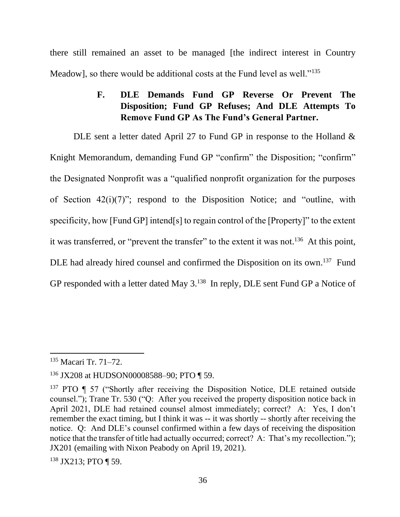there still remained an asset to be managed [the indirect interest in Country Meadow], so there would be additional costs at the Fund level as well."<sup>135</sup>

# **F. DLE Demands Fund GP Reverse Or Prevent The Disposition; Fund GP Refuses; And DLE Attempts To Remove Fund GP As The Fund's General Partner.**

DLE sent a letter dated April 27 to Fund GP in response to the Holland & Knight Memorandum, demanding Fund GP "confirm" the Disposition; "confirm" the Designated Nonprofit was a "qualified nonprofit organization for the purposes of Section 42(i)(7)"; respond to the Disposition Notice; and "outline, with specificity, how [Fund GP] intend[s] to regain control of the [Property]" to the extent it was transferred, or "prevent the transfer" to the extent it was not.<sup>136</sup> At this point, DLE had already hired counsel and confirmed the Disposition on its own.<sup>137</sup> Fund GP responded with a letter dated May 3.<sup>138</sup> In reply, DLE sent Fund GP a Notice of

<sup>138</sup> JX213; PTO ¶ 59.

<sup>135</sup> Macari Tr. 71–72.

<sup>136</sup> JX208 at HUDSON00008588–90; PTO ¶ 59.

<sup>&</sup>lt;sup>137</sup> PTO ¶ 57 ("Shortly after receiving the Disposition Notice, DLE retained outside counsel."); Trane Tr. 530 ("Q: After you received the property disposition notice back in April 2021, DLE had retained counsel almost immediately; correct? A: Yes, I don't remember the exact timing, but I think it was  $-$  it was shortly -- shortly after receiving the notice. Q: And DLE's counsel confirmed within a few days of receiving the disposition notice that the transfer of title had actually occurred; correct? A: That's my recollection."); JX201 (emailing with Nixon Peabody on April 19, 2021).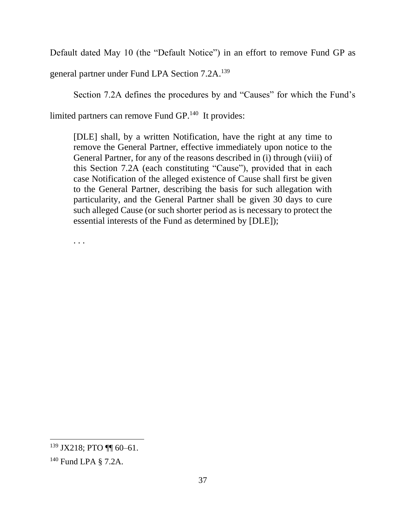Default dated May 10 (the "Default Notice") in an effort to remove Fund GP as

general partner under Fund LPA Section 7.2A.<sup>139</sup>

Section 7.2A defines the procedures by and "Causes" for which the Fund's

limited partners can remove Fund GP.<sup>140</sup> It provides:

[DLE] shall, by a written Notification, have the right at any time to remove the General Partner, effective immediately upon notice to the General Partner, for any of the reasons described in (i) through (viii) of this Section 7.2A (each constituting "Cause"), provided that in each case Notification of the alleged existence of Cause shall first be given to the General Partner, describing the basis for such allegation with particularity, and the General Partner shall be given 30 days to cure such alleged Cause (or such shorter period as is necessary to protect the essential interests of the Fund as determined by [DLE]);

. . .

<sup>139</sup> JX218; PTO ¶¶ 60–61.

<sup>140</sup> Fund LPA § 7.2A.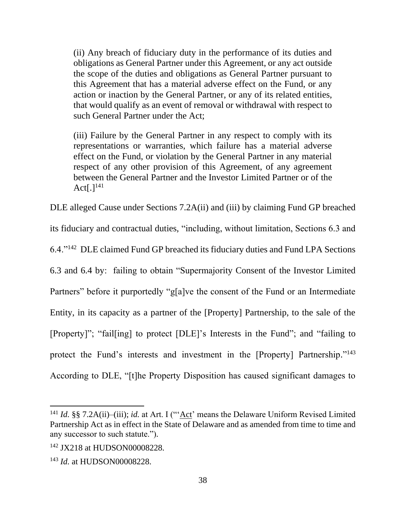(ii) Any breach of fiduciary duty in the performance of its duties and obligations as General Partner under this Agreement, or any act outside the scope of the duties and obligations as General Partner pursuant to this Agreement that has a material adverse effect on the Fund, or any action or inaction by the General Partner, or any of its related entities, that would qualify as an event of removal or withdrawal with respect to such General Partner under the Act;

(iii) Failure by the General Partner in any respect to comply with its representations or warranties, which failure has a material adverse effect on the Fund, or violation by the General Partner in any material respect of any other provision of this Agreement, of any agreement between the General Partner and the Investor Limited Partner or of the Act $[.]^{141}$ 

DLE alleged Cause under Sections 7.2A(ii) and (iii) by claiming Fund GP breached

its fiduciary and contractual duties, "including, without limitation, Sections 6.3 and

6.4."<sup>142</sup> DLE claimed Fund GP breached its fiduciary duties and Fund LPA Sections

6.3 and 6.4 by: failing to obtain "Supermajority Consent of the Investor Limited Partners" before it purportedly "g[a]ve the consent of the Fund or an Intermediate Entity, in its capacity as a partner of the [Property] Partnership, to the sale of the [Property]"; "fail[ing] to protect [DLE]'s Interests in the Fund"; and "failing to protect the Fund's interests and investment in the [Property] Partnership."<sup>143</sup>

According to DLE, "[t]he Property Disposition has caused significant damages to

<sup>&</sup>lt;sup>141</sup> *Id.* §§ 7.2A(ii)–(iii); *id.* at Art. I ("'Act' means the Delaware Uniform Revised Limited Partnership Act as in effect in the State of Delaware and as amended from time to time and any successor to such statute.").

<sup>142</sup> JX218 at HUDSON00008228.

<sup>143</sup> *Id.* at HUDSON00008228.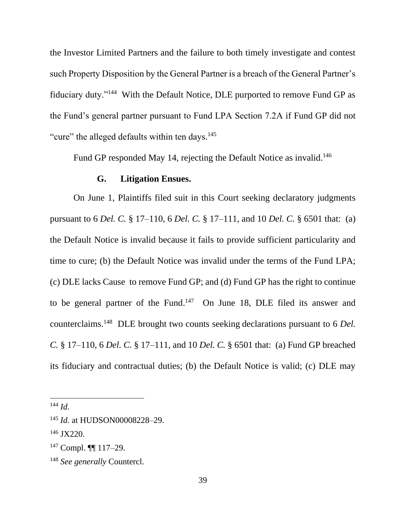the Investor Limited Partners and the failure to both timely investigate and contest such Property Disposition by the General Partner is a breach of the General Partner's fiduciary duty."<sup>144</sup> With the Default Notice, DLE purported to remove Fund GP as the Fund's general partner pursuant to Fund LPA Section 7.2A if Fund GP did not "cure" the alleged defaults within ten days.<sup>145</sup>

Fund GP responded May 14, rejecting the Default Notice as invalid.<sup>146</sup>

#### **G. Litigation Ensues.**

On June 1, Plaintiffs filed suit in this Court seeking declaratory judgments pursuant to 6 *Del. C.* § 17–110, 6 *Del. C.* § 17–111, and 10 *Del. C.* § 6501 that: (a) the Default Notice is invalid because it fails to provide sufficient particularity and time to cure; (b) the Default Notice was invalid under the terms of the Fund LPA; (c) DLE lacks Cause to remove Fund GP; and (d) Fund GP has the right to continue to be general partner of the Fund.<sup>147</sup> On June 18, DLE filed its answer and counterclaims.<sup>148</sup> DLE brought two counts seeking declarations pursuant to 6 *Del. C.* § 17–110, 6 *Del. C.* § 17–111, and 10 *Del. C.* § 6501 that: (a) Fund GP breached its fiduciary and contractual duties; (b) the Default Notice is valid; (c) DLE may

<sup>144</sup> *Id.*

<sup>145</sup> *Id.* at HUDSON00008228–29.

<sup>146</sup> JX220.

<sup>147</sup> Compl. ¶¶ 117–29.

<sup>148</sup> *See generally* Countercl.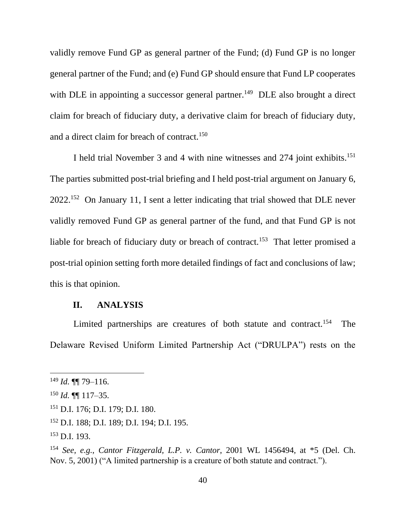validly remove Fund GP as general partner of the Fund; (d) Fund GP is no longer general partner of the Fund; and (e) Fund GP should ensure that Fund LP cooperates with DLE in appointing a successor general partner.<sup>149</sup> DLE also brought a direct claim for breach of fiduciary duty, a derivative claim for breach of fiduciary duty, and a direct claim for breach of contract.<sup>150</sup>

I held trial November 3 and 4 with nine witnesses and 274 joint exhibits.<sup>151</sup> The parties submitted post-trial briefing and I held post-trial argument on January 6,  $2022$ .<sup>152</sup> On January 11, I sent a letter indicating that trial showed that DLE never validly removed Fund GP as general partner of the fund, and that Fund GP is not liable for breach of fiduciary duty or breach of contract.<sup>153</sup> That letter promised a post-trial opinion setting forth more detailed findings of fact and conclusions of law; this is that opinion.

#### **II. ANALYSIS**

Limited partnerships are creatures of both statute and contract.<sup>154</sup> The Delaware Revised Uniform Limited Partnership Act ("DRULPA") rests on the

<sup>149</sup> *Id.* ¶¶ 79–116.

<sup>150</sup> *Id.* ¶¶ 117–35.

<sup>151</sup> D.I. 176; D.I. 179; D.I. 180.

<sup>152</sup> D.I. 188; D.I. 189; D.I. 194; D.I. 195.

<sup>153</sup> D.I. 193.

<sup>154</sup> *See, e.g.*, *Cantor Fitzgerald, L.P. v. Cantor*, 2001 WL 1456494, at \*5 (Del. Ch. Nov. 5, 2001) ("A limited partnership is a creature of both statute and contract.").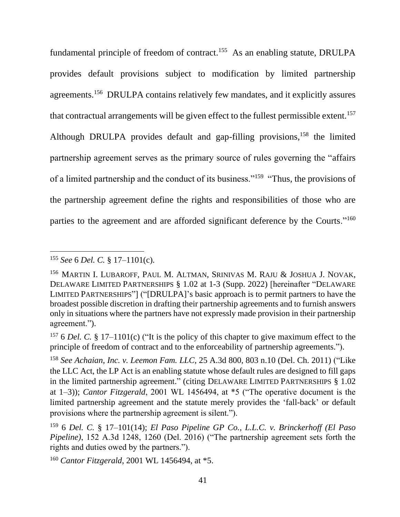fundamental principle of freedom of contract.<sup>155</sup> As an enabling statute, DRULPA provides default provisions subject to modification by limited partnership agreements.<sup>156</sup> DRULPA contains relatively few mandates, and it explicitly assures that contractual arrangements will be given effect to the fullest permissible extent.<sup>157</sup> Although DRULPA provides default and gap-filling provisions,<sup>158</sup> the limited partnership agreement serves as the primary source of rules governing the "affairs of a limited partnership and the conduct of its business."<sup>159</sup> "Thus, the provisions of the partnership agreement define the rights and responsibilities of those who are parties to the agreement and are afforded significant deference by the Courts."<sup>160</sup>

<sup>157</sup> 6 *Del. C.* § 17–1101(c) ("It is the policy of this chapter to give maximum effect to the principle of freedom of contract and to the enforceability of partnership agreements.").

<sup>155</sup> *See* 6 *Del. C.* § 17–1101(c).

<sup>156</sup> MARTIN I. LUBAROFF, PAUL M. ALTMAN, SRINIVAS M. RAJU & JOSHUA J. NOVAK, DELAWARE LIMITED PARTNERSHIPS § 1.02 at 1-3 (Supp. 2022) [hereinafter "DELAWARE LIMITED PARTNERSHIPS"] ("[DRULPA]'s basic approach is to permit partners to have the broadest possible discretion in drafting their partnership agreements and to furnish answers only in situations where the partners have not expressly made provision in their partnership agreement.").

<sup>158</sup> *See Achaian, Inc. v. Leemon Fam. LLC*, 25 A.3d 800, 803 n.10 (Del. Ch. 2011) ("Like the LLC Act, the LP Act is an enabling statute whose default rules are designed to fill gaps in the limited partnership agreement." (citing DELAWARE LIMITED PARTNERSHIPS § 1.02 at 1–3)); *Cantor Fitzgerald*, 2001 WL 1456494, at \*5 ("The operative document is the limited partnership agreement and the statute merely provides the 'fall-back' or default provisions where the partnership agreement is silent.").

<sup>159</sup> 6 *Del. C.* § 17–101(14); *El Paso Pipeline GP Co., L.L.C. v. Brinckerhoff (El Paso Pipeline)*, 152 A.3d 1248, 1260 (Del. 2016) ("The partnership agreement sets forth the rights and duties owed by the partners.").

<sup>160</sup> *Cantor Fitzgerald*, 2001 WL 1456494, at \*5.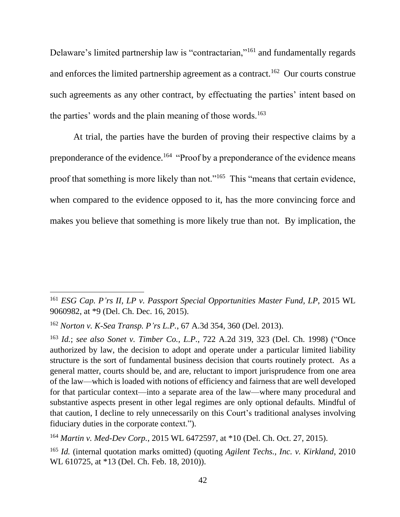Delaware's limited partnership law is "contractarian,"<sup>161</sup> and fundamentally regards and enforces the limited partnership agreement as a contract.<sup>162</sup> Our courts construe such agreements as any other contract, by effectuating the parties' intent based on the parties' words and the plain meaning of those words.<sup>163</sup>

At trial, the parties have the burden of proving their respective claims by a preponderance of the evidence.<sup>164</sup> "Proof by a preponderance of the evidence means proof that something is more likely than not."<sup>165</sup> This "means that certain evidence, when compared to the evidence opposed to it, has the more convincing force and makes you believe that something is more likely true than not. By implication, the

<sup>161</sup> *ESG Cap. P'rs II, LP v. Passport Special Opportunities Master Fund, LP*, 2015 WL 9060982, at \*9 (Del. Ch. Dec. 16, 2015).

<sup>162</sup> *Norton v. K-Sea Transp. P'rs L.P.*, 67 A.3d 354, 360 (Del. 2013).

<sup>163</sup> *Id.*; *see also Sonet v. Timber Co., L.P.*, 722 A.2d 319, 323 (Del. Ch. 1998) ("Once authorized by law, the decision to adopt and operate under a particular limited liability structure is the sort of fundamental business decision that courts routinely protect. As a general matter, courts should be, and are, reluctant to import jurisprudence from one area of the law—which is loaded with notions of efficiency and fairness that are well developed for that particular context—into a separate area of the law—where many procedural and substantive aspects present in other legal regimes are only optional defaults. Mindful of that caution, I decline to rely unnecessarily on this Court's traditional analyses involving fiduciary duties in the corporate context.").

<sup>164</sup> *Martin v. Med-Dev Corp.*, 2015 WL 6472597, at \*10 (Del. Ch. Oct. 27, 2015).

<sup>165</sup> *Id.* (internal quotation marks omitted) (quoting *Agilent Techs., Inc. v. Kirkland*, 2010 WL 610725, at \*13 (Del. Ch. Feb. 18, 2010)).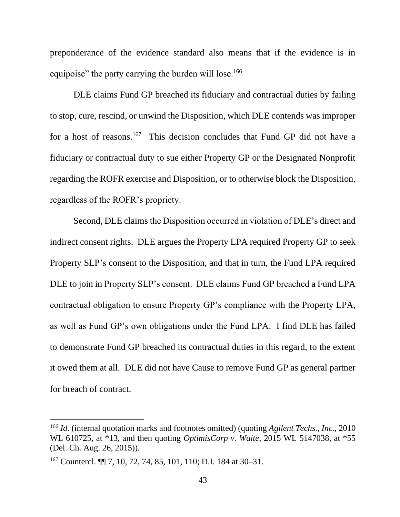preponderance of the evidence standard also means that if the evidence is in equipoise" the party carrying the burden will lose.<sup>166</sup>

DLE claims Fund GP breached its fiduciary and contractual duties by failing to stop, cure, rescind, or unwind the Disposition, which DLE contends was improper for a host of reasons.<sup>167</sup> This decision concludes that Fund GP did not have a fiduciary or contractual duty to sue either Property GP or the Designated Nonprofit regarding the ROFR exercise and Disposition, or to otherwise block the Disposition, regardless of the ROFR's propriety.

Second, DLE claims the Disposition occurred in violation of DLE's direct and indirect consent rights. DLE argues the Property LPA required Property GP to seek Property SLP's consent to the Disposition, and that in turn, the Fund LPA required DLE to join in Property SLP's consent. DLE claims Fund GP breached a Fund LPA contractual obligation to ensure Property GP's compliance with the Property LPA, as well as Fund GP's own obligations under the Fund LPA. I find DLE has failed to demonstrate Fund GP breached its contractual duties in this regard, to the extent it owed them at all. DLE did not have Cause to remove Fund GP as general partner for breach of contract.

<sup>166</sup> *Id.* (internal quotation marks and footnotes omitted) (quoting *Agilent Techs., Inc.*, 2010 WL 610725, at \*13, and then quoting *OptimisCorp v. Waite*, 2015 WL 5147038, at \*55 (Del. Ch. Aug. 26, 2015)).

<sup>167</sup> Countercl. ¶¶ 7, 10, 72, 74, 85, 101, 110; D.I. 184 at 30–31.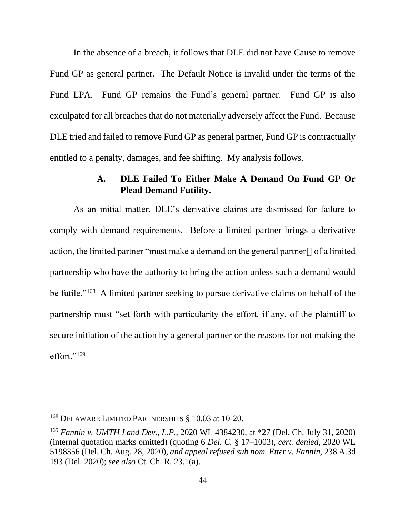In the absence of a breach, it follows that DLE did not have Cause to remove Fund GP as general partner. The Default Notice is invalid under the terms of the Fund LPA. Fund GP remains the Fund's general partner. Fund GP is also exculpated for all breaches that do not materially adversely affect the Fund. Because DLE tried and failed to remove Fund GP as general partner, Fund GP is contractually entitled to a penalty, damages, and fee shifting. My analysis follows.

### **A. DLE Failed To Either Make A Demand On Fund GP Or Plead Demand Futility.**

As an initial matter, DLE's derivative claims are dismissed for failure to comply with demand requirements. Before a limited partner brings a derivative action, the limited partner "must make a demand on the general partner[] of a limited partnership who have the authority to bring the action unless such a demand would be futile."<sup>168</sup> A limited partner seeking to pursue derivative claims on behalf of the partnership must "set forth with particularity the effort, if any, of the plaintiff to secure initiation of the action by a general partner or the reasons for not making the effort."<sup>169</sup>

<sup>168</sup> DELAWARE LIMITED PARTNERSHIPS § 10.03 at 10-20.

<sup>169</sup> *Fannin v. UMTH Land Dev., L.P.*, 2020 WL 4384230, at \*27 (Del. Ch. July 31, 2020) (internal quotation marks omitted) (quoting 6 *Del. C.* § 17–1003), *cert. denied*, 2020 WL 5198356 (Del. Ch. Aug. 28, 2020), *and appeal refused sub nom. Etter v. Fannin*, 238 A.3d 193 (Del. 2020); *see also* Ct. Ch. R. 23.1(a).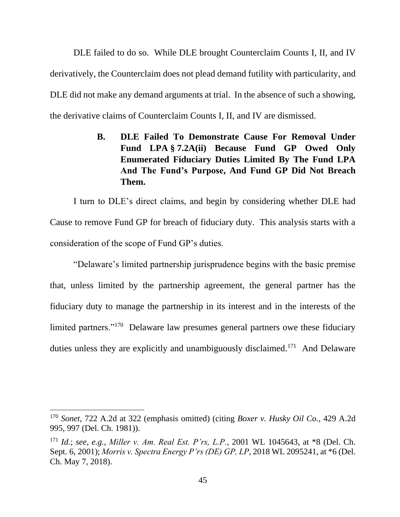DLE failed to do so. While DLE brought Counterclaim Counts I, II, and IV derivatively, the Counterclaim does not plead demand futility with particularity, and DLE did not make any demand arguments at trial. In the absence of such a showing, the derivative claims of Counterclaim Counts I, II, and IV are dismissed.

> **B. DLE Failed To Demonstrate Cause For Removal Under Fund LPA § 7.2A(ii) Because Fund GP Owed Only Enumerated Fiduciary Duties Limited By The Fund LPA And The Fund's Purpose, And Fund GP Did Not Breach Them.**

I turn to DLE's direct claims, and begin by considering whether DLE had Cause to remove Fund GP for breach of fiduciary duty. This analysis starts with a consideration of the scope of Fund GP's duties.

"Delaware's limited partnership jurisprudence begins with the basic premise that, unless limited by the partnership agreement, the general partner has the fiduciary duty to manage the partnership in its interest and in the interests of the limited partners."<sup>170</sup> Delaware law presumes general partners owe these fiduciary duties unless they are explicitly and unambiguously disclaimed.<sup>171</sup> And Delaware

<sup>170</sup> *Sonet*, 722 A.2d at 322 (emphasis omitted) (citing *Boxer v. Husky Oil Co.*, 429 A.2d 995, 997 (Del. Ch. 1981)).

<sup>171</sup> *Id.*; *see, e.g.*, *Miller v. Am. Real Est. P'rs, L.P.*, 2001 WL 1045643, at \*8 (Del. Ch. Sept. 6, 2001); *Morris v. Spectra Energy P'rs (DE) GP, LP*, 2018 WL 2095241, at \*6 (Del. Ch. May 7, 2018).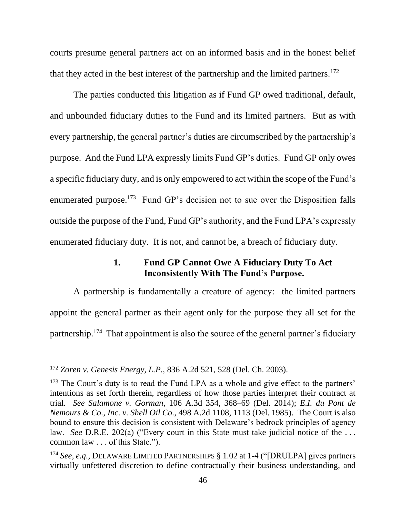courts presume general partners act on an informed basis and in the honest belief that they acted in the best interest of the partnership and the limited partners.<sup>172</sup>

The parties conducted this litigation as if Fund GP owed traditional, default, and unbounded fiduciary duties to the Fund and its limited partners. But as with every partnership, the general partner's duties are circumscribed by the partnership's purpose. And the Fund LPA expressly limits Fund GP's duties. Fund GP only owes a specific fiduciary duty, and is only empowered to act within the scope of the Fund's enumerated purpose.<sup>173</sup> Fund GP's decision not to sue over the Disposition falls outside the purpose of the Fund, Fund GP's authority, and the Fund LPA's expressly enumerated fiduciary duty. It is not, and cannot be, a breach of fiduciary duty.

### **1. Fund GP Cannot Owe A Fiduciary Duty To Act Inconsistently With The Fund's Purpose.**

A partnership is fundamentally a creature of agency: the limited partners appoint the general partner as their agent only for the purpose they all set for the partnership.<sup>174</sup> That appointment is also the source of the general partner's fiduciary

<sup>172</sup> *Zoren v. Genesis Energy, L.P.*, 836 A.2d 521, 528 (Del. Ch. 2003).

<sup>&</sup>lt;sup>173</sup> The Court's duty is to read the Fund LPA as a whole and give effect to the partners' intentions as set forth therein, regardless of how those parties interpret their contract at trial. *See Salamone v. Gorman*, 106 A.3d 354, 368–69 (Del. 2014); *E.I. du Pont de Nemours & Co., Inc. v. Shell Oil Co.*, 498 A.2d 1108, 1113 (Del. 1985). The Court is also bound to ensure this decision is consistent with Delaware's bedrock principles of agency law. *See D.R.E.* 202(a) ("Every court in this State must take judicial notice of the ... common law . . . of this State.").

<sup>174</sup> *See, e.g.*, DELAWARE LIMITED PARTNERSHIPS § 1.02 at 1-4 ("[DRULPA] gives partners virtually unfettered discretion to define contractually their business understanding, and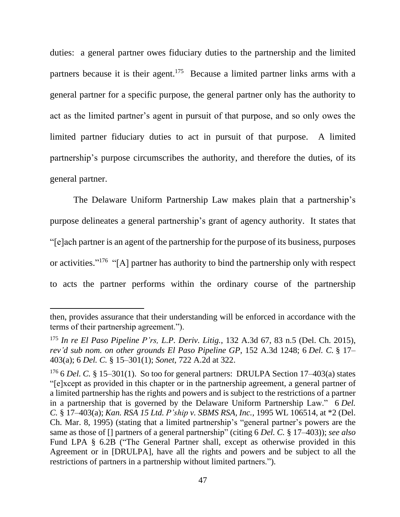duties: a general partner owes fiduciary duties to the partnership and the limited partners because it is their agent.<sup>175</sup> Because a limited partner links arms with a general partner for a specific purpose, the general partner only has the authority to act as the limited partner's agent in pursuit of that purpose, and so only owes the limited partner fiduciary duties to act in pursuit of that purpose. A limited partnership's purpose circumscribes the authority, and therefore the duties, of its general partner.

The Delaware Uniform Partnership Law makes plain that a partnership's purpose delineates a general partnership's grant of agency authority. It states that "[e]ach partner is an agent of the partnership for the purpose of its business, purposes or activities."<sup>176</sup> "[A] partner has authority to bind the partnership only with respect to acts the partner performs within the ordinary course of the partnership

then, provides assurance that their understanding will be enforced in accordance with the terms of their partnership agreement.").

<sup>175</sup> *In re El Paso Pipeline P'rs, L.P. Deriv. Litig.*, 132 A.3d 67, 83 n.5 (Del. Ch. 2015), *rev'd sub nom. on other grounds El Paso Pipeline GP*, 152 A.3d 1248; 6 *Del. C.* § 17– 403(a); 6 *Del. C.* § 15–301(1); *Sonet*, 722 A.2d at 322.

<sup>176</sup> 6 *Del. C.* § 15–301(1). So too for general partners: DRULPA Section 17–403(a) states "[e]xcept as provided in this chapter or in the partnership agreement, a general partner of a limited partnership has the rights and powers and is subject to the restrictions of a partner in a partnership that is governed by the Delaware Uniform Partnership Law." 6 *Del. C.* § 17–403(a); *Kan. RSA 15 Ltd. P'ship v. SBMS RSA, Inc.,* 1995 WL 106514, at \*2 (Del. Ch. Mar. 8, 1995) (stating that a limited partnership's "general partner's powers are the same as those of [] partners of a general partnership" (citing 6 *Del. C.* § 17–403)); *see also* Fund LPA § 6.2B ("The General Partner shall, except as otherwise provided in this Agreement or in [DRULPA], have all the rights and powers and be subject to all the restrictions of partners in a partnership without limited partners.").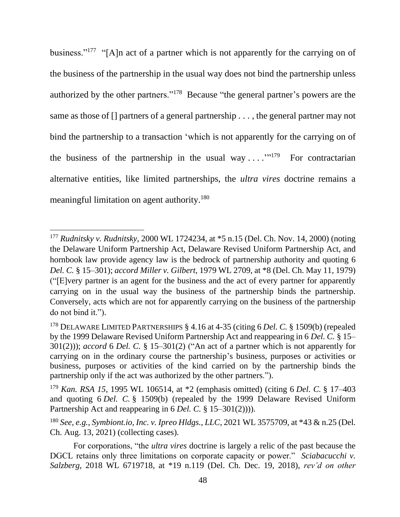business."<sup>177</sup> "[A]n act of a partner which is not apparently for the carrying on of the business of the partnership in the usual way does not bind the partnership unless authorized by the other partners."<sup>178</sup> Because "the general partner's powers are the same as those of [] partners of a general partnership . . . , the general partner may not bind the partnership to a transaction 'which is not apparently for the carrying on of the business of the partnership in the usual way  $\dots$   $\cdot$   $\cdot$   $\cdot$  For contractarian alternative entities, like limited partnerships, the *ultra vires* doctrine remains a meaningful limitation on agent authority.<sup>180</sup>

<sup>177</sup> *Rudnitsky v. Rudnitsky*, 2000 WL 1724234, at \*5 n.15 (Del. Ch. Nov. 14, 2000) (noting the Delaware Uniform Partnership Act, Delaware Revised Uniform Partnership Act, and hornbook law provide agency law is the bedrock of partnership authority and quoting 6 *Del. C.* § 15–301); *accord Miller v. Gilbert*, 1979 WL 2709, at \*8 (Del. Ch. May 11, 1979) ("[E]very partner is an agent for the business and the act of every partner for apparently carrying on in the usual way the business of the partnership binds the partnership. Conversely, acts which are not for apparently carrying on the business of the partnership do not bind it.").

<sup>178</sup> DELAWARE LIMITED PARTNERSHIPS § 4.16 at 4-35 (citing 6 *Del. C.* § 1509(b) (repealed by the 1999 Delaware Revised Uniform Partnership Act and reappearing in 6 *Del. C.* § 15– 301(2))); *accord* 6 *Del. C.* § 15–301(2) ("An act of a partner which is not apparently for carrying on in the ordinary course the partnership's business, purposes or activities or business, purposes or activities of the kind carried on by the partnership binds the partnership only if the act was authorized by the other partners.").

<sup>179</sup> *Kan. RSA 15,* 1995 WL 106514, at \*2 (emphasis omitted) (citing 6 *Del. C.* § 17–403 and quoting 6 *Del. C.* § 1509(b) (repealed by the 1999 Delaware Revised Uniform Partnership Act and reappearing in 6 *Del. C.* § 15–301(2)))).

<sup>180</sup> *See, e.g.*, *Symbiont.io, Inc. v. Ipreo Hldgs., LLC*, 2021 WL 3575709, at \*43 & n.25 (Del. Ch. Aug. 13, 2021) (collecting cases).

For corporations, "the *ultra vires* doctrine is largely a relic of the past because the DGCL retains only three limitations on corporate capacity or power." *Sciabacucchi v. Salzberg*, 2018 WL 6719718, at \*19 n.119 (Del. Ch. Dec. 19, 2018), *rev'd on other*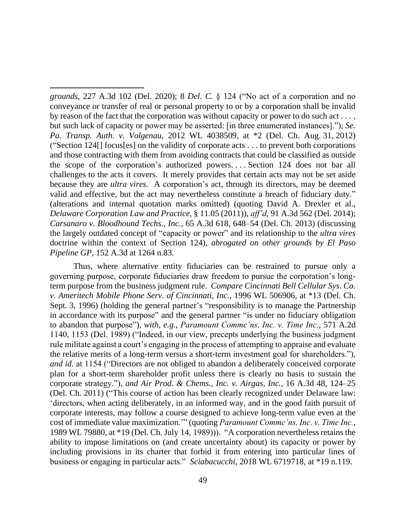*grounds*, 227 A.3d 102 (Del. 2020); 8 *Del. C.* § 124 ("No act of a corporation and no conveyance or transfer of real or personal property to or by a corporation shall be invalid by reason of the fact that the corporation was without capacity or power to do such act . . . , but such lack of capacity or power may be asserted: [in three enumerated instances]."); *Se. Pa. Transp. Auth. v. Volgenau*, 2012 WL 4038509, at \*2 (Del. Ch. Aug. 31, 2012) ("Section 124[] focus[es] on the validity of corporate acts . . . to prevent both corporations and those contracting with them from avoiding contracts that could be classified as outside the scope of the corporation's authorized powers. . . . Section 124 does not bar all challenges to the acts it covers. It merely provides that certain acts may not be set aside because they are *ultra vires.* A corporation's act, through its directors, may be deemed valid and effective, but the act may nevertheless constitute a breach of fiduciary duty." (alterations and internal quotation marks omitted) (quoting David A. Drexler et al., *Delaware Corporation Law and Practice*, § 11.05 (2011)), *aff'd*, 91 A.3d 562 (Del. 2014); *Carsanaro v. Bloodhound Techs., Inc.*, 65 A.3d 618, 648–54 (Del. Ch. 2013) (discussing the largely outdated concept of "capacity or power" and its relationship to the *ultra vires* doctrine within the context of Section 124), *abrogated on other grounds by El Paso Pipeline GP*, 152 A.3d at 1264 n.83.

Thus, where alternative entity fiduciaries can be restrained to pursue only a governing purpose, corporate fiduciaries draw freedom to pursue the corporation's longterm purpose from the business judgment rule. *Compare Cincinnati Bell Cellular Sys. Co. v. Ameritech Mobile Phone Serv. of Cincinnati, Inc.*, 1996 WL 506906, at \*13 (Del. Ch. Sept. 3, 1996) (holding the general partner's "responsibility is to manage the Partnership in accordance with its purpose" and the general partner "is under no fiduciary obligation to abandon that purpose"), *with, e.g.*, *Paramount Commc'ns, Inc. v. Time Inc.*, 571 A.2d 1140, 1153 (Del. 1989) ("Indeed, in our view, precepts underlying the business judgment rule militate against a court's engaging in the process of attempting to appraise and evaluate the relative merits of a long-term versus a short-term investment goal for shareholders."), *and id.* at 1154 ("Directors are not obliged to abandon a deliberately conceived corporate plan for a short-term shareholder profit unless there is clearly no basis to sustain the corporate strategy."), *and Air Prod. & Chems., Inc. v. Airgas, Inc.*, 16 A.3d 48, 124–25 (Del. Ch. 2011) ("This course of action has been clearly recognized under Delaware law: 'directors, when acting deliberately, in an informed way, and in the good faith pursuit of corporate interests, may follow a course designed to achieve long-term value even at the cost of immediate value maximization.'" (quoting *Paramount Commc'ns, Inc. v. Time Inc.*, 1989 WL 79880, at \*19 (Del. Ch. July 14, 1989))). "A corporation nevertheless retains the ability to impose limitations on (and create uncertainty about) its capacity or power by including provisions in its charter that forbid it from entering into particular lines of business or engaging in particular acts." *Sciabacucchi*, 2018 WL 6719718, at \*19 n.119.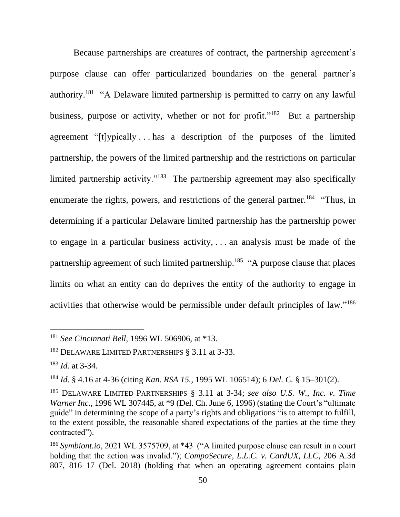Because partnerships are creatures of contract, the partnership agreement's purpose clause can offer particularized boundaries on the general partner's authority.<sup>181</sup> "A Delaware limited partnership is permitted to carry on any lawful business, purpose or activity, whether or not for profit."<sup>182</sup> But a partnership agreement "[t]ypically . . . has a description of the purposes of the limited partnership, the powers of the limited partnership and the restrictions on particular limited partnership activity."<sup>183</sup> The partnership agreement may also specifically enumerate the rights, powers, and restrictions of the general partner.<sup>184</sup> "Thus, in determining if a particular Delaware limited partnership has the partnership power to engage in a particular business activity, . . . an analysis must be made of the partnership agreement of such limited partnership.<sup>185</sup> "A purpose clause that places limits on what an entity can do deprives the entity of the authority to engage in activities that otherwise would be permissible under default principles of law."<sup>186</sup>

<sup>181</sup> *See Cincinnati Bell*, 1996 WL 506906, at \*13.

<sup>182</sup> DELAWARE LIMITED PARTNERSHIPS § 3.11 at 3-33.

<sup>183</sup> *Id.* at 3-34.

<sup>184</sup> *Id.* § 4.16 at 4-36 (citing *Kan. RSA 15.,* 1995 WL 106514); 6 *Del. C.* § 15–301(2).

<sup>185</sup> DELAWARE LIMITED PARTNERSHIPS § 3.11 at 3-34; *see also U.S. W., Inc. v. Time Warner Inc.*, 1996 WL 307445, at \*9 (Del. Ch. June 6, 1996) (stating the Court's "ultimate guide" in determining the scope of a party's rights and obligations "is to attempt to fulfill, to the extent possible, the reasonable shared expectations of the parties at the time they contracted").

<sup>186</sup> *Symbiont.io*, 2021 WL 3575709, at \*43 ("A limited purpose clause can result in a court holding that the action was invalid."); *CompoSecure, L.L.C. v. CardUX, LLC*, 206 A.3d 807, 816–17 (Del. 2018) (holding that when an operating agreement contains plain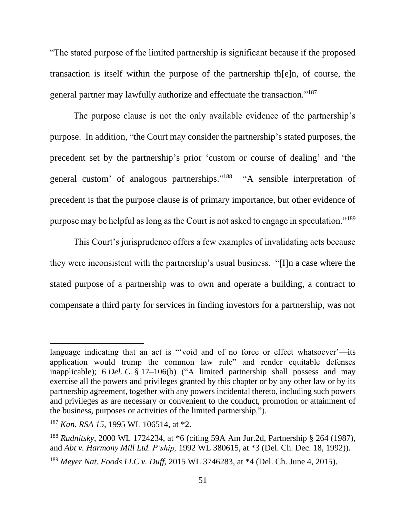"The stated purpose of the limited partnership is significant because if the proposed transaction is itself within the purpose of the partnership th[e]n, of course, the general partner may lawfully authorize and effectuate the transaction."<sup>187</sup>

The purpose clause is not the only available evidence of the partnership's purpose. In addition, "the Court may consider the partnership's stated purposes, the precedent set by the partnership's prior 'custom or course of dealing' and 'the general custom' of analogous partnerships."<sup>188</sup> "A sensible interpretation of precedent is that the purpose clause is of primary importance, but other evidence of purpose may be helpful as long as the Court is not asked to engage in speculation."<sup>189</sup>

This Court's jurisprudence offers a few examples of invalidating acts because they were inconsistent with the partnership's usual business. "[I]n a case where the stated purpose of a partnership was to own and operate a building, a contract to compensate a third party for services in finding investors for a partnership, was not

<sup>189</sup> *Meyer Nat. Foods LLC v. Duff*, 2015 WL 3746283, at \*4 (Del. Ch. June 4, 2015).

language indicating that an act is "'void and of no force or effect whatsoever'—its application would trump the common law rule" and render equitable defenses inapplicable); 6 *Del. C.* § 17–106(b) ("A limited partnership shall possess and may exercise all the powers and privileges granted by this chapter or by any other law or by its partnership agreement, together with any powers incidental thereto, including such powers and privileges as are necessary or convenient to the conduct, promotion or attainment of the business, purposes or activities of the limited partnership.").

<sup>187</sup> *Kan. RSA 15,* 1995 WL 106514, at \*2.

<sup>188</sup> *Rudnitsky*, 2000 WL 1724234, at \*6 (citing 59A Am Jur.2d, Partnership § 264 (1987), and *Abt v. Harmony Mill Ltd. P'ship,* 1992 WL 380615, at \*3 (Del. Ch. Dec. 18, 1992)).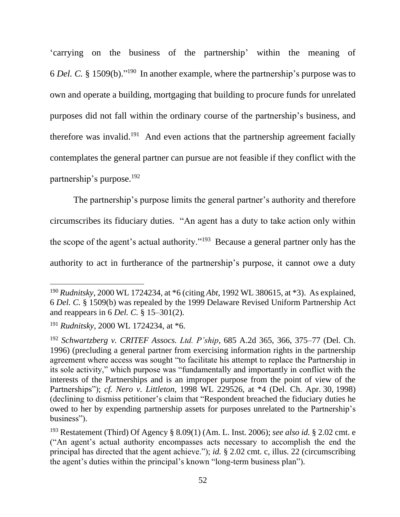'carrying on the business of the partnership' within the meaning of 6 *Del. C.* § 1509(b)." 190 In another example, where the partnership's purpose was to own and operate a building, mortgaging that building to procure funds for unrelated purposes did not fall within the ordinary course of the partnership's business, and therefore was invalid.<sup>191</sup> And even actions that the partnership agreement facially contemplates the general partner can pursue are not feasible if they conflict with the partnership's purpose.<sup>192</sup>

The partnership's purpose limits the general partner's authority and therefore circumscribes its fiduciary duties. "An agent has a duty to take action only within the scope of the agent's actual authority."<sup>193</sup> Because a general partner only has the authority to act in furtherance of the partnership's purpose, it cannot owe a duty

<sup>190</sup> *Rudnitsky*, 2000 WL 1724234, at \*6 (citing *Abt,* 1992 WL 380615, at \*3). As explained, 6 *Del. C.* § 1509(b) was repealed by the 1999 Delaware Revised Uniform Partnership Act and reappears in 6 *Del. C.* § 15–301(2).

<sup>191</sup> *Rudnitsky*, 2000 WL 1724234, at \*6.

<sup>192</sup> *Schwartzberg v. CRITEF Assocs. Ltd. P'ship*, 685 A.2d 365, 366, 375–77 (Del. Ch. 1996) (precluding a general partner from exercising information rights in the partnership agreement where access was sought "to facilitate his attempt to replace the Partnership in its sole activity," which purpose was "fundamentally and importantly in conflict with the interests of the Partnerships and is an improper purpose from the point of view of the Partnerships"); *cf. Nero v. Littleton*, 1998 WL 229526, at \*4 (Del. Ch. Apr. 30, 1998) (declining to dismiss petitioner's claim that "Respondent breached the fiduciary duties he owed to her by expending partnership assets for purposes unrelated to the Partnership's business").

<sup>193</sup> Restatement (Third) Of Agency § 8.09(1) (Am. L. Inst. 2006); *see also id.* § 2.02 cmt. e ("An agent's actual authority encompasses acts necessary to accomplish the end the principal has directed that the agent achieve."); *id.* § 2.02 cmt. c, illus. 22 (circumscribing the agent's duties within the principal's known "long-term business plan").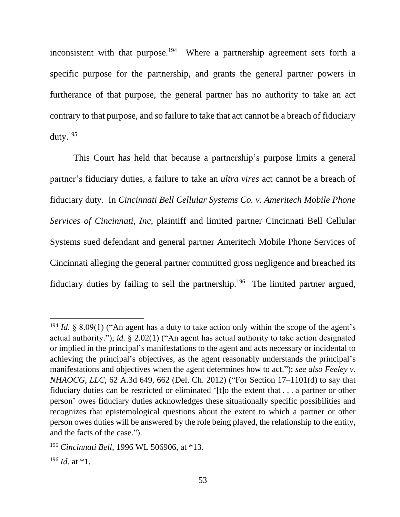inconsistent with that purpose. 194 Where a partnership agreement sets forth a specific purpose for the partnership, and grants the general partner powers in furtherance of that purpose, the general partner has no authority to take an act contrary to that purpose, and so failure to take that act cannot be a breach of fiduciary duty. $195$ 

This Court has held that because a partnership's purpose limits a general partner's fiduciary duties, a failure to take an *ultra vires* act cannot be a breach of fiduciary duty. In *Cincinnati Bell Cellular Systems Co. v. Ameritech Mobile Phone Services of Cincinnati, Inc*, plaintiff and limited partner Cincinnati Bell Cellular Systems sued defendant and general partner Ameritech Mobile Phone Services of Cincinnati alleging the general partner committed gross negligence and breached its fiduciary duties by failing to sell the partnership.<sup>196</sup> The limited partner argued,

<sup>&</sup>lt;sup>194</sup> *Id.*  $\&$  8.09(1) ("An agent has a duty to take action only within the scope of the agent's actual authority."); *id.* § 2.02(1) ("An agent has actual authority to take action designated or implied in the principal's manifestations to the agent and acts necessary or incidental to achieving the principal's objectives, as the agent reasonably understands the principal's manifestations and objectives when the agent determines how to act."); *see also Feeley v. NHAOCG, LLC*, 62 A.3d 649, 662 (Del. Ch. 2012) ("For Section 17–1101(d) to say that fiduciary duties can be restricted or eliminated '[t]o the extent that . . . a partner or other person' owes fiduciary duties acknowledges these situationally specific possibilities and recognizes that epistemological questions about the extent to which a partner or other person owes duties will be answered by the role being played, the relationship to the entity, and the facts of the case.").

<sup>195</sup> *Cincinnati Bell*, 1996 WL 506906, at \*13.

 $196$  *Id.* at  $*1$ .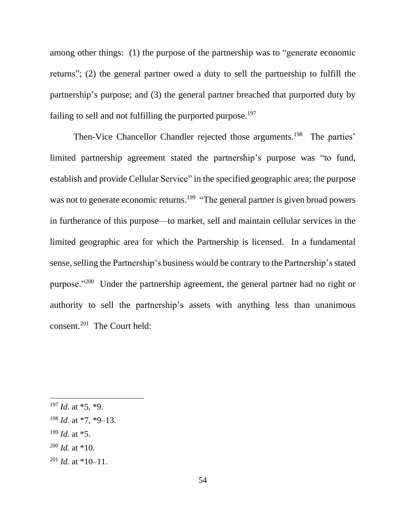among other things: (1) the purpose of the partnership was to "generate economic returns"; (2) the general partner owed a duty to sell the partnership to fulfill the partnership's purpose; and (3) the general partner breached that purported duty by failing to sell and not fulfilling the purported purpose.<sup>197</sup>

Then-Vice Chancellor Chandler rejected those arguments.<sup>198</sup> The parties' limited partnership agreement stated the partnership's purpose was "to fund, establish and provide Cellular Service" in the specified geographic area; the purpose was not to generate economic returns.<sup>199</sup> "The general partner is given broad powers in furtherance of this purpose—to market, sell and maintain cellular services in the limited geographic area for which the Partnership is licensed. In a fundamental sense, selling the Partnership's business would be contrary to the Partnership's stated purpose."<sup>200</sup> Under the partnership agreement, the general partner had no right or authority to sell the partnership's assets with anything less than unanimous consent.<sup>201</sup> The Court held:

- <sup>199</sup> *Id.* at \*5.
- $200$  *Id.* at \*10.
- <sup>201</sup> *Id.* at \*10–11.

 $197$  *Id.* at  $*5$ ,  $*9$ .

<sup>198</sup> *Id.* at \*7, \*9–13.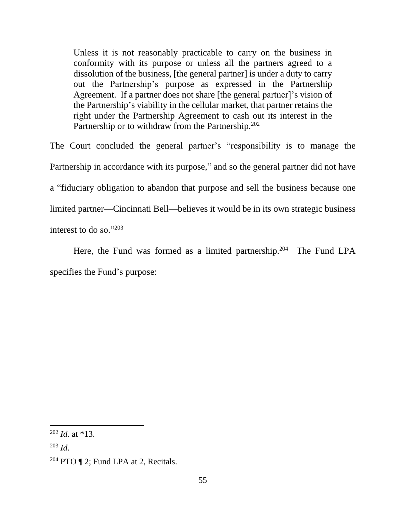Unless it is not reasonably practicable to carry on the business in conformity with its purpose or unless all the partners agreed to a dissolution of the business, [the general partner] is under a duty to carry out the Partnership's purpose as expressed in the Partnership Agreement. If a partner does not share [the general partner]'s vision of the Partnership's viability in the cellular market, that partner retains the right under the Partnership Agreement to cash out its interest in the Partnership or to withdraw from the Partnership.<sup>202</sup>

The Court concluded the general partner's "responsibility is to manage the Partnership in accordance with its purpose," and so the general partner did not have a "fiduciary obligation to abandon that purpose and sell the business because one limited partner—Cincinnati Bell—believes it would be in its own strategic business interest to do so."<sup>203</sup>

Here, the Fund was formed as a limited partnership.<sup>204</sup> The Fund LPA specifies the Fund's purpose:

<sup>202</sup> *Id.* at \*13.

<sup>203</sup> *Id.*

 $204$  PTO  $\P$  2; Fund LPA at 2, Recitals.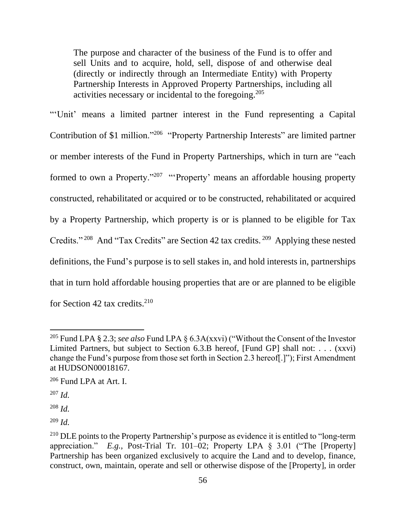The purpose and character of the business of the Fund is to offer and sell Units and to acquire, hold, sell, dispose of and otherwise deal (directly or indirectly through an Intermediate Entity) with Property Partnership Interests in Approved Property Partnerships, including all activities necessary or incidental to the foregoing.<sup>205</sup>

"'Unit' means a limited partner interest in the Fund representing a Capital Contribution of \$1 million."<sup>206</sup> "Property Partnership Interests" are limited partner or member interests of the Fund in Property Partnerships, which in turn are "each formed to own a Property."<sup>207</sup> "Property' means an affordable housing property constructed, rehabilitated or acquired or to be constructed, rehabilitated or acquired by a Property Partnership, which property is or is planned to be eligible for Tax Credits."<sup>208</sup> And "Tax Credits" are Section 42 tax credits.<sup>209</sup> Applying these nested definitions, the Fund's purpose is to sell stakes in, and hold interests in, partnerships that in turn hold affordable housing properties that are or are planned to be eligible for Section 42 tax credits. $210$ 

<sup>205</sup> Fund LPA § 2.3; *see also* Fund LPA § 6.3A(xxvi) ("Without the Consent of the Investor Limited Partners, but subject to Section 6.3.B hereof, [Fund GP] shall not: . . . (xxvi) change the Fund's purpose from those set forth in Section 2.3 hereof[.]"); First Amendment at HUDSON00018167.

<sup>206</sup> Fund LPA at Art. I.

<sup>207</sup> *Id.*

<sup>208</sup> *Id.*

<sup>209</sup> *Id.*

<sup>&</sup>lt;sup>210</sup> DLE points to the Property Partnership's purpose as evidence it is entitled to "long-term" appreciation." *E.g.*, Post-Trial Tr. 101–02; Property LPA § 3.01 ("The [Property] Partnership has been organized exclusively to acquire the Land and to develop, finance, construct, own, maintain, operate and sell or otherwise dispose of the [Property], in order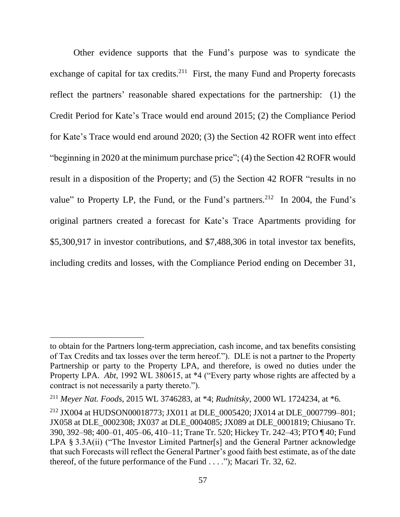Other evidence supports that the Fund's purpose was to syndicate the exchange of capital for tax credits.<sup>211</sup> First, the many Fund and Property forecasts reflect the partners' reasonable shared expectations for the partnership: (1) the Credit Period for Kate's Trace would end around 2015; (2) the Compliance Period for Kate's Trace would end around 2020; (3) the Section 42 ROFR went into effect "beginning in 2020 at the minimum purchase price"; (4) the Section 42 ROFR would result in a disposition of the Property; and (5) the Section 42 ROFR "results in no value" to Property LP, the Fund, or the Fund's partners.<sup>212</sup> In 2004, the Fund's original partners created a forecast for Kate's Trace Apartments providing for \$5,300,917 in investor contributions, and \$7,488,306 in total investor tax benefits, including credits and losses, with the Compliance Period ending on December 31,

to obtain for the Partners long-term appreciation, cash income, and tax benefits consisting of Tax Credits and tax losses over the term hereof."). DLE is not a partner to the Property Partnership or party to the Property LPA, and therefore, is owed no duties under the Property LPA. *Abt*, 1992 WL 380615, at \*4 ("Every party whose rights are affected by a contract is not necessarily a party thereto.").

<sup>211</sup> *Meyer Nat. Foods*, 2015 WL 3746283, at \*4; *Rudnitsky*, 2000 WL 1724234, at \*6.

<sup>212</sup> JX004 at HUDSON00018773; JX011 at DLE\_0005420; JX014 at DLE\_0007799–801; JX058 at DLE\_0002308; JX037 at DLE\_0004085; JX089 at DLE\_0001819; Chiusano Tr. 390, 392–98; 400–01, 405–06, 410–11; Trane Tr. 520; Hickey Tr. 242–43; PTO ¶ 40; Fund LPA § 3.3A(ii) ("The Investor Limited Partner[s] and the General Partner acknowledge that such Forecasts will reflect the General Partner's good faith best estimate, as of the date thereof, of the future performance of the Fund . . . ."); Macari Tr. 32, 62.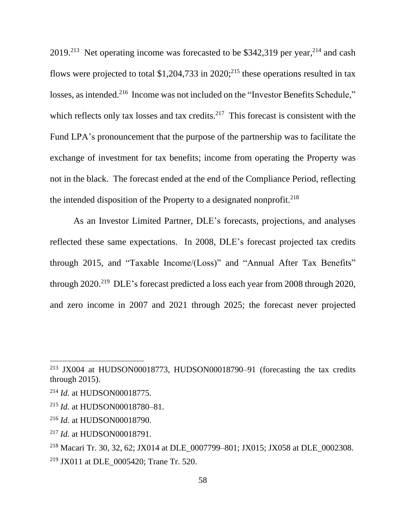$2019<sup>213</sup>$  Net operating income was forecasted to be \$342,319 per year,<sup>214</sup> and cash flows were projected to total \$1,204,733 in 2020;<sup>215</sup> these operations resulted in tax losses, as intended.<sup>216</sup> Income was not included on the "Investor Benefits Schedule," which reflects only tax losses and tax credits. $2^{17}$  This forecast is consistent with the Fund LPA's pronouncement that the purpose of the partnership was to facilitate the exchange of investment for tax benefits; income from operating the Property was not in the black. The forecast ended at the end of the Compliance Period, reflecting the intended disposition of the Property to a designated nonprofit.<sup>218</sup>

As an Investor Limited Partner, DLE's forecasts, projections, and analyses reflected these same expectations. In 2008, DLE's forecast projected tax credits through 2015, and "Taxable Income/(Loss)" and "Annual After Tax Benefits" through  $2020.^{219}$  DLE's forecast predicted a loss each year from 2008 through 2020, and zero income in 2007 and 2021 through 2025; the forecast never projected

<sup>213</sup> JX004 at HUDSON00018773, HUDSON00018790–91 (forecasting the tax credits through 2015).

<sup>214</sup> *Id.* at HUDSON00018775.

<sup>215</sup> *Id.* at HUDSON00018780–81.

<sup>216</sup> *Id.* at HUDSON00018790.

<sup>217</sup> *Id.* at HUDSON00018791.

<sup>&</sup>lt;sup>218</sup> Macari Tr. 30, 32, 62; JX014 at DLE\_0007799–801; JX015; JX058 at DLE\_0002308. <sup>219</sup> JX011 at DLE 0005420: Trane Tr. 520.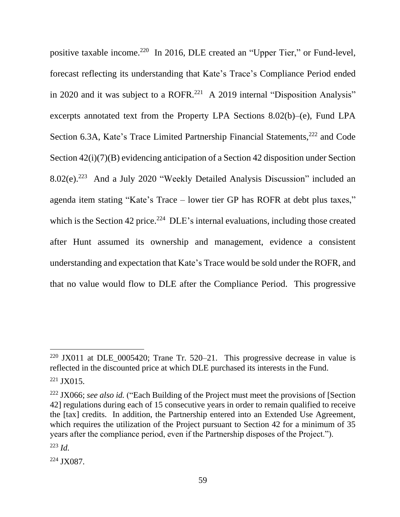positive taxable income.<sup>220</sup> In 2016, DLE created an "Upper Tier," or Fund-level, forecast reflecting its understanding that Kate's Trace's Compliance Period ended in 2020 and it was subject to a ROFR.<sup>221</sup> A 2019 internal "Disposition Analysis" excerpts annotated text from the Property LPA Sections 8.02(b)–(e), Fund LPA Section 6.3A, Kate's Trace Limited Partnership Financial Statements,<sup>222</sup> and Code Section 42(i)(7)(B) evidencing anticipation of a Section 42 disposition under Section 8.02(e).<sup>223</sup> And a July 2020 "Weekly Detailed Analysis Discussion" included an agenda item stating "Kate's Trace – lower tier GP has ROFR at debt plus taxes," which is the Section 42 price. $224$  DLE's internal evaluations, including those created after Hunt assumed its ownership and management, evidence a consistent understanding and expectation that Kate's Trace would be sold under the ROFR, and that no value would flow to DLE after the Compliance Period. This progressive

 $220$  JX011 at DLE\_0005420; Trane Tr. 520–21. This progressive decrease in value is reflected in the discounted price at which DLE purchased its interests in the Fund. <sup>221</sup> JX015.

<sup>222</sup> JX066; *see also id.* ("Each Building of the Project must meet the provisions of [Section 42] regulations during each of 15 consecutive years in order to remain qualified to receive the [tax] credits. In addition, the Partnership entered into an Extended Use Agreement, which requires the utilization of the Project pursuant to Section 42 for a minimum of 35 years after the compliance period, even if the Partnership disposes of the Project.").

<sup>223</sup> *Id.*

<sup>224</sup> JX087.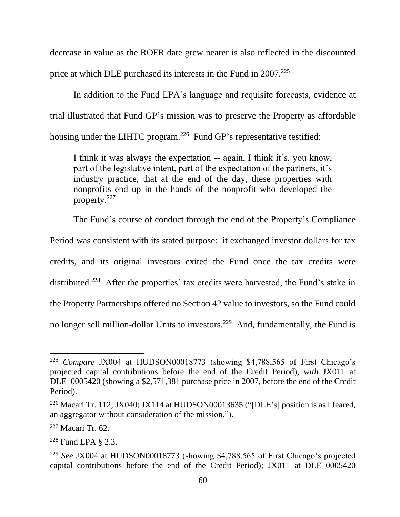decrease in value as the ROFR date grew nearer is also reflected in the discounted price at which DLE purchased its interests in the Fund in 2007.<sup>225</sup>

In addition to the Fund LPA's language and requisite forecasts, evidence at trial illustrated that Fund GP's mission was to preserve the Property as affordable housing under the LIHTC program.<sup>226</sup> Fund GP's representative testified:

I think it was always the expectation -- again, I think it's, you know, part of the legislative intent, part of the expectation of the partners, it's industry practice, that at the end of the day, these properties with nonprofits end up in the hands of the nonprofit who developed the property.<sup>227</sup>

The Fund's course of conduct through the end of the Property's Compliance

Period was consistent with its stated purpose: it exchanged investor dollars for tax

credits, and its original investors exited the Fund once the tax credits were

distributed.<sup>228</sup> After the properties' tax credits were harvested, the Fund's stake in

the Property Partnerships offered no Section 42 value to investors, so the Fund could

no longer sell million-dollar Units to investors.<sup>229</sup> And, fundamentally, the Fund is

<sup>225</sup> *Compare* JX004 at HUDSON00018773 (showing \$4,788,565 of First Chicago's projected capital contributions before the end of the Credit Period), *with* JX011 at DLE\_0005420 (showing a \$2,571,381 purchase price in 2007, before the end of the Credit Period).

<sup>&</sup>lt;sup>226</sup> Macari Tr. 112; JX040; JX114 at HUDSON00013635 ("[DLE's] position is as I feared, an aggregator without consideration of the mission.").

<sup>227</sup> Macari Tr. 62.

<sup>228</sup> Fund LPA § 2.3.

<sup>229</sup> *See* JX004 at HUDSON00018773 (showing \$4,788,565 of First Chicago's projected capital contributions before the end of the Credit Period); JX011 at DLE\_0005420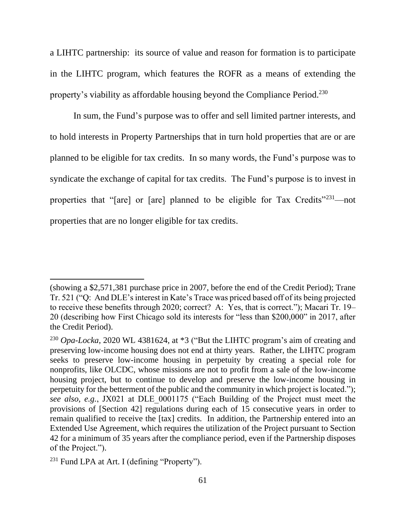a LIHTC partnership: its source of value and reason for formation is to participate in the LIHTC program, which features the ROFR as a means of extending the property's viability as affordable housing beyond the Compliance Period.<sup>230</sup>

In sum, the Fund's purpose was to offer and sell limited partner interests, and to hold interests in Property Partnerships that in turn hold properties that are or are planned to be eligible for tax credits. In so many words, the Fund's purpose was to syndicate the exchange of capital for tax credits. The Fund's purpose is to invest in properties that "[are] or [are] planned to be eligible for Tax Credits"<sup>231</sup>—not properties that are no longer eligible for tax credits.

<sup>(</sup>showing a \$2,571,381 purchase price in 2007, before the end of the Credit Period); Trane Tr. 521 ("Q: And DLE's interest in Kate's Trace was priced based off of its being projected to receive these benefits through 2020; correct? A: Yes, that is correct."); Macari Tr. 19– 20 (describing how First Chicago sold its interests for "less than \$200,000" in 2017, after the Credit Period).

<sup>230</sup> *Opa-Locka*, 2020 WL 4381624, at \*3 ("But the LIHTC program's aim of creating and preserving low-income housing does not end at thirty years. Rather, the LIHTC program seeks to preserve low-income housing in perpetuity by creating a special role for nonprofits, like OLCDC, whose missions are not to profit from a sale of the low-income housing project, but to continue to develop and preserve the low-income housing in perpetuity for the betterment of the public and the community in which project is located."); *see also, e.g.*, JX021 at DLE\_0001175 ("Each Building of the Project must meet the provisions of [Section 42] regulations during each of 15 consecutive years in order to remain qualified to receive the [tax] credits. In addition, the Partnership entered into an Extended Use Agreement, which requires the utilization of the Project pursuant to Section 42 for a minimum of 35 years after the compliance period, even if the Partnership disposes of the Project.").

<sup>&</sup>lt;sup>231</sup> Fund LPA at Art. I (defining "Property").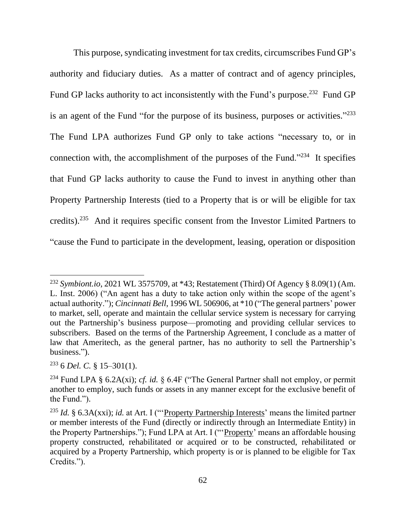This purpose, syndicating investment for tax credits, circumscribes Fund GP's authority and fiduciary duties. As a matter of contract and of agency principles, Fund GP lacks authority to act inconsistently with the Fund's purpose.<sup>232</sup> Fund GP is an agent of the Fund "for the purpose of its business, purposes or activities."<sup>233</sup> The Fund LPA authorizes Fund GP only to take actions "necessary to, or in connection with, the accomplishment of the purposes of the Fund."<sup>234</sup> It specifies that Fund GP lacks authority to cause the Fund to invest in anything other than Property Partnership Interests (tied to a Property that is or will be eligible for tax credits).<sup>235</sup> And it requires specific consent from the Investor Limited Partners to "cause the Fund to participate in the development, leasing, operation or disposition

<sup>232</sup> *Symbiont.io*, 2021 WL 3575709, at \*43; Restatement (Third) Of Agency § 8.09(1) (Am. L. Inst. 2006) ("An agent has a duty to take action only within the scope of the agent's actual authority."); *Cincinnati Bell*, 1996 WL 506906, at \*10 ("The general partners' power to market, sell, operate and maintain the cellular service system is necessary for carrying out the Partnership's business purpose—promoting and providing cellular services to subscribers. Based on the terms of the Partnership Agreement, I conclude as a matter of law that Ameritech, as the general partner, has no authority to sell the Partnership's business.").

<sup>233</sup> 6 *Del. C.* § 15–301(1).

<sup>234</sup> Fund LPA § 6.2A(xi); *cf. id.* § 6.4F ("The General Partner shall not employ, or permit another to employ, such funds or assets in any manner except for the exclusive benefit of the Fund.").

<sup>235</sup> *Id.* § 6.3A(xxi); *id.* at Art. I ("'Property Partnership Interests' means the limited partner or member interests of the Fund (directly or indirectly through an Intermediate Entity) in the Property Partnerships."); Fund LPA at Art. I ("'Property' means an affordable housing property constructed, rehabilitated or acquired or to be constructed, rehabilitated or acquired by a Property Partnership, which property is or is planned to be eligible for Tax Credits.").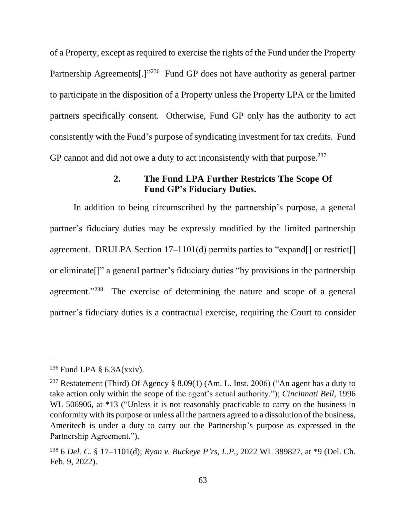of a Property, except as required to exercise the rights of the Fund under the Property Partnership Agreements[.]"<sup>236</sup> Fund GP does not have authority as general partner to participate in the disposition of a Property unless the Property LPA or the limited partners specifically consent. Otherwise, Fund GP only has the authority to act consistently with the Fund's purpose of syndicating investment for tax credits. Fund GP cannot and did not owe a duty to act inconsistently with that purpose. $237$ 

## **2. The Fund LPA Further Restricts The Scope Of Fund GP's Fiduciary Duties.**

In addition to being circumscribed by the partnership's purpose, a general partner's fiduciary duties may be expressly modified by the limited partnership agreement. DRULPA Section 17–1101(d) permits parties to "expand[] or restrict[] or eliminate[]" a general partner's fiduciary duties "by provisions in the partnership agreement."238 The exercise of determining the nature and scope of a general partner's fiduciary duties is a contractual exercise, requiring the Court to consider

<sup>&</sup>lt;sup>236</sup> Fund LPA  $\S$  6.3A(xxiv).

<sup>&</sup>lt;sup>237</sup> Restatement (Third) Of Agency § 8.09(1) (Am. L. Inst. 2006) ("An agent has a duty to take action only within the scope of the agent's actual authority."); *Cincinnati Bell*, 1996 WL 506906, at  $*13$  ("Unless it is not reasonably practicable to carry on the business in conformity with its purpose or unless all the partners agreed to a dissolution of the business, Ameritech is under a duty to carry out the Partnership's purpose as expressed in the Partnership Agreement.").

<sup>238</sup> 6 *Del. C.* § 17–1101(d); *Ryan v. Buckeye P'rs, L.P.*, 2022 WL 389827, at \*9 (Del. Ch. Feb. 9, 2022).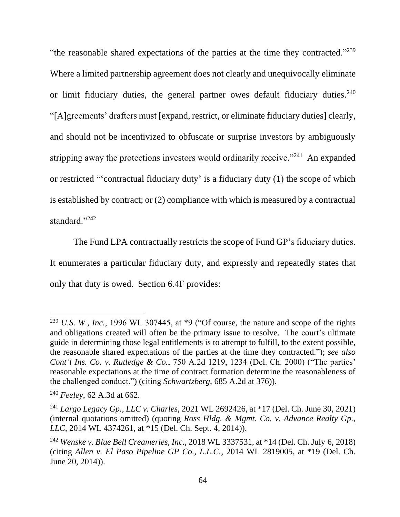"the reasonable shared expectations of the parties at the time they contracted."<sup>239</sup> Where a limited partnership agreement does not clearly and unequivocally eliminate or limit fiduciary duties, the general partner owes default fiduciary duties. $240$ "[A]greements' drafters must [expand, restrict, or eliminate fiduciary duties] clearly, and should not be incentivized to obfuscate or surprise investors by ambiguously stripping away the protections investors would ordinarily receive."<sup>241</sup> An expanded or restricted "'contractual fiduciary duty' is a fiduciary duty (1) the scope of which is established by contract; or (2) compliance with which is measured by a contractual standard."<sup>242</sup>

The Fund LPA contractually restricts the scope of Fund GP's fiduciary duties. It enumerates a particular fiduciary duty, and expressly and repeatedly states that only that duty is owed. Section 6.4F provides:

<sup>239</sup> *U.S. W., Inc.*, 1996 WL 307445, at \*9 ("Of course, the nature and scope of the rights and obligations created will often be the primary issue to resolve. The court's ultimate guide in determining those legal entitlements is to attempt to fulfill, to the extent possible, the reasonable shared expectations of the parties at the time they contracted."); *see also Cont'l Ins. Co. v. Rutledge & Co.*, 750 A.2d 1219, 1234 (Del. Ch. 2000) ("The parties' reasonable expectations at the time of contract formation determine the reasonableness of the challenged conduct.") (citing *Schwartzberg*, 685 A.2d at 376)).

<sup>240</sup> *Feeley*, 62 A.3d at 662.

<sup>241</sup> *Largo Legacy Gp., LLC v. Charles*, 2021 WL 2692426, at \*17 (Del. Ch. June 30, 2021) (internal quotations omitted) (quoting *Ross Hldg. & Mgmt. Co. v. Advance Realty Gp., LLC*, 2014 WL 4374261, at \*15 (Del. Ch. Sept. 4, 2014)).

<sup>242</sup> *Wenske v. Blue Bell Creameries, Inc.*, 2018 WL 3337531, at \*14 (Del. Ch. July 6, 2018) (citing *Allen v. El Paso Pipeline GP Co., L.L.C.*, 2014 WL 2819005, at \*19 (Del. Ch. June 20, 2014)).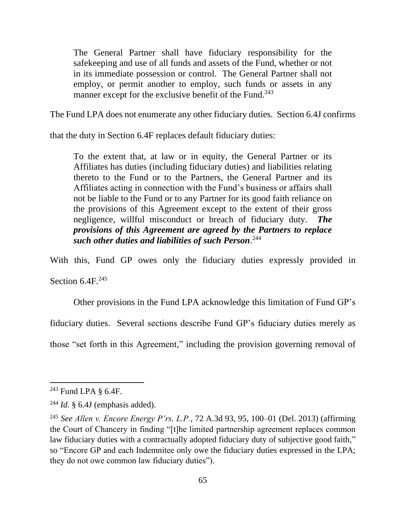The General Partner shall have fiduciary responsibility for the safekeeping and use of all funds and assets of the Fund, whether or not in its immediate possession or control. The General Partner shall not employ, or permit another to employ, such funds or assets in any manner except for the exclusive benefit of the Fund.<sup>243</sup>

The Fund LPA does not enumerate any other fiduciary duties. Section 6.4J confirms

that the duty in Section 6.4F replaces default fiduciary duties:

To the extent that, at law or in equity, the General Partner or its Affiliates has duties (including fiduciary duties) and liabilities relating thereto to the Fund or to the Partners, the General Partner and its Affiliates acting in connection with the Fund's business or affairs shall not be liable to the Fund or to any Partner for its good faith reliance on the provisions of this Agreement except to the extent of their gross negligence, willful misconduct or breach of fiduciary duty. *The provisions of this Agreement are agreed by the Partners to replace such other duties and liabilities of such Person*. 244

With this, Fund GP owes only the fiduciary duties expressly provided in

Section  $6.4F^{245}$ 

Other provisions in the Fund LPA acknowledge this limitation of Fund GP's

fiduciary duties. Several sections describe Fund GP's fiduciary duties merely as

those "set forth in this Agreement," including the provision governing removal of

<sup>243</sup> Fund LPA § 6.4F.

 $^{244}$  *Id.* § 6.4J (emphasis added).

<sup>245</sup> *See Allen v. Encore Energy P'rs, L.P.*, 72 A.3d 93, 95, 100–01 (Del. 2013) (affirming the Court of Chancery in finding "[t]he limited partnership agreement replaces common law fiduciary duties with a contractually adopted fiduciary duty of subjective good faith," so "Encore GP and each Indemnitee only owe the fiduciary duties expressed in the LPA; they do not owe common law fiduciary duties").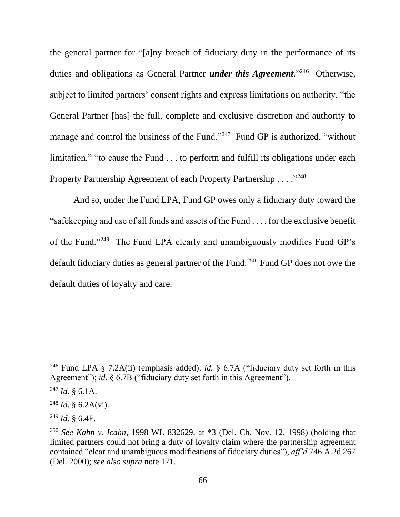the general partner for "[a]ny breach of fiduciary duty in the performance of its duties and obligations as General Partner *under this Agreement*." 246 Otherwise, subject to limited partners' consent rights and express limitations on authority, "the General Partner [has] the full, complete and exclusive discretion and authority to manage and control the business of the Fund."<sup>247</sup> Fund GP is authorized, "without limitation," "to cause the Fund . . . to perform and fulfill its obligations under each Property Partnership Agreement of each Property Partnership . . . . "248

And so, under the Fund LPA, Fund GP owes only a fiduciary duty toward the "safekeeping and use of all funds and assets of the Fund . . . . for the exclusive benefit of the Fund."<sup>249</sup> The Fund LPA clearly and unambiguously modifies Fund GP's default fiduciary duties as general partner of the Fund.<sup>250</sup> Fund GP does not owe the default duties of loyalty and care.

<sup>246</sup> Fund LPA § 7.2A(ii) (emphasis added); *id.* § 6.7A ("fiduciary duty set forth in this Agreement"); *id.*  $\frac{1}{2}$  6.7B ("fiduciary duty set forth in this Agreement").

<sup>247</sup> *Id.* § 6.1A.

<sup>248</sup> *Id.* § 6.2A(vi).

<sup>249</sup> *Id.* § 6.4F.

<sup>250</sup> *See Kahn v. Icahn*, 1998 WL 832629, at \*3 (Del. Ch. Nov. 12, 1998) (holding that limited partners could not bring a duty of loyalty claim where the partnership agreement contained "clear and unambiguous modifications of fiduciary duties"), *aff'd* 746 A.2d 267 (Del. 2000); *see also supra* note 171.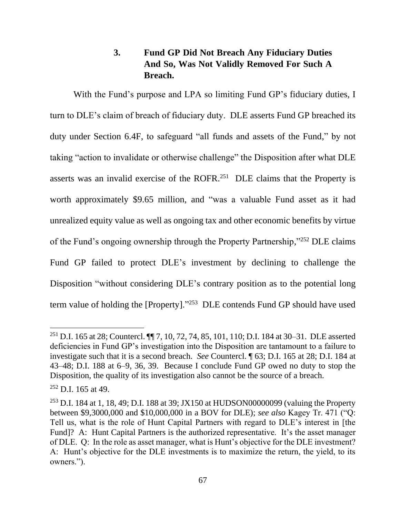# **3. Fund GP Did Not Breach Any Fiduciary Duties And So, Was Not Validly Removed For Such A Breach.**

With the Fund's purpose and LPA so limiting Fund GP's fiduciary duties, I turn to DLE's claim of breach of fiduciary duty. DLE asserts Fund GP breached its duty under Section 6.4F, to safeguard "all funds and assets of the Fund," by not taking "action to invalidate or otherwise challenge" the Disposition after what DLE asserts was an invalid exercise of the ROFR. 251 DLE claims that the Property is worth approximately \$9.65 million, and "was a valuable Fund asset as it had unrealized equity value as well as ongoing tax and other economic benefits by virtue of the Fund's ongoing ownership through the Property Partnership,"252 DLE claims Fund GP failed to protect DLE's investment by declining to challenge the Disposition "without considering DLE's contrary position as to the potential long term value of holding the [Property]. $\frac{353}{}$  DLE contends Fund GP should have used

<sup>251</sup> D.I. 165 at 28; Countercl. ¶¶ 7, 10, 72, 74, 85, 101, 110; D.I. 184 at 30–31. DLE asserted deficiencies in Fund GP's investigation into the Disposition are tantamount to a failure to investigate such that it is a second breach. *See* Countercl. ¶ 63; D.I. 165 at 28; D.I. 184 at 43–48; D.I. 188 at 6–9, 36, 39. Because I conclude Fund GP owed no duty to stop the Disposition, the quality of its investigation also cannot be the source of a breach.

 $252$  D.I. 165 at 49.

<sup>&</sup>lt;sup>253</sup> D.I. 184 at 1, 18, 49; D.I. 188 at 39; JX150 at HUDSON00000099 (valuing the Property between \$9,3000,000 and \$10,000,000 in a BOV for DLE); *see also* Kagey Tr. 471 ("Q: Tell us, what is the role of Hunt Capital Partners with regard to DLE's interest in [the Fund]? A: Hunt Capital Partners is the authorized representative. It's the asset manager of DLE. Q: In the role as asset manager, what is Hunt's objective for the DLE investment? A: Hunt's objective for the DLE investments is to maximize the return, the yield, to its owners.").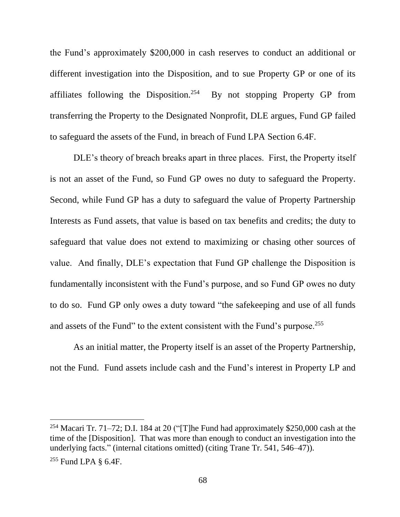the Fund's approximately \$200,000 in cash reserves to conduct an additional or different investigation into the Disposition, and to sue Property GP or one of its affiliates following the Disposition.<sup>254</sup> By not stopping Property GP from transferring the Property to the Designated Nonprofit, DLE argues, Fund GP failed to safeguard the assets of the Fund, in breach of Fund LPA Section 6.4F.

DLE's theory of breach breaks apart in three places. First, the Property itself is not an asset of the Fund, so Fund GP owes no duty to safeguard the Property. Second, while Fund GP has a duty to safeguard the value of Property Partnership Interests as Fund assets, that value is based on tax benefits and credits; the duty to safeguard that value does not extend to maximizing or chasing other sources of value. And finally, DLE's expectation that Fund GP challenge the Disposition is fundamentally inconsistent with the Fund's purpose, and so Fund GP owes no duty to do so. Fund GP only owes a duty toward "the safekeeping and use of all funds and assets of the Fund" to the extent consistent with the Fund's purpose.<sup>255</sup>

As an initial matter, the Property itself is an asset of the Property Partnership, not the Fund. Fund assets include cash and the Fund's interest in Property LP and

<sup>254</sup> Macari Tr. 71–72; D.I. 184 at 20 ("The Fund had approximately \$250,000 cash at the time of the [Disposition]. That was more than enough to conduct an investigation into the underlying facts." (internal citations omitted) (citing Trane Tr. 541, 546–47)).

<sup>255</sup> Fund LPA § 6.4F.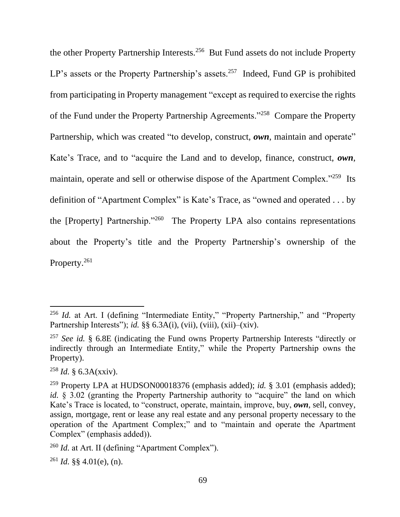the other Property Partnership Interests.<sup>256</sup> But Fund assets do not include Property LP's assets or the Property Partnership's assets.<sup>257</sup> Indeed, Fund GP is prohibited from participating in Property management "except as required to exercise the rights of the Fund under the Property Partnership Agreements."<sup>258</sup> Compare the Property Partnership, which was created "to develop, construct, *own*, maintain and operate" Kate's Trace, and to "acquire the Land and to develop, finance, construct, *own*, maintain, operate and sell or otherwise dispose of the Apartment Complex."<sup>259</sup> Its definition of "Apartment Complex" is Kate's Trace, as "owned and operated . . . by the [Property] Partnership."<sup>260</sup> The Property LPA also contains representations about the Property's title and the Property Partnership's ownership of the Property.<sup>261</sup>

<sup>&</sup>lt;sup>256</sup> *Id.* at Art. I (defining "Intermediate Entity," "Property Partnership," and "Property Partnership Interests"); *id.* §§ 6.3A(i), (vii), (viii), (xii)–(xiv).

<sup>257</sup> *See id.* § 6.8E (indicating the Fund owns Property Partnership Interests "directly or indirectly through an Intermediate Entity," while the Property Partnership owns the Property).

<sup>258</sup> *Id.* § 6.3A(xxiv).

<sup>259</sup> Property LPA at HUDSON00018376 (emphasis added); *id.* § 3.01 (emphasis added); *id.* § 3.02 (granting the Property Partnership authority to "acquire" the land on which Kate's Trace is located, to "construct, operate, maintain, improve, buy, *own*, sell, convey, assign, mortgage, rent or lease any real estate and any personal property necessary to the operation of the Apartment Complex;" and to "maintain and operate the Apartment Complex" (emphasis added)).

<sup>&</sup>lt;sup>260</sup> *Id.* at Art. II (defining "Apartment Complex").

 $^{261}$  *Id.* §§ 4.01(e), (n).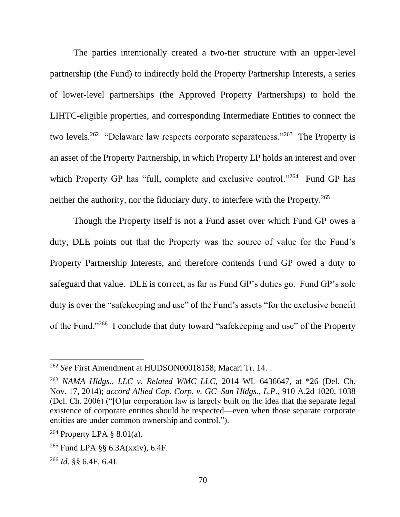The parties intentionally created a two-tier structure with an upper-level partnership (the Fund) to indirectly hold the Property Partnership Interests, a series of lower-level partnerships (the Approved Property Partnerships) to hold the LIHTC-eligible properties, and corresponding Intermediate Entities to connect the two levels.<sup>262</sup> "Delaware law respects corporate separateness."<sup>263</sup> The Property is an asset of the Property Partnership, in which Property LP holds an interest and over which Property GP has "full, complete and exclusive control."<sup>264</sup> Fund GP has neither the authority, nor the fiduciary duty, to interfere with the Property.<sup>265</sup>

Though the Property itself is not a Fund asset over which Fund GP owes a duty, DLE points out that the Property was the source of value for the Fund's Property Partnership Interests, and therefore contends Fund GP owed a duty to safeguard that value. DLE is correct, as far as Fund GP's duties go. Fund GP's sole duty is over the "safekeeping and use" of the Fund's assets "for the exclusive benefit of the Fund."<sup>266</sup> I conclude that duty toward "safekeeping and use" of the Property

<sup>262</sup> *See* First Amendment at HUDSON00018158; Macari Tr. 14.

<sup>263</sup> *NAMA Hldgs., LLC v. Related WMC LLC*, 2014 WL 6436647, at \*26 (Del. Ch. Nov. 17, 2014); *accord Allied Cap. Corp. v. GC–Sun Hldgs., L.P.*, 910 A.2d 1020, 1038 (Del. Ch. 2006) ("[O]ur corporation law is largely built on the idea that the separate legal existence of corporate entities should be respected—even when those separate corporate entities are under common ownership and control.").

<sup>&</sup>lt;sup>264</sup> Property LPA  $\S$  8.01(a).

<sup>265</sup> Fund LPA §§ 6.3A(xxiv), 6.4F.

<sup>266</sup> *Id.* §§ 6.4F, 6.4J.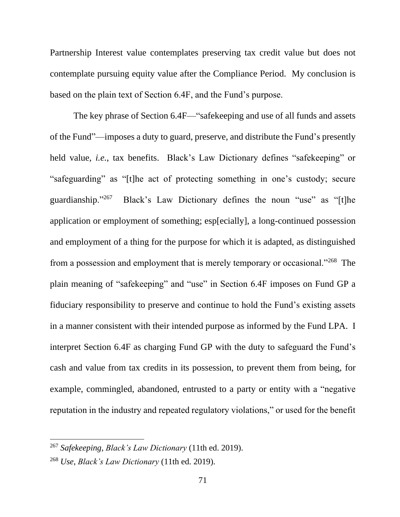Partnership Interest value contemplates preserving tax credit value but does not contemplate pursuing equity value after the Compliance Period. My conclusion is based on the plain text of Section 6.4F, and the Fund's purpose.

The key phrase of Section 6.4F—"safekeeping and use of all funds and assets of the Fund"—imposes a duty to guard, preserve, and distribute the Fund's presently held value, *i.e.*, tax benefits. Black's Law Dictionary defines "safekeeping" or "safeguarding" as "[t]he act of protecting something in one's custody; secure guardianship."<sup>267</sup> Black's Law Dictionary defines the noun "use" as "[t]he application or employment of something; esp[ecially], a long-continued possession and employment of a thing for the purpose for which it is adapted, as distinguished from a possession and employment that is merely temporary or occasional."<sup>268</sup> The plain meaning of "safekeeping" and "use" in Section 6.4F imposes on Fund GP a fiduciary responsibility to preserve and continue to hold the Fund's existing assets in a manner consistent with their intended purpose as informed by the Fund LPA. I interpret Section 6.4F as charging Fund GP with the duty to safeguard the Fund's cash and value from tax credits in its possession, to prevent them from being, for example, commingled, abandoned, entrusted to a party or entity with a "negative reputation in the industry and repeated regulatory violations," or used for the benefit

<sup>267</sup> *Safekeeping*, *Black's Law Dictionary* (11th ed. 2019).

<sup>268</sup> *Use*, *Black's Law Dictionary* (11th ed. 2019).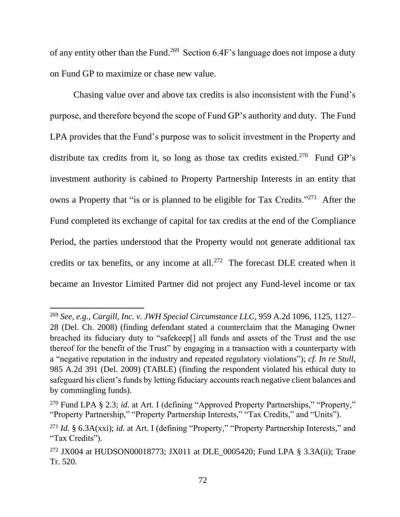of any entity other than the Fund.<sup>269</sup> Section 6.4F's language does not impose a duty on Fund GP to maximize or chase new value.

Chasing value over and above tax credits is also inconsistent with the Fund's purpose, and therefore beyond the scope of Fund GP's authority and duty. The Fund LPA provides that the Fund's purpose was to solicit investment in the Property and distribute tax credits from it, so long as those tax credits existed.<sup>270</sup> Fund GP's investment authority is cabined to Property Partnership Interests in an entity that owns a Property that "is or is planned to be eligible for Tax Credits."<sup>271</sup> After the Fund completed its exchange of capital for tax credits at the end of the Compliance Period, the parties understood that the Property would not generate additional tax credits or tax benefits, or any income at all.<sup>272</sup> The forecast DLE created when it became an Investor Limited Partner did not project any Fund-level income or tax

<sup>269</sup> *See, e.g.*, *Cargill, Inc. v. JWH Special Circumstance LLC*, 959 A.2d 1096, 1125, 1127– 28 (Del. Ch. 2008) (finding defendant stated a counterclaim that the Managing Owner breached its fiduciary duty to "safekeep[] all funds and assets of the Trust and the use thereof for the benefit of the Trust" by engaging in a transaction with a counterparty with a "negative reputation in the industry and repeated regulatory violations"); *cf. In re Stull*, 985 A.2d 391 (Del. 2009) (TABLE) (finding the respondent violated his ethical duty to safeguard his client's funds by letting fiduciary accounts reach negative client balances and by commingling funds).

<sup>&</sup>lt;sup>270</sup> Fund LPA § 2.3; *id.* at Art. I (defining "Approved Property Partnerships," "Property," "Property Partnership," "Property Partnership Interests," "Tax Credits," and "Units").

<sup>271</sup> *Id.* § 6.3A(xxi); *id.* at Art. I (defining "Property," "Property Partnership Interests," and "Tax Credits").

<sup>&</sup>lt;sup>272</sup> JX004 at HUDSON00018773; JX011 at DLE 0005420; Fund LPA § 3.3A(ii); Trane Tr. 520.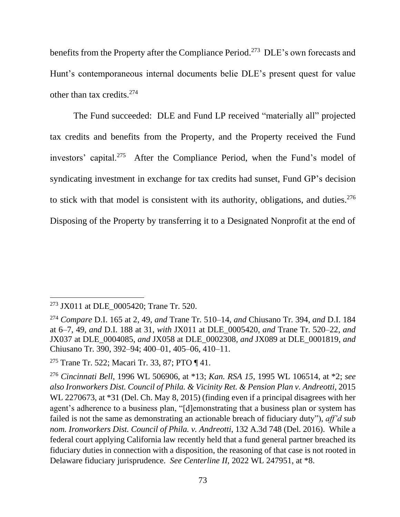benefits from the Property after the Compliance Period.<sup>273</sup> DLE's own forecasts and Hunt's contemporaneous internal documents belie DLE's present quest for value other than tax credits.<sup>274</sup>

The Fund succeeded: DLE and Fund LP received "materially all" projected tax credits and benefits from the Property, and the Property received the Fund investors' capital.<sup>275</sup> After the Compliance Period, when the Fund's model of syndicating investment in exchange for tax credits had sunset, Fund GP's decision to stick with that model is consistent with its authority, obligations, and duties. $276$ Disposing of the Property by transferring it to a Designated Nonprofit at the end of

<sup>&</sup>lt;sup>273</sup> JX011 at DLE 0005420; Trane Tr. 520.

<sup>274</sup> *Compare* D.I. 165 at 2, 49, *and* Trane Tr. 510–14, *and* Chiusano Tr. 394, *and* D.I. 184 at 6–7, 49, *and* D.I. 188 at 31, *with* JX011 at DLE\_0005420, *and* Trane Tr. 520–22, *and*  JX037 at DLE\_0004085, *and* JX058 at DLE\_0002308, *and* JX089 at DLE\_0001819, *and*  Chiusano Tr. 390, 392–94; 400–01, 405–06, 410–11.

<sup>275</sup> Trane Tr. 522; Macari Tr. 33, 87; PTO ¶ 41.

<sup>276</sup> *Cincinnati Bell*, 1996 WL 506906, at \*13; *Kan. RSA 15*, 1995 WL 106514, at \*2; *see also Ironworkers Dist. Council of Phila. & Vicinity Ret. & Pension Plan v. Andreotti*, 2015 WL 2270673, at \*31 (Del. Ch. May 8, 2015) (finding even if a principal disagrees with her agent's adherence to a business plan, "[d]emonstrating that a business plan or system has failed is not the same as demonstrating an actionable breach of fiduciary duty"), *aff'd sub nom. Ironworkers Dist. Council of Phila. v. Andreotti*, 132 A.3d 748 (Del. 2016). While a federal court applying California law recently held that a fund general partner breached its fiduciary duties in connection with a disposition, the reasoning of that case is not rooted in Delaware fiduciary jurisprudence. *See Centerline II*, 2022 WL 247951, at \*8.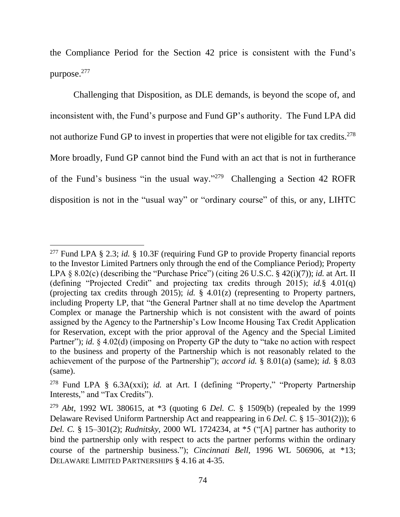the Compliance Period for the Section 42 price is consistent with the Fund's purpose. 277

Challenging that Disposition, as DLE demands, is beyond the scope of, and inconsistent with, the Fund's purpose and Fund GP's authority. The Fund LPA did not authorize Fund GP to invest in properties that were not eligible for tax credits.<sup>278</sup> More broadly, Fund GP cannot bind the Fund with an act that is not in furtherance of the Fund's business "in the usual way." <sup>279</sup> Challenging a Section 42 ROFR disposition is not in the "usual way" or "ordinary course" of this, or any, LIHTC

<sup>277</sup> Fund LPA § 2.3; *id.* § 10.3F (requiring Fund GP to provide Property financial reports to the Investor Limited Partners only through the end of the Compliance Period); Property LPA § 8.02(c) (describing the "Purchase Price") (citing 26 U.S.C. § 42(i)(7)); *id.* at Art. II (defining "Projected Credit" and projecting tax credits through 2015); *id.*§ 4.01(q) (projecting tax credits through 2015); *id.* § 4.01(z) (representing to Property partners, including Property LP, that "the General Partner shall at no time develop the Apartment Complex or manage the Partnership which is not consistent with the award of points assigned by the Agency to the Partnership's Low Income Housing Tax Credit Application for Reservation, except with the prior approval of the Agency and the Special Limited Partner"); *id.* § 4.02(d) (imposing on Property GP the duty to "take no action with respect to the business and property of the Partnership which is not reasonably related to the achievement of the purpose of the Partnership"); *accord id.* § 8.01(a) (same); *id.* § 8.03 (same).

<sup>278</sup> Fund LPA § 6.3A(xxi); *id.* at Art. I (defining "Property," "Property Partnership Interests," and "Tax Credits").

<sup>279</sup> *Abt*, 1992 WL 380615, at \*3 (quoting 6 *Del. C.* § 1509(b) (repealed by the 1999 Delaware Revised Uniform Partnership Act and reappearing in 6 *Del. C.* § 15–301(2))); 6 *Del. C.* § 15–301(2); *Rudnitsky*, 2000 WL 1724234, at \*5 ("[A] partner has authority to bind the partnership only with respect to acts the partner performs within the ordinary course of the partnership business."); *Cincinnati Bell*, 1996 WL 506906, at \*13; DELAWARE LIMITED PARTNERSHIPS § 4.16 at 4-35.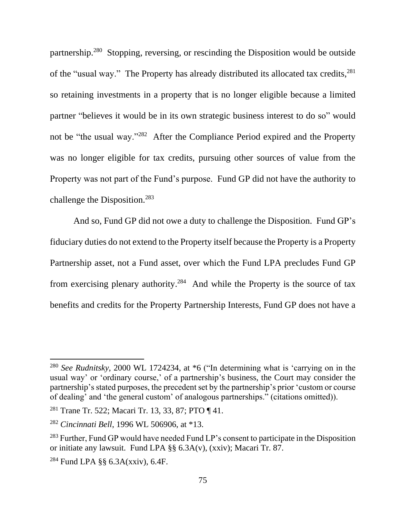partnership.<sup>280</sup> Stopping, reversing, or rescinding the Disposition would be outside of the "usual way." The Property has already distributed its allocated tax credits, <sup>281</sup> so retaining investments in a property that is no longer eligible because a limited partner "believes it would be in its own strategic business interest to do so" would not be "the usual way."<sup>282</sup> After the Compliance Period expired and the Property was no longer eligible for tax credits, pursuing other sources of value from the Property was not part of the Fund's purpose. Fund GP did not have the authority to challenge the Disposition.<sup>283</sup>

And so, Fund GP did not owe a duty to challenge the Disposition. Fund GP's fiduciary duties do not extend to the Property itself because the Property is a Property Partnership asset, not a Fund asset, over which the Fund LPA precludes Fund GP from exercising plenary authority.<sup>284</sup> And while the Property is the source of tax benefits and credits for the Property Partnership Interests, Fund GP does not have a

<sup>280</sup> *See Rudnitsky*, 2000 WL 1724234, at \*6 ("In determining what is 'carrying on in the usual way' or 'ordinary course,' of a partnership's business, the Court may consider the partnership's stated purposes, the precedent set by the partnership's prior 'custom or course of dealing' and 'the general custom' of analogous partnerships." (citations omitted)).

<sup>281</sup> Trane Tr. 522; Macari Tr. 13, 33, 87; PTO ¶ 41.

<sup>282</sup> *Cincinnati Bell*, 1996 WL 506906, at \*13.

<sup>&</sup>lt;sup>283</sup> Further, Fund GP would have needed Fund LP's consent to participate in the Disposition or initiate any lawsuit. Fund LPA §§ 6.3A(v), (xxiv); Macari Tr. 87.

<sup>284</sup> Fund LPA §§ 6.3A(xxiv), 6.4F.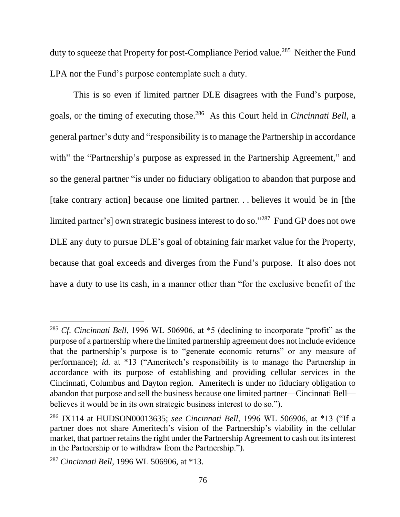duty to squeeze that Property for post-Compliance Period value.<sup>285</sup> Neither the Fund LPA nor the Fund's purpose contemplate such a duty.

This is so even if limited partner DLE disagrees with the Fund's purpose, goals, or the timing of executing those. 286 As this Court held in *Cincinnati Bell*, a general partner's duty and "responsibility is to manage the Partnership in accordance with" the "Partnership's purpose as expressed in the Partnership Agreement," and so the general partner "is under no fiduciary obligation to abandon that purpose and [take contrary action] because one limited partner. . . believes it would be in [the limited partner's] own strategic business interest to do so."<sup>287</sup> Fund GP does not owe DLE any duty to pursue DLE's goal of obtaining fair market value for the Property, because that goal exceeds and diverges from the Fund's purpose. It also does not have a duty to use its cash, in a manner other than "for the exclusive benefit of the

<sup>285</sup> *Cf. Cincinnati Bell*, 1996 WL 506906, at \*5 (declining to incorporate "profit" as the purpose of a partnership where the limited partnership agreement does not include evidence that the partnership's purpose is to "generate economic returns" or any measure of performance); *id.* at \*13 ("Ameritech's responsibility is to manage the Partnership in accordance with its purpose of establishing and providing cellular services in the Cincinnati, Columbus and Dayton region. Ameritech is under no fiduciary obligation to abandon that purpose and sell the business because one limited partner—Cincinnati Bell believes it would be in its own strategic business interest to do so.").

<sup>286</sup> JX114 at HUDSON00013635; *see Cincinnati Bell*, 1996 WL 506906, at \*13 ("If a partner does not share Ameritech's vision of the Partnership's viability in the cellular market, that partner retains the right under the Partnership Agreement to cash out its interest in the Partnership or to withdraw from the Partnership.").

<sup>287</sup> *Cincinnati Bell*, 1996 WL 506906, at \*13.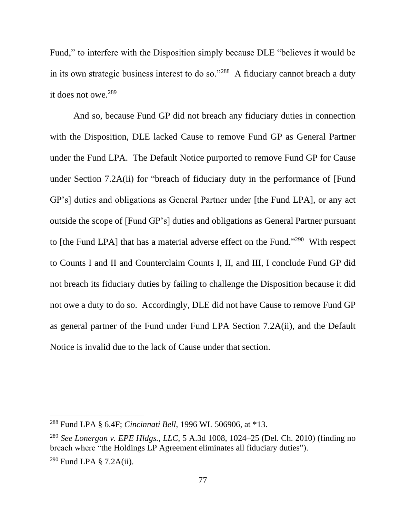Fund," to interfere with the Disposition simply because DLE "believes it would be in its own strategic business interest to do so."<sup>288</sup> A fiduciary cannot breach a duty it does not owe. 289

And so, because Fund GP did not breach any fiduciary duties in connection with the Disposition, DLE lacked Cause to remove Fund GP as General Partner under the Fund LPA. The Default Notice purported to remove Fund GP for Cause under Section 7.2A(ii) for "breach of fiduciary duty in the performance of [Fund GP's] duties and obligations as General Partner under [the Fund LPA], or any act outside the scope of [Fund GP's] duties and obligations as General Partner pursuant to [the Fund LPA] that has a material adverse effect on the Fund."<sup>290</sup> With respect to Counts I and II and Counterclaim Counts I, II, and III, I conclude Fund GP did not breach its fiduciary duties by failing to challenge the Disposition because it did not owe a duty to do so. Accordingly, DLE did not have Cause to remove Fund GP as general partner of the Fund under Fund LPA Section 7.2A(ii), and the Default Notice is invalid due to the lack of Cause under that section.

<sup>288</sup> Fund LPA § 6.4F; *Cincinnati Bell*, 1996 WL 506906, at \*13.

<sup>289</sup> *See Lonergan v. EPE Hldgs., LLC*, 5 A.3d 1008, 1024–25 (Del. Ch. 2010) (finding no breach where "the Holdings LP Agreement eliminates all fiduciary duties").

<sup>290</sup> Fund LPA § 7.2A(ii).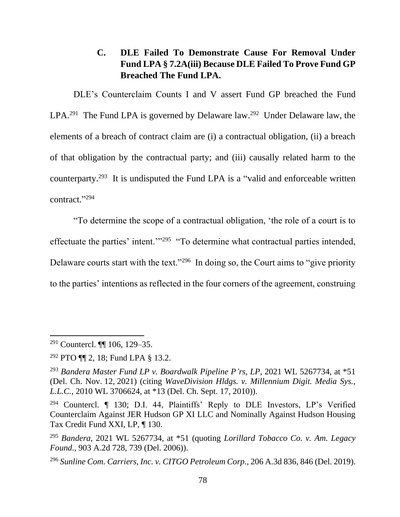# **C. DLE Failed To Demonstrate Cause For Removal Under Fund LPA § 7.2A(iii) Because DLE Failed To Prove Fund GP Breached The Fund LPA.**

DLE's Counterclaim Counts I and V assert Fund GP breached the Fund LPA.<sup>291</sup> The Fund LPA is governed by Delaware law.<sup>292</sup> Under Delaware law, the elements of a breach of contract claim are (i) a contractual obligation, (ii) a breach of that obligation by the contractual party; and (iii) causally related harm to the counterparty.<sup>293</sup> It is undisputed the Fund LPA is a "valid and enforceable written contract." 294

"To determine the scope of a contractual obligation, 'the role of a court is to effectuate the parties' intent."<sup>295</sup> "To determine what contractual parties intended, Delaware courts start with the text."<sup>296</sup> In doing so, the Court aims to "give priority to the parties' intentions as reflected in the four corners of the agreement, construing

<sup>296</sup> *Sunline Com. Carriers, Inc. v. CITGO Petroleum Corp.*, 206 A.3d 836, 846 (Del. 2019).

<sup>291</sup> Countercl. ¶¶ 106, 129–35.

<sup>292</sup> PTO ¶¶ 2, 18; Fund LPA § 13.2.

<sup>293</sup> *Bandera Master Fund LP v. Boardwalk Pipeline P'rs, LP*, 2021 WL 5267734, at \*51 (Del. Ch. Nov. 12, 2021) (citing *WaveDivision Hldgs. v. Millennium Digit. Media Sys., L.L.C.*, 2010 WL 3706624, at \*13 (Del. Ch. Sept. 17, 2010)).

<sup>&</sup>lt;sup>294</sup> Countercl. ¶ 130; D.I. 44, Plaintiffs' Reply to DLE Investors, LP's Verified Counterclaim Against JER Hudson GP XI LLC and Nominally Against Hudson Housing Tax Credit Fund XXI, LP, ¶ 130.

<sup>295</sup> *Bandera*, 2021 WL 5267734, at \*51 (quoting *Lorillard Tobacco Co. v. Am. Legacy Found.*, 903 A.2d 728, 739 (Del. 2006)).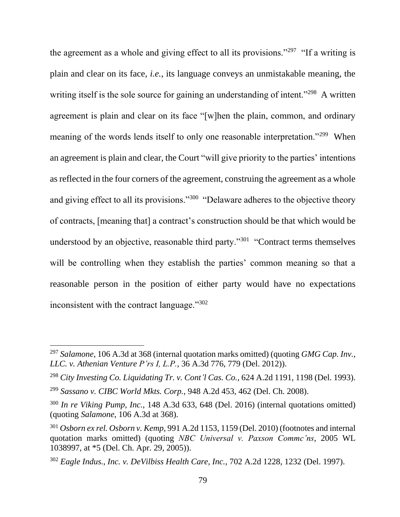the agreement as a whole and giving effect to all its provisions."<sup>297</sup> "If a writing is plain and clear on its face, *i.e.*, its language conveys an unmistakable meaning, the writing itself is the sole source for gaining an understanding of intent."<sup>298</sup> A written agreement is plain and clear on its face "[w]hen the plain, common, and ordinary meaning of the words lends itself to only one reasonable interpretation."<sup>299</sup> When an agreement is plain and clear, the Court "will give priority to the parties' intentions as reflected in the four corners of the agreement, construing the agreement as a whole and giving effect to all its provisions."<sup>300</sup> "Delaware adheres to the objective theory of contracts, [meaning that] a contract's construction should be that which would be understood by an objective, reasonable third party."<sup>301</sup> "Contract terms themselves will be controlling when they establish the parties' common meaning so that a reasonable person in the position of either party would have no expectations inconsistent with the contract language."<sup>302</sup>

<sup>297</sup> *Salamone*, 106 A.3d at 368 (internal quotation marks omitted) (quoting *GMG Cap. Inv., LLC. v. Athenian Venture P'rs I, L.P.*, 36 A.3d 776, 779 (Del. 2012)).

<sup>298</sup> *City Investing Co. Liquidating Tr. v. Cont'l Cas. Co.*, 624 A.2d 1191, 1198 (Del. 1993).

<sup>299</sup> *Sassano v. CIBC World Mkts. Corp.*, 948 A.2d 453, 462 (Del. Ch. 2008).

<sup>300</sup> *In re Viking Pump, Inc.*, 148 A.3d 633, 648 (Del. 2016) (internal quotations omitted) (quoting *Salamone*, 106 A.3d at 368).

<sup>301</sup> *Osborn ex rel. Osborn v. Kemp*, 991 A.2d 1153, 1159 (Del. 2010) (footnotes and internal quotation marks omitted) (quoting *NBC Universal v. Paxson Commc'ns*, 2005 WL 1038997, at \*5 (Del. Ch. Apr. 29, 2005)).

<sup>302</sup> *Eagle Indus., Inc. v. DeVilbiss Health Care, Inc.*, 702 A.2d 1228, 1232 (Del. 1997).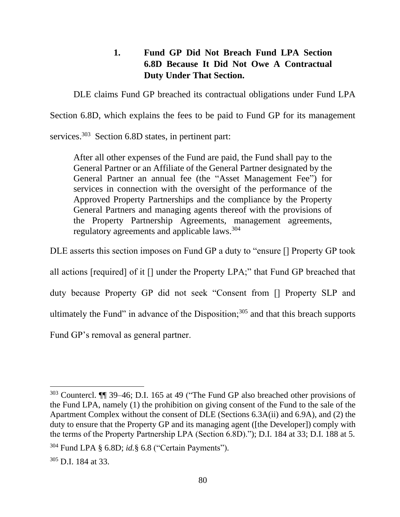# **1. Fund GP Did Not Breach Fund LPA Section 6.8D Because It Did Not Owe A Contractual Duty Under That Section.**

DLE claims Fund GP breached its contractual obligations under Fund LPA

Section 6.8D, which explains the fees to be paid to Fund GP for its management

services.<sup>303</sup> Section 6.8D states, in pertinent part:

After all other expenses of the Fund are paid, the Fund shall pay to the General Partner or an Affiliate of the General Partner designated by the General Partner an annual fee (the "Asset Management Fee") for services in connection with the oversight of the performance of the Approved Property Partnerships and the compliance by the Property General Partners and managing agents thereof with the provisions of the Property Partnership Agreements, management agreements, regulatory agreements and applicable laws. 304

DLE asserts this section imposes on Fund GP a duty to "ensure [] Property GP took

all actions [required] of it [] under the Property LPA;" that Fund GP breached that

duty because Property GP did not seek "Consent from [] Property SLP and

ultimately the Fund" in advance of the Disposition; $305$  and that this breach supports

Fund GP's removal as general partner.

<sup>303</sup> Countercl. ¶¶ 39–46; D.I. 165 at 49 ("The Fund GP also breached other provisions of the Fund LPA, namely (1) the prohibition on giving consent of the Fund to the sale of the Apartment Complex without the consent of DLE (Sections 6.3A(ii) and 6.9A), and (2) the duty to ensure that the Property GP and its managing agent ([the Developer]) comply with the terms of the Property Partnership LPA (Section 6.8D)."); D.I. 184 at 33; D.I. 188 at 5.

<sup>304</sup> Fund LPA § 6.8D; *id.*§ 6.8 ("Certain Payments").

<sup>305</sup> D.I. 184 at 33.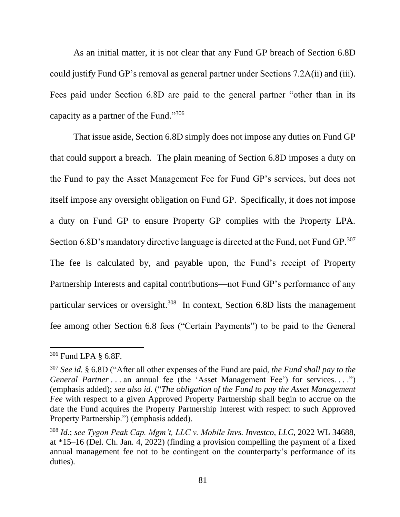As an initial matter, it is not clear that any Fund GP breach of Section 6.8D could justify Fund GP's removal as general partner under Sections 7.2A(ii) and (iii). Fees paid under Section 6.8D are paid to the general partner "other than in its capacity as a partner of the Fund."<sup>306</sup>

That issue aside, Section 6.8D simply does not impose any duties on Fund GP that could support a breach. The plain meaning of Section 6.8D imposes a duty on the Fund to pay the Asset Management Fee for Fund GP's services, but does not itself impose any oversight obligation on Fund GP. Specifically, it does not impose a duty on Fund GP to ensure Property GP complies with the Property LPA. Section 6.8D's mandatory directive language is directed at the Fund, not Fund GP. $307$ The fee is calculated by, and payable upon, the Fund's receipt of Property Partnership Interests and capital contributions—not Fund GP's performance of any particular services or oversight.<sup>308</sup> In context, Section 6.8D lists the management fee among other Section 6.8 fees ("Certain Payments") to be paid to the General

<sup>306</sup> Fund LPA § 6.8F.

<sup>307</sup> *See id.* § 6.8D ("After all other expenses of the Fund are paid, *the Fund shall pay to the General Partner* . . . an annual fee (the 'Asset Management Fee') for services. . . .") (emphasis added); *see also id.* ("*The obligation of the Fund to pay the Asset Management Fee* with respect to a given Approved Property Partnership shall begin to accrue on the date the Fund acquires the Property Partnership Interest with respect to such Approved Property Partnership.") (emphasis added).

<sup>308</sup> *Id.*; *see Tygon Peak Cap. Mgm't, LLC v. Mobile Invs. Investco, LLC*, 2022 WL 34688, at \*15–16 (Del. Ch. Jan. 4, 2022) (finding a provision compelling the payment of a fixed annual management fee not to be contingent on the counterparty's performance of its duties).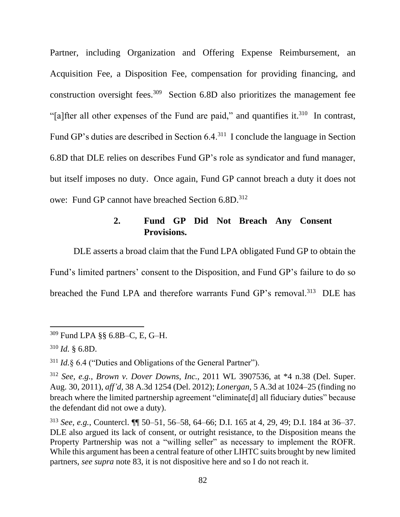Partner, including Organization and Offering Expense Reimbursement, an Acquisition Fee, a Disposition Fee, compensation for providing financing, and construction oversight fees.<sup>309</sup> Section 6.8D also prioritizes the management fee "[a]fter all other expenses of the Fund are paid," and quantifies it.<sup>310</sup> In contrast, Fund GP's duties are described in Section 6.4.<sup>311</sup> I conclude the language in Section 6.8D that DLE relies on describes Fund GP's role as syndicator and fund manager, but itself imposes no duty. Once again, Fund GP cannot breach a duty it does not owe: Fund GP cannot have breached Section 6.8D.<sup>312</sup>

# **2. Fund GP Did Not Breach Any Consent Provisions.**

DLE asserts a broad claim that the Fund LPA obligated Fund GP to obtain the Fund's limited partners' consent to the Disposition, and Fund GP's failure to do so breached the Fund LPA and therefore warrants Fund GP's removal.<sup>313</sup> DLE has

<sup>309</sup> Fund LPA §§ 6.8B–C, E, G–H.

<sup>310</sup> *Id.* § 6.8D.

<sup>311</sup> *Id.*§ 6.4 ("Duties and Obligations of the General Partner").

<sup>312</sup> *See, e.g.*, *Brown v. Dover Downs, Inc.*, 2011 WL 3907536, at \*4 n.38 (Del. Super. Aug. 30, 2011), *aff'd*, 38 A.3d 1254 (Del. 2012); *Lonergan*, 5 A.3d at 1024–25 (finding no breach where the limited partnership agreement "eliminate[d] all fiduciary duties" because the defendant did not owe a duty).

<sup>313</sup> *See, e.g.*, Countercl. ¶¶ 50–51, 56–58, 64–66; D.I. 165 at 4, 29, 49; D.I. 184 at 36–37. DLE also argued its lack of consent, or outright resistance, to the Disposition means the Property Partnership was not a "willing seller" as necessary to implement the ROFR. While this argument has been a central feature of other LIHTC suits brought by new limited partners, *see supra* note 83, it is not dispositive here and so I do not reach it.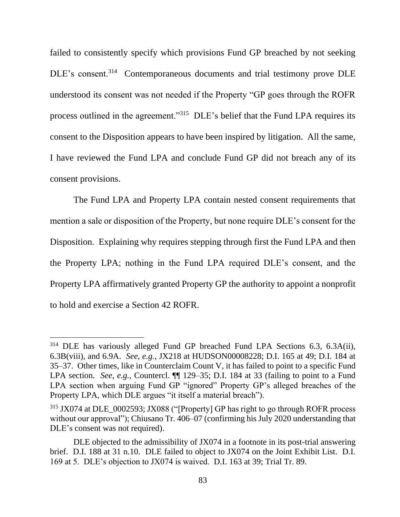failed to consistently specify which provisions Fund GP breached by not seeking DLE's consent.<sup>314</sup> Contemporaneous documents and trial testimony prove DLE understood its consent was not needed if the Property "GP goes through the ROFR process outlined in the agreement."<sup>315</sup> DLE's belief that the Fund LPA requires its consent to the Disposition appears to have been inspired by litigation. All the same, I have reviewed the Fund LPA and conclude Fund GP did not breach any of its consent provisions.

The Fund LPA and Property LPA contain nested consent requirements that mention a sale or disposition of the Property, but none require DLE's consent for the Disposition. Explaining why requires stepping through first the Fund LPA and then the Property LPA; nothing in the Fund LPA required DLE's consent, and the Property LPA affirmatively granted Property GP the authority to appoint a nonprofit to hold and exercise a Section 42 ROFR.

<sup>314</sup> DLE has variously alleged Fund GP breached Fund LPA Sections 6.3, 6.3A(ii), 6.3B(viii), and 6.9A. *See, e.g.*, JX218 at HUDSON00008228; D.I. 165 at 49; D.I. 184 at 35–37. Other times, like in Counterclaim Count V, it has failed to point to a specific Fund LPA section. *See, e.g.*, Countercl. **[1** 129–35; D.I. 184 at 33 (failing to point to a Fund LPA section when arguing Fund GP "ignored" Property GP's alleged breaches of the Property LPA, which DLE argues "it itself a material breach").

<sup>&</sup>lt;sup>315</sup> JX074 at DLE\_0002593; JX088 ("[Property] GP has right to go through ROFR process without our approval"); Chiusano Tr. 406–07 (confirming his July 2020 understanding that DLE's consent was not required).

DLE objected to the admissibility of JX074 in a footnote in its post-trial answering brief. D.I. 188 at 31 n.10. DLE failed to object to JX074 on the Joint Exhibit List. D.I. 169 at 5. DLE's objection to JX074 is waived. D.I. 163 at 39; Trial Tr. 89.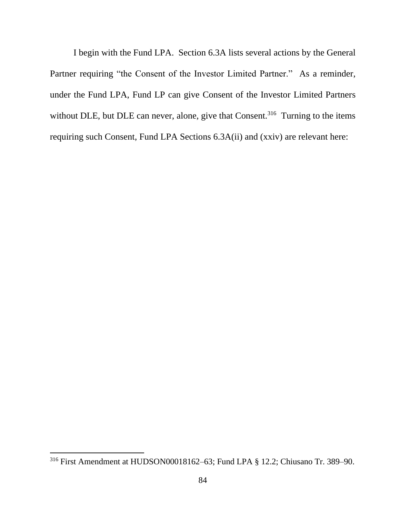I begin with the Fund LPA. Section 6.3A lists several actions by the General Partner requiring "the Consent of the Investor Limited Partner." As a reminder, under the Fund LPA, Fund LP can give Consent of the Investor Limited Partners without DLE, but DLE can never, alone, give that Consent.<sup>316</sup> Turning to the items requiring such Consent, Fund LPA Sections 6.3A(ii) and (xxiv) are relevant here:

<sup>316</sup> First Amendment at HUDSON00018162–63; Fund LPA § 12.2; Chiusano Tr. 389–90.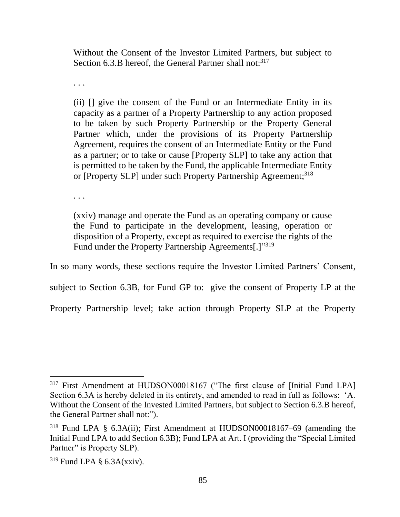Without the Consent of the Investor Limited Partners, but subject to Section 6.3.B hereof, the General Partner shall not:  $317$ 

. . .

(ii) [] give the consent of the Fund or an Intermediate Entity in its capacity as a partner of a Property Partnership to any action proposed to be taken by such Property Partnership or the Property General Partner which, under the provisions of its Property Partnership Agreement, requires the consent of an Intermediate Entity or the Fund as a partner; or to take or cause [Property SLP] to take any action that is permitted to be taken by the Fund, the applicable Intermediate Entity or [Property SLP] under such Property Partnership Agreement;<sup>318</sup>

. . .

(xxiv) manage and operate the Fund as an operating company or cause the Fund to participate in the development, leasing, operation or disposition of a Property, except as required to exercise the rights of the Fund under the Property Partnership Agreements[.]"319

In so many words, these sections require the Investor Limited Partners' Consent,

subject to Section 6.3B, for Fund GP to: give the consent of Property LP at the

Property Partnership level; take action through Property SLP at the Property

<sup>&</sup>lt;sup>317</sup> First Amendment at HUDSON00018167 ("The first clause of [Initial Fund LPA] Section 6.3A is hereby deleted in its entirety, and amended to read in full as follows: 'A. Without the Consent of the Invested Limited Partners, but subject to Section 6.3.B hereof, the General Partner shall not:").

<sup>318</sup> Fund LPA § 6.3A(ii); First Amendment at HUDSON00018167–69 (amending the Initial Fund LPA to add Section 6.3B); Fund LPA at Art. I (providing the "Special Limited Partner" is Property SLP).

 $319$  Fund LPA  $\S$  6.3A(xxiv).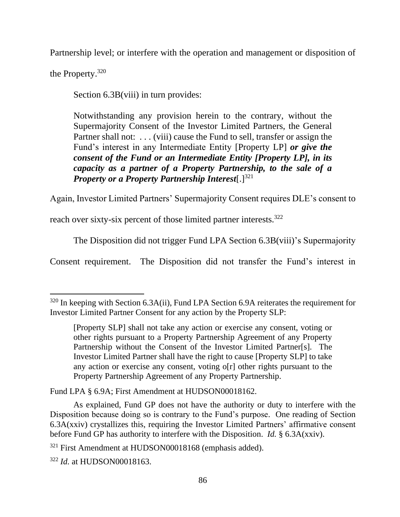Partnership level; or interfere with the operation and management or disposition of

the Property. 320

Section 6.3B(viii) in turn provides:

Notwithstanding any provision herein to the contrary, without the Supermajority Consent of the Investor Limited Partners, the General Partner shall not: . . . (viii) cause the Fund to sell, transfer or assign the Fund's interest in any Intermediate Entity [Property LP] *or give the consent of the Fund or an Intermediate Entity [Property LP], in its capacity as a partner of a Property Partnership, to the sale of a Property or a Property Partnership Interest*[.]<sup>321</sup>

Again, Investor Limited Partners' Supermajority Consent requires DLE's consent to

reach over sixty-six percent of those limited partner interests.<sup>322</sup>

The Disposition did not trigger Fund LPA Section 6.3B(viii)'s Supermajority

Consent requirement. The Disposition did not transfer the Fund's interest in

Fund LPA § 6.9A; First Amendment at HUDSON00018162.

<sup>320</sup> In keeping with Section 6.3A(ii), Fund LPA Section 6.9A reiterates the requirement for Investor Limited Partner Consent for any action by the Property SLP:

<sup>[</sup>Property SLP] shall not take any action or exercise any consent, voting or other rights pursuant to a Property Partnership Agreement of any Property Partnership without the Consent of the Investor Limited Partner[s]. The Investor Limited Partner shall have the right to cause [Property SLP] to take any action or exercise any consent, voting o[r] other rights pursuant to the Property Partnership Agreement of any Property Partnership.

As explained, Fund GP does not have the authority or duty to interfere with the Disposition because doing so is contrary to the Fund's purpose. One reading of Section 6.3A(xxiv) crystallizes this, requiring the Investor Limited Partners' affirmative consent before Fund GP has authority to interfere with the Disposition. *Id.* § 6.3A(xxiv).

<sup>321</sup> First Amendment at HUDSON00018168 (emphasis added).

<sup>322</sup> *Id.* at HUDSON00018163.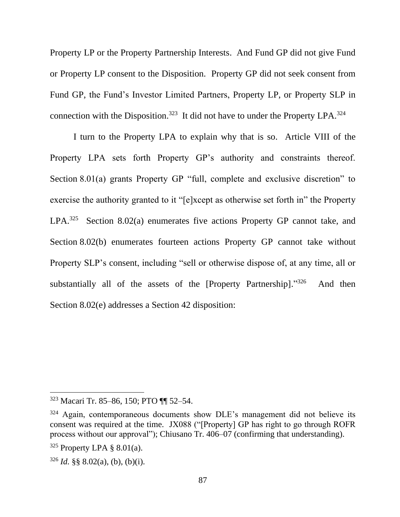Property LP or the Property Partnership Interests. And Fund GP did not give Fund or Property LP consent to the Disposition. Property GP did not seek consent from Fund GP, the Fund's Investor Limited Partners, Property LP, or Property SLP in connection with the Disposition.<sup>323</sup> It did not have to under the Property LPA.<sup>324</sup>

I turn to the Property LPA to explain why that is so. Article VIII of the Property LPA sets forth Property GP's authority and constraints thereof. Section 8.01(a) grants Property GP "full, complete and exclusive discretion" to exercise the authority granted to it "[e]xcept as otherwise set forth in" the Property LPA.<sup>325</sup> Section 8.02(a) enumerates five actions Property GP cannot take, and Section 8.02(b) enumerates fourteen actions Property GP cannot take without Property SLP's consent, including "sell or otherwise dispose of, at any time, all or substantially all of the assets of the [Property Partnership]."326 And then Section 8.02(e) addresses a Section 42 disposition:

<sup>323</sup> Macari Tr. 85–86, 150; PTO ¶¶ 52–54.

<sup>&</sup>lt;sup>324</sup> Again, contemporaneous documents show DLE's management did not believe its consent was required at the time. JX088 ("[Property] GP has right to go through ROFR process without our approval"); Chiusano Tr. 406–07 (confirming that understanding).

 $325$  Property LPA  $\S$  8.01(a).

 $326$  *Id.* §§ 8.02(a), (b), (b)(i).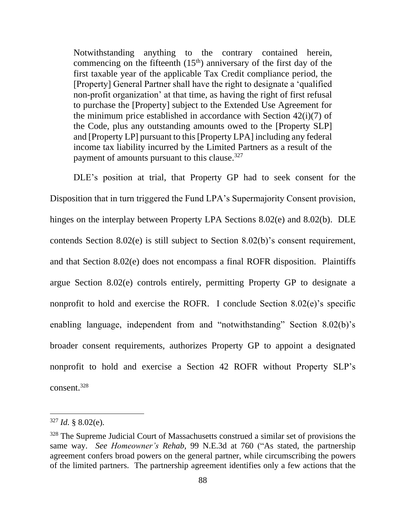Notwithstanding anything to the contrary contained herein, commencing on the fifteenth  $(15<sup>th</sup>)$  anniversary of the first day of the first taxable year of the applicable Tax Credit compliance period, the [Property] General Partner shall have the right to designate a 'qualified non-profit organization' at that time, as having the right of first refusal to purchase the [Property] subject to the Extended Use Agreement for the minimum price established in accordance with Section 42(i)(7) of the Code, plus any outstanding amounts owed to the [Property SLP] and [Property LP] pursuant to this [Property LPA] including any federal income tax liability incurred by the Limited Partners as a result of the payment of amounts pursuant to this clause.<sup>327</sup>

DLE's position at trial, that Property GP had to seek consent for the Disposition that in turn triggered the Fund LPA's Supermajority Consent provision, hinges on the interplay between Property LPA Sections 8.02(e) and 8.02(b). DLE contends Section 8.02(e) is still subject to Section 8.02(b)'s consent requirement, and that Section 8.02(e) does not encompass a final ROFR disposition. Plaintiffs argue Section 8.02(e) controls entirely, permitting Property GP to designate a nonprofit to hold and exercise the ROFR. I conclude Section 8.02(e)'s specific enabling language, independent from and "notwithstanding" Section 8.02(b)'s broader consent requirements, authorizes Property GP to appoint a designated nonprofit to hold and exercise a Section 42 ROFR without Property SLP's consent.<sup>328</sup>

 $327$  *Id.* § 8.02(e).

<sup>&</sup>lt;sup>328</sup> The Supreme Judicial Court of Massachusetts construed a similar set of provisions the same way. *See Homeowner's Rehab*, 99 N.E.3d at 760 ("As stated, the partnership agreement confers broad powers on the general partner, while circumscribing the powers of the limited partners. The partnership agreement identifies only a few actions that the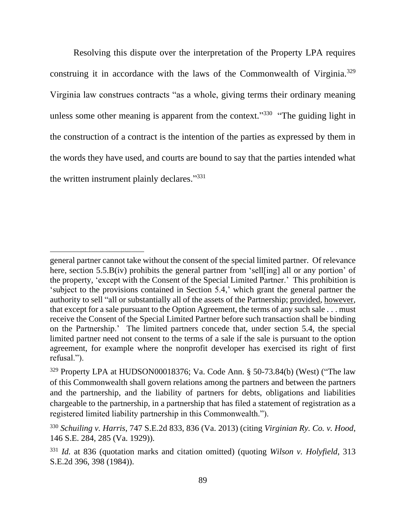Resolving this dispute over the interpretation of the Property LPA requires construing it in accordance with the laws of the Commonwealth of Virginia.<sup>329</sup> Virginia law construes contracts "as a whole, giving terms their ordinary meaning unless some other meaning is apparent from the context."<sup>330</sup> "The guiding light in the construction of a contract is the intention of the parties as expressed by them in the words they have used, and courts are bound to say that the parties intended what the written instrument plainly declares."<sup>331</sup>

general partner cannot take without the consent of the special limited partner. Of relevance here, section 5.5.B(iv) prohibits the general partner from 'sell[ing] all or any portion' of the property, 'except with the Consent of the Special Limited Partner.' This prohibition is 'subject to the provisions contained in Section 5.4,' which grant the general partner the authority to sell "all or substantially all of the assets of the Partnership; provided, however, that except for a sale pursuant to the Option Agreement, the terms of any such sale . . . must receive the Consent of the Special Limited Partner before such transaction shall be binding on the Partnership.' The limited partners concede that, under section 5.4, the special limited partner need not consent to the terms of a sale if the sale is pursuant to the option agreement, for example where the nonprofit developer has exercised its right of first refusal.").

<sup>329</sup> Property LPA at HUDSON00018376; Va. Code Ann. § 50-73.84(b) (West) ("The law of this Commonwealth shall govern relations among the partners and between the partners and the partnership, and the liability of partners for debts, obligations and liabilities chargeable to the partnership, in a partnership that has filed a statement of registration as a registered limited liability partnership in this Commonwealth.").

<sup>330</sup> *Schuiling v. Harris*, 747 S.E.2d 833, 836 (Va. 2013) (citing *Virginian Ry. Co. v. Hood*, 146 S.E. 284, 285 (Va. 1929)).

<sup>331</sup> *Id.* at 836 (quotation marks and citation omitted) (quoting *Wilson v. Holyfield*, 313 S.E.2d 396, 398 (1984)).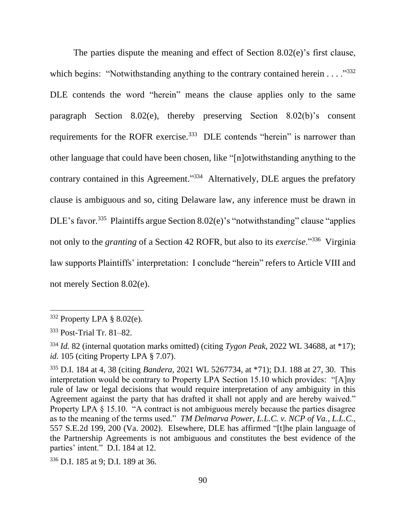The parties dispute the meaning and effect of Section 8.02(e)'s first clause, which begins: "Notwithstanding anything to the contrary contained herein  $\dots$ ."332 DLE contends the word "herein" means the clause applies only to the same paragraph Section 8.02(e), thereby preserving Section 8.02(b)'s consent requirements for the ROFR exercise.<sup>333</sup> DLE contends "herein" is narrower than other language that could have been chosen, like "[n]otwithstanding anything to the contrary contained in this Agreement."<sup>334</sup> Alternatively, DLE argues the prefatory clause is ambiguous and so, citing Delaware law, any inference must be drawn in DLE's favor.<sup>335</sup> Plaintiffs argue Section 8.02(e)'s "notwithstanding" clause "applies not only to the *granting* of a Section 42 ROFR, but also to its *exercise*."<sup>336</sup> Virginia law supports Plaintiffs' interpretation: I conclude "herein" refers to Article VIII and not merely Section 8.02(e).

 $332$  Property LPA § 8.02(e).

<sup>333</sup> Post-Trial Tr. 81–82.

<sup>334</sup> *Id.* 82 (internal quotation marks omitted) (citing *Tygon Peak*, 2022 WL 34688, at \*17); *id.* 105 (citing Property LPA § 7.07).

<sup>335</sup> D.I. 184 at 4, 38 (citing *Bandera*, 2021 WL 5267734, at \*71); D.I. 188 at 27, 30. This interpretation would be contrary to Property LPA Section 15.10 which provides: "[A]ny rule of law or legal decisions that would require interpretation of any ambiguity in this Agreement against the party that has drafted it shall not apply and are hereby waived." Property LPA § 15.10. "A contract is not ambiguous merely because the parties disagree as to the meaning of the terms used." *TM Delmarva Power, L.L.C. v. NCP of Va., L.L.C.*, 557 S.E.2d 199, 200 (Va. 2002). Elsewhere, DLE has affirmed "[t]he plain language of the Partnership Agreements is not ambiguous and constitutes the best evidence of the parties' intent." D.I. 184 at 12.

<sup>336</sup> D.I. 185 at 9; D.I. 189 at 36.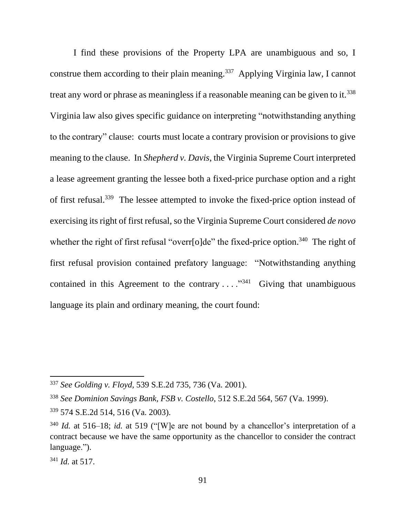I find these provisions of the Property LPA are unambiguous and so, I construe them according to their plain meaning.<sup>337</sup> Applying Virginia law, I cannot treat any word or phrase as meaningless if a reasonable meaning can be given to it.<sup>338</sup> Virginia law also gives specific guidance on interpreting "notwithstanding anything to the contrary" clause: courts must locate a contrary provision or provisions to give meaning to the clause. In *Shepherd v. Davis*, the Virginia Supreme Court interpreted a lease agreement granting the lessee both a fixed-price purchase option and a right of first refusal.<sup>339</sup> The lessee attempted to invoke the fixed-price option instead of exercising its right of first refusal, so the Virginia Supreme Court considered *de novo* whether the right of first refusal "overr[o]de" the fixed-price option.<sup>340</sup> The right of first refusal provision contained prefatory language: "Notwithstanding anything contained in this Agreement to the contrary  $\dots$   $\cdot$   $\cdot$   $\cdot$  Giving that unambiguous language its plain and ordinary meaning, the court found:

<sup>337</sup> *See Golding v. Floyd,* 539 S.E.2d 735, 736 (Va. 2001).

<sup>338</sup> *See Dominion Savings Bank, FSB v. Costello*, 512 S.E.2d 564, 567 (Va. 1999).

<sup>339</sup> 574 S.E.2d 514, 516 (Va. 2003).

<sup>340</sup> *Id.* at 516–18; *id.* at 519 ("[W]e are not bound by a chancellor's interpretation of a contract because we have the same opportunity as the chancellor to consider the contract language.").

<sup>341</sup> *Id.* at 517.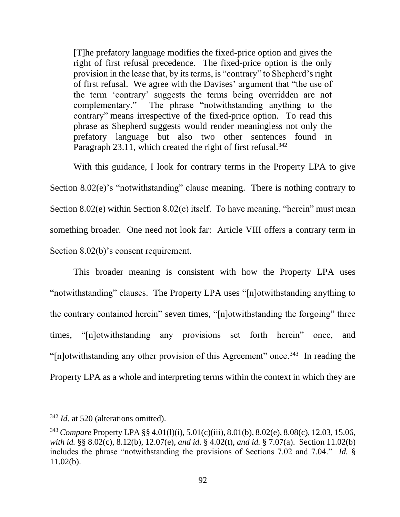[T]he prefatory language modifies the fixed-price option and gives the right of first refusal precedence. The fixed-price option is the only provision in the lease that, by its terms, is "contrary" to Shepherd's right of first refusal. We agree with the Davises' argument that "the use of the term 'contrary' suggests the terms being overridden are not complementary." The phrase "notwithstanding anything to the contrary" means irrespective of the fixed-price option. To read this phrase as Shepherd suggests would render meaningless not only the prefatory language but also two other sentences found in Paragraph 23.11, which created the right of first refusal.<sup>342</sup>

With this guidance, I look for contrary terms in the Property LPA to give Section 8.02(e)'s "notwithstanding" clause meaning. There is nothing contrary to Section 8.02(e) within Section 8.02(e) itself. To have meaning, "herein" must mean something broader. One need not look far: Article VIII offers a contrary term in Section 8.02(b)'s consent requirement.

This broader meaning is consistent with how the Property LPA uses "notwithstanding" clauses. The Property LPA uses "[n]otwithstanding anything to the contrary contained herein" seven times, "[n]otwithstanding the forgoing" three times, "[n]otwithstanding any provisions set forth herein" once, and "[n]otwithstanding any other provision of this Agreement" once.<sup>343</sup> In reading the Property LPA as a whole and interpreting terms within the context in which they are

<sup>342</sup> *Id.* at 520 (alterations omitted).

<sup>343</sup> *Compare* Property LPA §§ 4.01(l)(i), 5.01(c)(iii), 8.01(b), 8.02(e), 8.08(c), 12.03, 15.06, *with id.* §§ 8.02(c), 8.12(b), 12.07(e), *and id.* § 4.02(t), *and id.* § 7.07(a). Section 11.02(b) includes the phrase "notwithstanding the provisions of Sections 7.02 and 7.04." *Id.* § 11.02(b).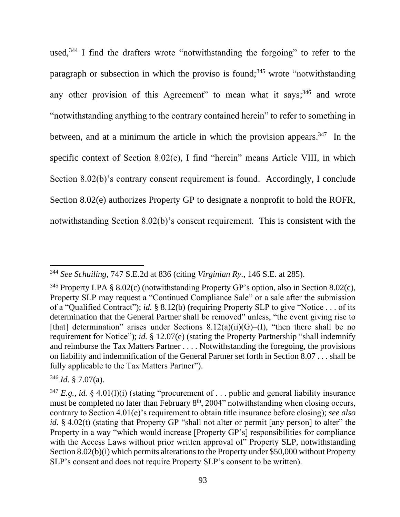used,<sup>344</sup> I find the drafters wrote "notwithstanding the forgoing" to refer to the paragraph or subsection in which the proviso is found;<sup>345</sup> wrote "notwithstanding" any other provision of this Agreement" to mean what it says;  $346$  and wrote "notwithstanding anything to the contrary contained herein" to refer to something in between, and at a minimum the article in which the provision appears.<sup>347</sup> In the specific context of Section 8.02(e), I find "herein" means Article VIII, in which Section 8.02(b)'s contrary consent requirement is found. Accordingly, I conclude Section 8.02(e) authorizes Property GP to designate a nonprofit to hold the ROFR, notwithstanding Section 8.02(b)'s consent requirement. This is consistent with the

<sup>344</sup> *See Schuiling*, 747 S.E.2d at 836 (citing *Virginian Ry.*, 146 S.E. at 285).

<sup>&</sup>lt;sup>345</sup> Property LPA § 8.02(c) (notwithstanding Property GP's option, also in Section 8.02(c), Property SLP may request a "Continued Compliance Sale" or a sale after the submission of a "Qualified Contract"); *id.* § 8.12(b) (requiring Property SLP to give "Notice . . . of its determination that the General Partner shall be removed" unless, "the event giving rise to [that] determination" arises under Sections  $8.12(a)(ii)(G)$ –(I), "then there shall be no requirement for Notice"); *id.* § 12.07(e) (stating the Property Partnership "shall indemnify and reimburse the Tax Matters Partner . . . . Notwithstanding the foregoing, the provisions on liability and indemnification of the General Partner set forth in Section 8.07 . . . shall be fully applicable to the Tax Matters Partner").

<sup>346</sup> *Id.* § 7.07(a).

<sup>&</sup>lt;sup>347</sup> *E.g.*, *id.* § 4.01(1)(i) (stating "procurement of ... public and general liability insurance must be completed no later than February  $8<sup>th</sup>$ , 2004" notwithstanding when closing occurs, contrary to Section 4.01(e)'s requirement to obtain title insurance before closing); *see also id.* § 4.02(t) (stating that Property GP "shall not alter or permit [any person] to alter" the Property in a way "which would increase [Property GP's] responsibilities for compliance with the Access Laws without prior written approval of Property SLP, notwithstanding Section 8.02(b)(i) which permits alterations to the Property under \$50,000 without Property SLP's consent and does not require Property SLP's consent to be written).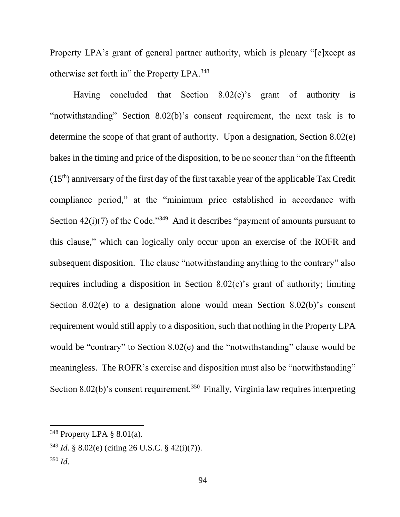Property LPA's grant of general partner authority, which is plenary "[e]xcept as otherwise set forth in" the Property LPA.<sup>348</sup>

Having concluded that Section 8.02(e)'s grant of authority is "notwithstanding" Section 8.02(b)'s consent requirement, the next task is to determine the scope of that grant of authority. Upon a designation, Section 8.02(e) bakes in the timing and price of the disposition, to be no sooner than "on the fifteenth  $(15<sup>th</sup>)$  anniversary of the first day of the first taxable year of the applicable Tax Credit compliance period," at the "minimum price established in accordance with Section  $42(i)(7)$  of the Code."<sup>349</sup> And it describes "payment of amounts pursuant to this clause," which can logically only occur upon an exercise of the ROFR and subsequent disposition. The clause "notwithstanding anything to the contrary" also requires including a disposition in Section 8.02(e)'s grant of authority; limiting Section 8.02(e) to a designation alone would mean Section 8.02(b)'s consent requirement would still apply to a disposition, such that nothing in the Property LPA would be "contrary" to Section 8.02(e) and the "notwithstanding" clause would be meaningless. The ROFR's exercise and disposition must also be "notwithstanding" Section  $8.02(b)$ 's consent requirement.<sup>350</sup> Finally, Virginia law requires interpreting

 $348$  Property LPA  $\S$  8.01(a).

<sup>349</sup> *Id.* § 8.02(e) (citing 26 U.S.C. § 42(i)(7)).

<sup>350</sup> *Id.*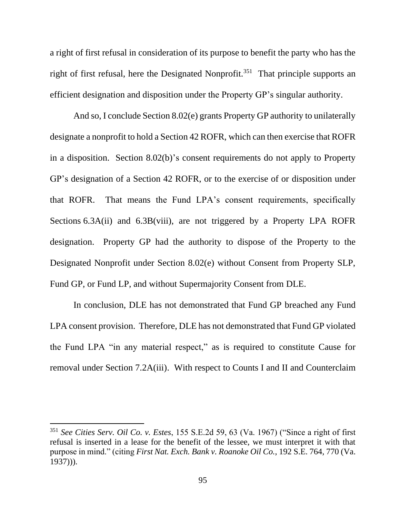a right of first refusal in consideration of its purpose to benefit the party who has the right of first refusal, here the Designated Nonprofit.<sup>351</sup> That principle supports an efficient designation and disposition under the Property GP's singular authority.

And so, I conclude Section 8.02(e) grants Property GP authority to unilaterally designate a nonprofit to hold a Section 42 ROFR, which can then exercise that ROFR in a disposition. Section 8.02(b)'s consent requirements do not apply to Property GP's designation of a Section 42 ROFR, or to the exercise of or disposition under that ROFR. That means the Fund LPA's consent requirements, specifically Sections 6.3A(ii) and 6.3B(viii), are not triggered by a Property LPA ROFR designation. Property GP had the authority to dispose of the Property to the Designated Nonprofit under Section 8.02(e) without Consent from Property SLP, Fund GP, or Fund LP, and without Supermajority Consent from DLE.

In conclusion, DLE has not demonstrated that Fund GP breached any Fund LPA consent provision. Therefore, DLE has not demonstrated that Fund GP violated the Fund LPA "in any material respect," as is required to constitute Cause for removal under Section 7.2A(iii). With respect to Counts I and II and Counterclaim

<sup>351</sup> *See Cities Serv. Oil Co. v. Estes*, 155 S.E.2d 59, 63 (Va. 1967) ("Since a right of first refusal is inserted in a lease for the benefit of the lessee, we must interpret it with that purpose in mind." (citing *First Nat. Exch. Bank v. Roanoke Oil Co.*, 192 S.E. 764, 770 (Va. 1937))).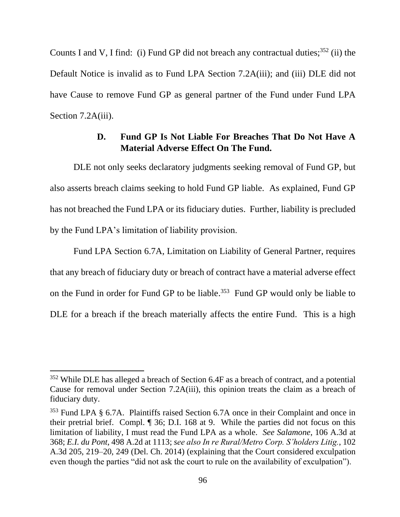Counts I and V, I find: (i) Fund GP did not breach any contractual duties;  $352$  (ii) the Default Notice is invalid as to Fund LPA Section 7.2A(iii); and (iii) DLE did not have Cause to remove Fund GP as general partner of the Fund under Fund LPA Section 7.2A(iii).

### **D. Fund GP Is Not Liable For Breaches That Do Not Have A Material Adverse Effect On The Fund.**

DLE not only seeks declaratory judgments seeking removal of Fund GP, but also asserts breach claims seeking to hold Fund GP liable. As explained, Fund GP has not breached the Fund LPA or its fiduciary duties. Further, liability is precluded by the Fund LPA's limitation of liability provision.

Fund LPA Section 6.7A, Limitation on Liability of General Partner, requires that any breach of fiduciary duty or breach of contract have a material adverse effect on the Fund in order for Fund GP to be liable. <sup>353</sup> Fund GP would only be liable to DLE for a breach if the breach materially affects the entire Fund. This is a high

<sup>352</sup> While DLE has alleged a breach of Section 6.4F as a breach of contract, and a potential Cause for removal under Section 7.2A(iii), this opinion treats the claim as a breach of fiduciary duty.

<sup>353</sup> Fund LPA § 6.7A. Plaintiffs raised Section 6.7A once in their Complaint and once in their pretrial brief. Compl. ¶ 36; D.I. 168 at 9. While the parties did not focus on this limitation of liability, I must read the Fund LPA as a whole. *See Salamone*, 106 A.3d at 368; *E.I. du Pont*, 498 A.2d at 1113; *see also In re Rural/Metro Corp. S'holders Litig.*, 102 A.3d 205, 219–20, 249 (Del. Ch. 2014) (explaining that the Court considered exculpation even though the parties "did not ask the court to rule on the availability of exculpation").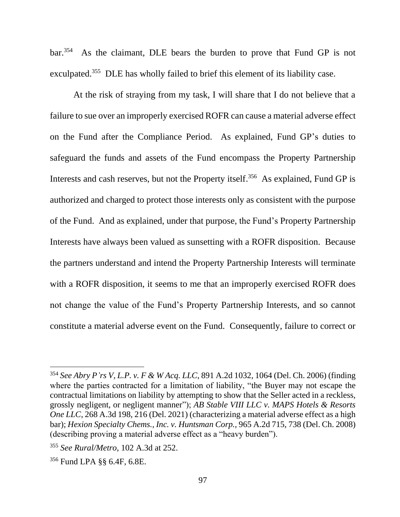$bar^{354}$  As the claimant, DLE bears the burden to prove that Fund GP is not exculpated.<sup>355</sup> DLE has wholly failed to brief this element of its liability case.

At the risk of straying from my task, I will share that I do not believe that a failure to sue over an improperly exercised ROFR can cause a material adverse effect on the Fund after the Compliance Period. As explained, Fund GP's duties to safeguard the funds and assets of the Fund encompass the Property Partnership Interests and cash reserves, but not the Property itself.<sup>356</sup> As explained, Fund GP is authorized and charged to protect those interests only as consistent with the purpose of the Fund. And as explained, under that purpose, the Fund's Property Partnership Interests have always been valued as sunsetting with a ROFR disposition. Because the partners understand and intend the Property Partnership Interests will terminate with a ROFR disposition, it seems to me that an improperly exercised ROFR does not change the value of the Fund's Property Partnership Interests, and so cannot constitute a material adverse event on the Fund. Consequently, failure to correct or

<sup>354</sup> *See Abry P'rs V, L.P. v. F & W Acq. LLC*, 891 A.2d 1032, 1064 (Del. Ch. 2006) (finding where the parties contracted for a limitation of liability, "the Buyer may not escape the contractual limitations on liability by attempting to show that the Seller acted in a reckless, grossly negligent, or negligent manner"); *AB Stable VIII LLC v. MAPS Hotels & Resorts One LLC*, 268 A.3d 198, 216 (Del. 2021) (characterizing a material adverse effect as a high bar); *Hexion Specialty Chems., Inc. v. Huntsman Corp.*, 965 A.2d 715, 738 (Del. Ch. 2008) (describing proving a material adverse effect as a "heavy burden").

<sup>355</sup> *See Rural/Metro*, 102 A.3d at 252.

<sup>356</sup> Fund LPA §§ 6.4F, 6.8E.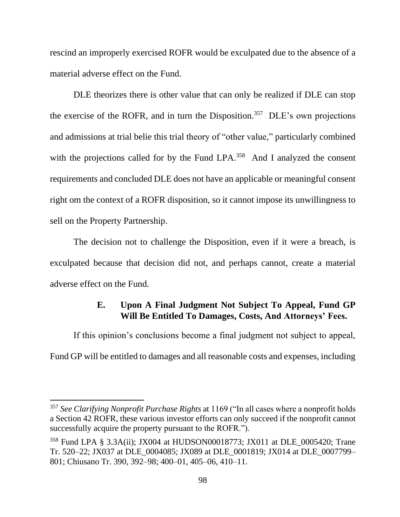rescind an improperly exercised ROFR would be exculpated due to the absence of a material adverse effect on the Fund.

DLE theorizes there is other value that can only be realized if DLE can stop the exercise of the ROFR, and in turn the Disposition.<sup>357</sup> DLE's own projections and admissions at trial belie this trial theory of "other value," particularly combined with the projections called for by the Fund LPA.<sup>358</sup> And I analyzed the consent requirements and concluded DLE does not have an applicable or meaningful consent right om the context of a ROFR disposition, so it cannot impose its unwillingness to sell on the Property Partnership.

The decision not to challenge the Disposition, even if it were a breach, is exculpated because that decision did not, and perhaps cannot, create a material adverse effect on the Fund.

# **E. Upon A Final Judgment Not Subject To Appeal, Fund GP Will Be Entitled To Damages, Costs, And Attorneys' Fees.**

If this opinion's conclusions become a final judgment not subject to appeal, Fund GP will be entitled to damages and all reasonable costs and expenses, including

<sup>357</sup> *See Clarifying Nonprofit Purchase Rights* at 1169 ("In all cases where a nonprofit holds a Section 42 ROFR, these various investor efforts can only succeed if the nonprofit cannot successfully acquire the property pursuant to the ROFR.").

<sup>358</sup> Fund LPA § 3.3A(ii); JX004 at HUDSON00018773; JX011 at DLE\_0005420; Trane Tr. 520–22; JX037 at DLE\_0004085; JX089 at DLE\_0001819; JX014 at DLE\_0007799– 801; Chiusano Tr. 390, 392–98; 400–01, 405–06, 410–11.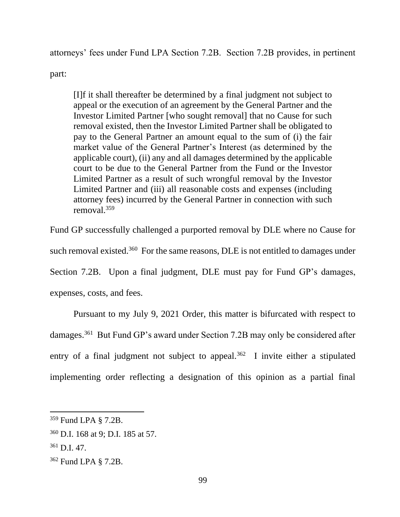attorneys' fees under Fund LPA Section 7.2B. Section 7.2B provides, in pertinent

part:

[I]f it shall thereafter be determined by a final judgment not subject to appeal or the execution of an agreement by the General Partner and the Investor Limited Partner [who sought removal] that no Cause for such removal existed, then the Investor Limited Partner shall be obligated to pay to the General Partner an amount equal to the sum of (i) the fair market value of the General Partner's Interest (as determined by the applicable court), (ii) any and all damages determined by the applicable court to be due to the General Partner from the Fund or the Investor Limited Partner as a result of such wrongful removal by the Investor Limited Partner and (iii) all reasonable costs and expenses (including attorney fees) incurred by the General Partner in connection with such removal.<sup>359</sup>

Fund GP successfully challenged a purported removal by DLE where no Cause for such removal existed.<sup>360</sup> For the same reasons, DLE is not entitled to damages under Section 7.2B. Upon a final judgment, DLE must pay for Fund GP's damages, expenses, costs, and fees.

Pursuant to my July 9, 2021 Order, this matter is bifurcated with respect to damages.<sup>361</sup> But Fund GP's award under Section 7.2B may only be considered after entry of a final judgment not subject to appeal.<sup>362</sup> I invite either a stipulated implementing order reflecting a designation of this opinion as a partial final

<sup>359</sup> Fund LPA § 7.2B.

<sup>360</sup> D.I. 168 at 9; D.I. 185 at 57.

 $361$  D.I. 47.

<sup>362</sup> Fund LPA § 7.2B.